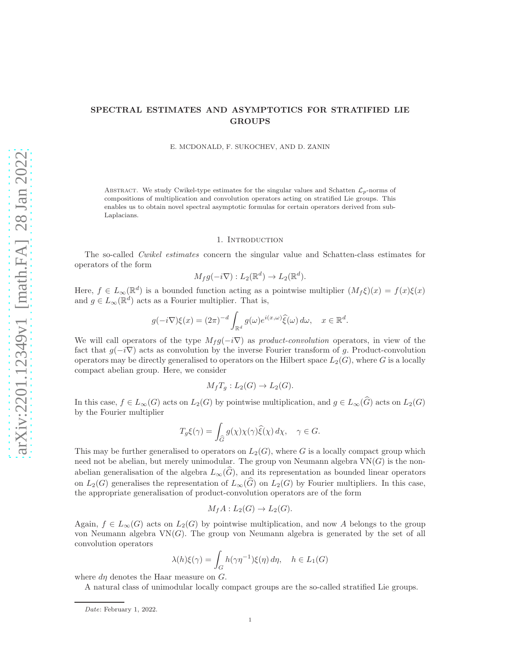# SPECTRAL ESTIMATES AND ASYMPTOTICS FOR STRATIFIED LIE GROUPS

E. MCDONALD, F. SUKOCHEV, AND D. ZANIN

ABSTRACT. We study Cwikel-type estimates for the singular values and Schatten  $\mathcal{L}_p$ -norms of compositions of multiplication and convolution operators acting on stratified Lie groups. This enables us to obtain novel spectral asymptotic formulas for certain operators derived from sub-Laplacians.

### 1. Introduction

The so-called Cwikel estimates concern the singular value and Schatten-class estimates for operators of the form

$$
M_f g(-i\nabla): L_2(\mathbb{R}^d) \to L_2(\mathbb{R}^d).
$$

Here,  $f \in L_{\infty}(\mathbb{R}^d)$  is a bounded function acting as a pointwise multiplier  $(M_f \xi)(x) = f(x)\xi(x)$ and  $g \in L_{\infty}(\mathbb{R}^d)$  acts as a Fourier multiplier. That is,

$$
g(-i\nabla)\xi(x) = (2\pi)^{-d} \int_{\mathbb{R}^d} g(\omega)e^{i(x,\omega)}\hat{\xi}(\omega) d\omega, \quad x \in \mathbb{R}^d.
$$

We will call operators of the type  $M_f g(-i\nabla)$  as product-convolution operators, in view of the fact that  $q(-i\nabla)$  acts as convolution by the inverse Fourier transform of q. Product-convolution operators may be directly generalised to operators on the Hilbert space  $L_2(G)$ , where G is a locally compact abelian group. Here, we consider

$$
M_f T_g: L_2(G) \to L_2(G).
$$

In this case,  $f \in L_{\infty}(G)$  acts on  $L_2(G)$  by pointwise multiplication, and  $g \in L_{\infty}(\widehat{G})$  acts on  $L_2(G)$ by the Fourier multiplier

$$
T_g \xi(\gamma) = \int_{\widehat{G}} g(\chi) \chi(\gamma) \widehat{\xi}(\chi) d\chi, \quad \gamma \in G.
$$

This may be further generalised to operators on  $L_2(G)$ , where G is a locally compact group which need not be abelian, but merely unimodular. The group von Neumann algebra  $VN(G)$  is the nonabelian generalisation of the algebra  $L_{\infty}(\widehat{G})$ , and its representation as bounded linear operators on  $L_2(G)$  generalises the representation of  $L_{\infty}(\widehat{G})$  on  $L_2(G)$  by Fourier multipliers. In this case, the appropriate generalisation of product-convolution operators are of the form

$$
M_f A: L_2(G) \to L_2(G).
$$

Again,  $f \in L_{\infty}(G)$  acts on  $L_2(G)$  by pointwise multiplication, and now A belongs to the group von Neumann algebra  $VN(G)$ . The group von Neumann algebra is generated by the set of all convolution operators

$$
\lambda(h)\xi(\gamma) = \int_G h(\gamma\eta^{-1})\xi(\eta) d\eta, \quad h \in L_1(G)
$$

where  $d\eta$  denotes the Haar measure on  $G$ .

A natural class of unimodular locally compact groups are the so-called stratified Lie groups.

Date: February 1, 2022.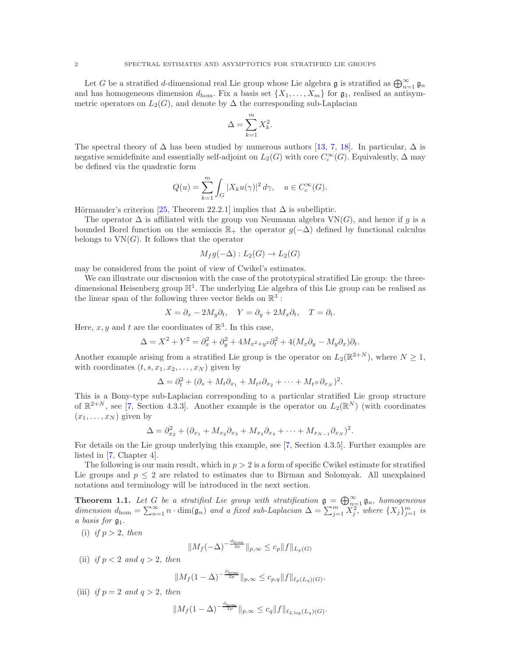Let G be a stratified d-dimensional real Lie group whose Lie algebra  $\mathfrak g$  is stratified as  $\bigoplus_{n=1}^\infty \mathfrak g_n$ and has homogeneous dimension  $d_{\text{hom}}$ . Fix a basis set  $\{X_1, \ldots, X_m\}$  for  $\mathfrak{g}_1$ , realised as antisymmetric operators on  $L_2(G)$ , and denote by  $\Delta$  the corresponding sub-Laplacian

$$
\Delta = \sum_{k=1}^m X_k^2.
$$

The spectral theory of  $\Delta$  has been studied by numerous authors [\[13,](#page-34-0) [7,](#page-34-1) [18\]](#page-35-0). In particular,  $\Delta$  is negative semidefinite and essentially self-adjoint on  $L_2(G)$  with core  $C_c^{\infty}(G)$ . Equivalently,  $\Delta$  may be defined via the quadratic form

$$
Q(u) = \sum_{k=1}^{m} \int_{G} |X_k u(\gamma)|^2 d\gamma, \quad u \in C_c^{\infty}(G).
$$

Hörmander's criterion [\[25,](#page-35-1) Theorem 22.2.1] implies that  $\Delta$  is subelliptic.

The operator  $\Delta$  is affiliated with the group von Neumann algebra  $VN(G)$ , and hence if g is a bounded Borel function on the semiaxis  $\mathbb{R}_+$  the operator  $q(-\Delta)$  defined by functional calculus belongs to  $VN(G)$ . It follows that the operator

$$
M_f g(-\Delta) : L_2(G) \to L_2(G)
$$

may be considered from the point of view of Cwikel's estimates.

We can illustrate our discussion with the case of the prototypical stratified Lie group: the threedimensional Heisenberg group  $\mathbb{H}^1$ . The underlying Lie algebra of this Lie group can be realised as the linear span of the following three vector fields on  $\mathbb{R}^3$  :

$$
X = \partial_x - 2M_y \partial_t, \quad Y = \partial_y + 2M_x \partial_t, \quad T = \partial_t.
$$

Here,  $x, y$  and  $t$  are the coordinates of  $\mathbb{R}^3$ . In this case,

$$
\Delta = X^2 + Y^2 = \partial_x^2 + \partial_y^2 + 4M_{x^2+y^2}\partial_t^2 + 4(M_x\partial_y - M_y\partial_x)\partial_t.
$$

Another example arising from a stratified Lie group is the operator on  $L_2(\mathbb{R}^{2+N})$ , where  $N \geq 1$ , with coordinates  $(t, s, x_1, x_2, \ldots, x_N)$  given by

$$
\Delta = \partial_t^2 + (\partial_s + M_t \partial_{x_1} + M_{t^2} \partial_{x_2} + \cdots + M_{t^N} \partial_{x_N})^2.
$$

This is a Bony-type sub-Laplacian corresponding to a particular stratified Lie group structure of  $\mathbb{R}^{2+N}$ , see [\[7,](#page-34-1) Section 4.3.3]. Another example is the operator on  $L_2(\mathbb{R}^N)$  (with coordinates  $(x_1, \ldots, x_N)$  given by

$$
\Delta = \partial_{x_2}^2 + (\partial_{x_1} + M_{x_2}\partial_{x_3} + M_{x_3}\partial_{x_4} + \cdots + M_{x_{N-1}}\partial_{x_N})^2.
$$

For details on the Lie group underlying this example, see [\[7,](#page-34-1) Section 4.3.5]. Further examples are listed in [\[7,](#page-34-1) Chapter 4].

The following is our main result, which in  $p > 2$  is a form of specific Cwikel estimate for stratified Lie groups and  $p \leq 2$  are related to estimates due to Birman and Solomyak. All unexplained notations and terminology will be introduced in the next section.

<span id="page-1-0"></span>**Theorem 1.1.** Let G be a stratified Lie group with stratification  $\mathfrak{g} = \bigoplus_{n=1}^{\infty} \mathfrak{g}_n$ , homogeneous dimension  $d_{\text{hom}} = \sum_{n=1}^{\infty} n \cdot \dim(\mathfrak{g}_n)$  and a fixed sub-Laplacian  $\Delta = \sum_{j=1}^{m} \widetilde{X}_j^2$ , where  $\{X_j\}_{j=1}^m$  is a basis for  $\mathfrak{g}_1$ .

<span id="page-1-1"></span>(i) if  $p > 2$ , then

$$
||M_f(-\Delta)^{-\frac{d_{\text{hom}}}{2p}}||_{p,\infty} \leq c_p ||f||_{L_p(G)}
$$

<span id="page-1-2"></span>(ii) if  $p < 2$  and  $q > 2$ , then

$$
||M_f(1-\Delta)^{-\frac{d_{\text{hom}}}{2p}}||_{p,\infty} \leq c_{p,q}||f||_{\ell_p(L_q)(G)}.
$$

<span id="page-1-3"></span>(iii) if  $p = 2$  and  $q > 2$ , then

$$
||M_f(1-\Delta)^{-\frac{d_{\text{hom}}}{2p}}||_{p,\infty} \leq c_q ||f||_{\ell_{2,\log}(L_q)(G)}.
$$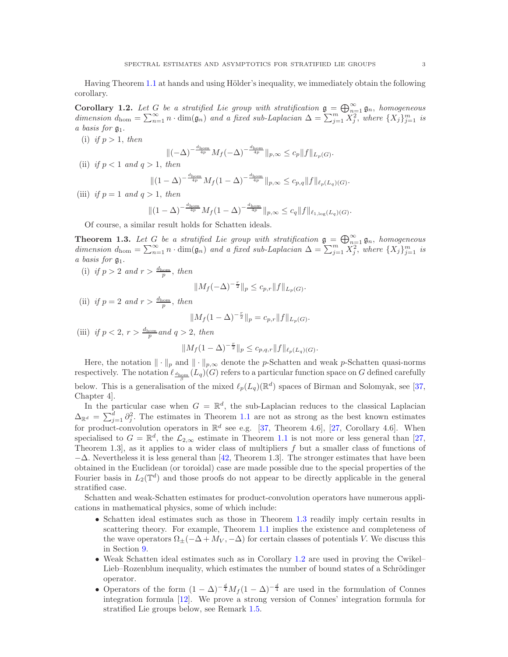Having Theorem [1.1](#page-1-0) at hands and using Hölder's inequality, we immediately obtain the following corollary.

<span id="page-2-1"></span>**Corollary 1.2.** Let G be a stratified Lie group with stratification  $\mathfrak{g} = \bigoplus_{n=1}^{\infty} \mathfrak{g}_n$ , homogeneous dimension  $d_{\text{hom}} = \sum_{n=1}^{\infty} n \cdot \dim(\mathfrak{g}_n)$  and a fixed sub-Laplacian  $\Delta = \sum_{j=1}^{m} \widetilde{X}_j^2$ , where  $\{X_j\}_{j=1}^m$  is a basis for  $\mathfrak{g}_1$ .

(i) if  $p > 1$ , then

$$
\|(-\Delta)^{-\frac{d_{\text{hom}}}{4p}}M_f(-\Delta)^{-\frac{d_{\text{hom}}}{4p}}\|_{p,\infty} \leq c_p \|f\|_{L_p(G)}.
$$

(ii) if  $p < 1$  and  $q > 1$ , then

$$
\|(1-\Delta)^{-\frac{d_{\text{hom}}}{4p}}M_f(1-\Delta)^{-\frac{d_{\text{hom}}}{4p}}\|_{p,\infty} \leq c_{p,q} \|f\|_{\ell_p(L_q)(G)}.
$$

(iii) if  $p = 1$  and  $q > 1$ , then

$$
\|(1-\Delta)^{-\frac{d_{\text{hom}}}{4p}}M_f(1-\Delta)^{-\frac{d_{\text{hom}}}{4p}}\|_{p,\infty} \leq c_q \|f\|_{\ell_{1,\log}(L_q)(G)}.
$$

Of course, a similar result holds for Schatten ideals.

<span id="page-2-0"></span>**Theorem 1.3.** Let G be a stratified Lie group with stratification  $\mathfrak{g} = \bigoplus_{n=1}^{\infty} \mathfrak{g}_n$ , homogeneous dimension  $d_{\text{hom}} = \sum_{n=1}^{\infty} n \cdot \dim(\mathfrak{g}_n)$  and a fixed sub-Laplacian  $\Delta = \sum_{j=1}^{m} \widetilde{X}_j^2$ , where  $\{X_j\}_{j=1}^m$  is a basis for g1.

(i) if  $p > 2$  and  $r > \frac{d_{\text{hom}}}{p}$ , then

$$
||M_f(-\Delta)^{-\frac{r}{2}}||_p \leq c_{p,r}||f||_{L_p(G)}.
$$

(ii) if  $p = 2$  and  $r > \frac{d_{\text{hom}}}{p}$ , then

$$
||M_f(1-\Delta)^{-\frac{r}{2}}||_p = c_{p,r}||f||_{L_p(G)}.
$$

(iii) if  $p < 2$ ,  $r > \frac{d_{\text{hom}}} {p}$  and  $q > 2$ , then

$$
||M_f(1-\Delta)^{-\frac{r}{2}}||_p \leq c_{p,q,r}||f||_{\ell_p(L_q)(G)}.
$$

Here, the notation  $\|\cdot\|_p$  and  $\|\cdot\|_{p,\infty}$  denote the p-Schatten and weak p-Schatten quasi-norms respectively. The notation  $\ell_{\frac{d_{\text{hom}}}{\beta}}(L_q)(G)$  refers to a particular function space on G defined carefully below. This is a generalisation of the mixed  $\ell_p(L_q)(\mathbb{R}^d)$  spaces of Birman and Solomyak, see [\[37,](#page-35-2) Chapter 4].

In the particular case when  $G = \mathbb{R}^d$ , the sub-Laplacian reduces to the classical Laplacian  $\Delta_{\mathbb{R}^d} = \sum_{j=1}^d \partial_j^2$ . The estimates in Theorem [1.1](#page-1-0) are not as strong as the best known estimates for product-convolution operators in  $\mathbb{R}^d$  see e.g. [\[37,](#page-35-2) Theorem 4.6], [\[27,](#page-35-3) Corollary 4.6]. When specialised to  $G = \mathbb{R}^d$ , the  $\mathcal{L}_{2,\infty}$  estimate in Theorem [1.1](#page-1-0) is not more or less general than [\[27,](#page-35-3) Theorem 1.3, as it applies to a wider class of multipliers  $f$  but a smaller class of functions of  $-\Delta$ . Nevertheless it is less general than [\[42,](#page-35-4) Theorem 1.3]. The stronger estimates that have been obtained in the Euclidean (or toroidal) case are made possible due to the special properties of the Fourier basis in  $L_2(\mathbb{T}^d)$  and those proofs do not appear to be directly applicable in the general stratified case.

Schatten and weak-Schatten estimates for product-convolution operators have numerous applications in mathematical physics, some of which include:

- Schatten ideal estimates such as those in Theorem [1.3](#page-2-0) readily imply certain results in scattering theory. For example, Theorem [1.1](#page-1-0) implies the existence and completeness of the wave operators  $\Omega_{\pm}(-\Delta + M_V, -\Delta)$  for certain classes of potentials V. We discuss this in Section [9.](#page-32-0)
- Weak Schatten ideal estimates such as in Corollary [1.2](#page-2-1) are used in proving the Cwikel– Lieb–Rozenblum inequality, which estimates the number of bound states of a Schrödinger operator.
- Operators of the form  $(1 \Delta)^{-\frac{d}{4}} M_f (1 \Delta)^{-\frac{d}{4}}$  are used in the formulation of Connes integration formula [\[12\]](#page-34-2). We prove a strong version of Connes' integration formula for stratified Lie groups below, see Remark [1.5.](#page-3-0)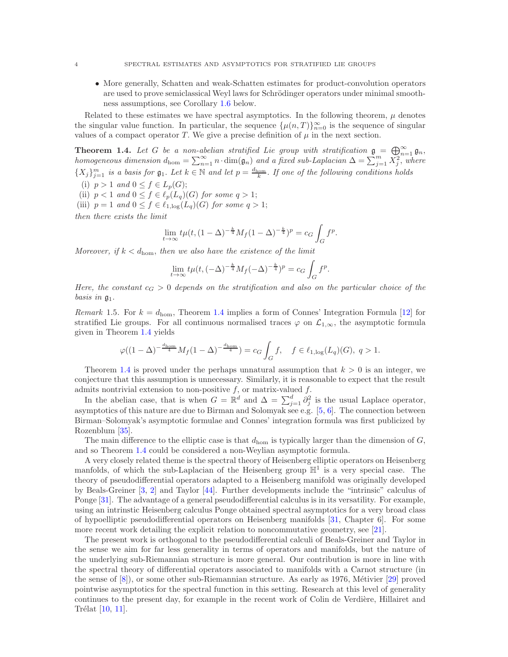• More generally, Schatten and weak-Schatten estimates for product-convolution operators are used to prove semiclassical Weyl laws for Schrödinger operators under minimal smoothness assumptions, see Corollary [1.6](#page-4-0) below.

Related to these estimates we have spectral asymptotics. In the following theorem,  $\mu$  denotes the singular value function. In particular, the sequence  $\{\mu(n,T)\}_{n=0}^{\infty}$  is the sequence of singular values of a compact operator T. We give a precise definition of  $\mu$  in the next section.

<span id="page-3-1"></span>**Theorem 1.4.** Let G be a non-abelian stratified Lie group with stratification  $\mathfrak{g} = \bigoplus_{n=1}^{\infty} \mathfrak{g}_n$ , homogeneous dimension  $d_{\text{hom}} = \sum_{n=1}^{\infty} n \cdot \dim(\mathfrak{g}_n)$  and a fixed sub-Laplacian  $\Delta = \sum_{j=1}^{m} X_j^2$ , where  $\{X_j\}_{j=1}^m$  is a basis for  $\mathfrak{g}_1$ . Let  $k \in \mathbb{N}$  and let  $p = \frac{d_{\text{hom}}}{k}$ . If one of the following conditions holds

- (i)  $p > 1$  and  $0 \leq f \in L_p(G);$
- (ii)  $p < 1$  and  $0 \leq f \in \ell_p(L_q)(G)$  for some  $q > 1$ ;
- (iii)  $p = 1$  and  $0 \le f \in \ell_{1,\log}(L_q)(G)$  for some  $q > 1$ ;

then there exists the limit

$$
\lim_{t \to \infty} t \mu(t, (1 - \Delta)^{-\frac{k}{4}} M_f (1 - \Delta)^{-\frac{k}{4}})^p = c_G \int_G f^p.
$$

Moreover, if  $k < d_{\text{hom}}$ , then we also have the existence of the limit

$$
\lim_{t \to \infty} t\mu(t, (-\Delta)^{-\frac{k}{4}} M_f(-\Delta)^{-\frac{k}{4}})^p = c_G \int_G f^p.
$$

Here, the constant  $c_G > 0$  depends on the stratification and also on the particular choice of the basis in  $\mathfrak{g}_1$ .

<span id="page-3-0"></span>*Remark* 1.5. For  $k = d_{\text{hom}}$ , Theorem [1.4](#page-3-1) implies a form of Connes' Integration Formula [\[12\]](#page-34-2) for stratified Lie groups. For all continuous normalised traces  $\varphi$  on  $\mathcal{L}_{1,\infty}$ , the asymptotic formula given in Theorem [1.4](#page-3-1) yields

$$
\varphi((1-\Delta)^{-\frac{d_{\text{hom}}}{4}}M_f(1-\Delta)^{-\frac{d_{\text{hom}}}{4}}) = c_G \int_G f, \quad f \in \ell_{1,\log}(L_q)(G), \ q > 1.
$$

Theorem [1.4](#page-3-1) is proved under the perhaps unnatural assumption that  $k > 0$  is an integer, we conjecture that this assumption is unnecessary. Similarly, it is reasonable to expect that the result admits nontrivial extension to non-positive  $f$ , or matrix-valued  $f$ .

In the abelian case, that is when  $G = \mathbb{R}^d$  and  $\Delta = \sum_{j=1}^d \partial_j^2$  is the usual Laplace operator, asymptotics of this nature are due to Birman and Solomyak see e.g.  $[5, 6]$  $[5, 6]$ . The connection between Birman–Solomyak's asymptotic formulae and Connes' integration formula was first publicized by Rozenblum [\[35\]](#page-35-5).

The main difference to the elliptic case is that  $d_{\text{hom}}$  is typically larger than the dimension of  $G$ , and so Theorem [1.4](#page-3-1) could be considered a non-Weylian asymptotic formula.

A very closely related theme is the spectral theory of Heisenberg elliptic operators on Heisenberg manfolds, of which the sub-Laplacian of the Heisenberg group  $\mathbb{H}^1$  is a very special case. The theory of pseudodifferential operators adapted to a Heisenberg manifold was originally developed by Beals-Greiner [\[3,](#page-34-5) [2\]](#page-34-6) and Taylor [\[44\]](#page-35-6). Further developments include the "intrinsic" calculus of Ponge [\[31\]](#page-35-7). The advantage of a general pseudodifferential calculus is in its versatility. For example, using an intrinstic Heisenberg calculus Ponge obtained spectral asymptotics for a very broad class of hypoelliptic pseudodifferential operators on Heisenberg manifolds [\[31,](#page-35-7) Chapter 6]. For some more recent work detailing the explicit relation to noncommutative geometry, see [\[21\]](#page-35-8).

The present work is orthogonal to the pseudodifferential calculi of Beals-Greiner and Taylor in the sense we aim for far less generality in terms of operators and manifolds, but the nature of the underlying sub-Riemannian structure is more general. Our contribution is more in line with the spectral theory of differential operators associated to manifolds with a Carnot structure (in the sense of  $[8]$ , or some other sub-Riemannian structure. As early as 1976, Métivier  $[29]$  proved pointwise asymptotics for the spectral function in this setting. Research at this level of generality continues to the present day, for example in the recent work of Colin de Verdière, Hillairet and Trélat  $[10, 11]$  $[10, 11]$ .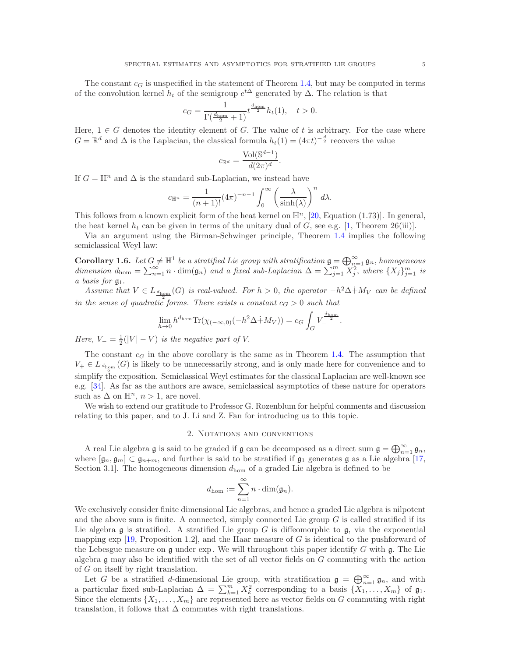The constant  $c_G$  is unspecified in the statement of Theorem [1.4,](#page-3-1) but may be computed in terms of the convolution kernel  $h_t$  of the semigroup  $e^{t\Delta}$  generated by  $\Delta$ . The relation is that

$$
c_G = \frac{1}{\Gamma(\frac{d_{\text{hom}}}{2} + 1)} t^{\frac{d_{\text{hom}}}{2}} h_t(1), \quad t > 0.
$$

Here,  $1 \in G$  denotes the identity element of G. The value of t is arbitrary. For the case where  $G = \mathbb{R}^d$  and  $\Delta$  is the Laplacian, the classical formula  $h_t(1) = (4\pi t)^{-\frac{d}{2}}$  recovers the value

$$
c_{\mathbb{R}^d} = \frac{\text{Vol}(\mathbb{S}^{d-1})}{d(2\pi)^d}.
$$

If  $G = \mathbb{H}^n$  and  $\Delta$  is the standard sub-Laplacian, we instead have

$$
c_{\mathbb{H}^n} = \frac{1}{(n+1)!} (4\pi)^{-n-1} \int_0^\infty \left(\frac{\lambda}{\sinh(\lambda)}\right)^n d\lambda.
$$

This follows from a known explicit form of the heat kernel on  $\mathbb{H}^n$ , [\[20,](#page-35-10) Equation (1.73)]. In general, the heat kernel  $h_t$  can be given in terms of the unitary dual of G, see e.g. [\[1,](#page-34-10) Theorem 26(iii)].

Via an argument using the Birman-Schwinger principle, Theorem [1.4](#page-3-1) implies the following semiclassical Weyl law:

<span id="page-4-0"></span>**Corollary 1.6.** Let  $G \neq \mathbb{H}^1$  be a stratified Lie group with stratification  $\mathfrak{g} = \bigoplus_{n=1}^{\infty} \mathfrak{g}_n$ , homogeneous dimension  $d_{\text{hom}} = \sum_{n=1}^{\infty} n \cdot \dim(\mathfrak{g}_n)$  and a fixed sub-Laplacian  $\Delta = \sum_{j=1}^{m} X_j^2$ , where  $\{X_j\}_{j=1}^m$  is a basis for  $\mathfrak{g}_1$ .

Assume that  $V \in L_{\frac{d_{\text{hom}}}{d(G)}}(G)$  is real-valued. For  $h > 0$ , the operator  $-h^2\Delta + M_V$  can be defined in the sense of quadratic forms. There exists a constant  $c_G > 0$  such that

$$
\lim_{h \to 0} h^{d_{\text{hom}}} \text{Tr}(\chi_{(-\infty,0)}(-h^2 \Delta + M_V)) = c_G \int_G V_{-}^{\frac{d_{\text{hom}}}{2}}.
$$

Here,  $V = \frac{1}{2}(|V| - V)$  is the negative part of V.

The constant  $c_G$  in the above corollary is the same as in Theorem [1.4.](#page-3-1) The assumption that  $V_+ \in L_{\frac{d_{\text{hom}}}{d}}(G)$  is likely to be unnecessarily strong, and is only made here for convenience and to simplify the exposition. Semiclassical Weyl estimates for the classical Laplacian are well-known see e.g. [\[34\]](#page-35-11). As far as the authors are aware, semiclassical asymptotics of these nature for operators such as  $\Delta$  on  $\mathbb{H}^n$ ,  $n > 1$ , are novel.

We wish to extend our gratitude to Professor G. Rozenblum for helpful comments and discussion relating to this paper, and to J. Li and Z. Fan for introducing us to this topic.

# 2. Notations and conventions

A real Lie algebra  $\mathfrak g$  is said to be graded if  $\mathfrak g$  can be decomposed as a direct sum  $\mathfrak g = \bigoplus_{n=1}^\infty \mathfrak g_n$ , where  $[\mathfrak{g}_n, \mathfrak{g}_m] \subset \mathfrak{g}_{n+m}$ , and further is said to be stratified if  $\mathfrak{g}_1$  generates  $\mathfrak{g}$  as a Lie algebra [\[17,](#page-35-12) Section 3.1. The homogeneous dimension  $d_{\text{hom}}$  of a graded Lie algebra is defined to be

$$
d_{\text{hom}} := \sum_{n=1}^{\infty} n \cdot \dim(\mathfrak{g}_n).
$$

We exclusively consider finite dimensional Lie algebras, and hence a graded Lie algebra is nilpotent and the above sum is finite. A connected, simply connected Lie group  $G$  is called stratified if its Lie algebra  $\mathfrak g$  is stratified. A stratified Lie group G is diffeomorphic to  $\mathfrak g$ , via the exponential mapping  $\exp$  [\[19,](#page-35-13) Proposition 1.2], and the Haar measure of G is identical to the pushforward of the Lebesgue measure on  $\mathfrak g$  under exp. We will throughout this paper identify G with  $\mathfrak g$ . The Lie algebra g may also be identified with the set of all vector fields on G commuting with the action of G on itself by right translation.

Let G be a stratified d-dimensional Lie group, with stratification  $\mathfrak{g} = \bigoplus_{n=1}^{\infty} \mathfrak{g}_n$ , and with a particular fixed sub-Laplacian  $\Delta = \sum_{k=1}^{m} X_k^2$  corresponding to a basis  $\{X_1, \ldots, X_m\}$  of  $\mathfrak{g}_1$ . Since the elements  $\{X_1, \ldots, X_m\}$  are represented here as vector fields on G commuting with right translation, it follows that  $\Delta$  commutes with right translations.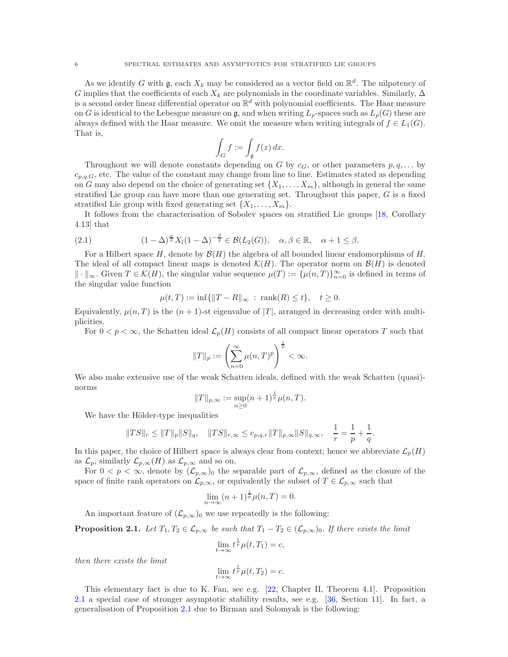As we identify G with  $\mathfrak{g}$ , each  $X_k$  may be considered as a vector field on  $\mathbb{R}^d$ . The nilpotency of G implies that the coefficients of each  $X_k$  are polynomials in the coordinate variables. Similarly,  $\Delta$ is a second order linear differential operator on  $\mathbb{R}^d$  with polynomial coefficients. The Haar measure on G is identical to the Lebesgue measure on g, and when writing  $L_p$ -spaces such as  $L_p(G)$  these are always defined with the Haar measure. We omit the measure when writing integrals of  $f \in L_1(G)$ . That is,

$$
\int_G f := \int_{\mathfrak{g}} f(x) \, dx.
$$

Throughout we will denote constants depending on G by  $c_G$ , or other parameters  $p, q, \ldots$  by  $c_{p,q,G}$ , etc. The value of the constant may change from line to line. Estimates stated as depending on G may also depend on the choice of generating set  $\{X_1, \ldots, X_m\}$ , although in general the same stratified Lie group can have more than one generating set. Throughout this paper,  $G$  is a fixed stratified Lie group with fixed generating set  $\{X_1, \ldots, X_m\}$ .

It follows from the characterisation of Sobolev spaces on stratified Lie groups [\[18,](#page-35-0) Corollary 4.13] that

(2.1) 
$$
(1 - \Delta)^{\frac{\alpha}{2}} X_l (1 - \Delta)^{-\frac{\beta}{2}} \in \mathcal{B}(L_2(G)), \quad \alpha, \beta \in \mathbb{R}, \quad \alpha + 1 \leq \beta.
$$

For a Hilbert space H, denote by  $\mathcal{B}(H)$  the algebra of all bounded linear endomorphisms of H. The ideal of all compact linear maps is denoted  $\mathcal{K}(H)$ . The operator norm on  $\mathcal{B}(H)$  is denoted  $\Vert \cdot \Vert_{\infty}$ . Given  $T \in \mathcal{K}(H)$ , the singular value sequence  $\mu(T) := \{\mu(n,T)\}_{n=0}^{\infty}$  is defined in terms of the singular value function

$$
\mu(t,T) := \inf \{ ||T - R||_{\infty} : \text{ rank}(R) \le t \}, \quad t \ge 0.
$$

Equivalently,  $\mu(n, T)$  is the  $(n + 1)$ -st eigenvalue of  $|T|$ , arranged in decreasing order with multiplicities.

For  $0 < p < \infty$ , the Schatten ideal  $\mathcal{L}_p(H)$  consists of all compact linear operators T such that

$$
||T||_p := \left(\sum_{n=0}^{\infty} \mu(n,T)^p\right)^{\frac{1}{p}} < \infty.
$$

We also make extensive use of the weak Schatten ideals, defined with the weak Schatten (quasi) norms

$$
||T||_{p,\infty} := \sup_{n\geq 0} (n+1)^{\frac{1}{p}} \mu(n,T).
$$

We have the Hölder-type inequalities

$$
||TS||_r \leq ||T||_p ||S||_q
$$
,  $||TS||_{r,\infty} \leq c_{p,q,r} ||T||_{p,\infty} ||S||_{q,\infty}$ ,  $\frac{1}{r} = \frac{1}{p} + \frac{1}{q}$ .

In this paper, the choice of Hilbert space is always clear from context; hence we abbreviate  $\mathcal{L}_p(H)$ as  $\mathcal{L}_p$ , similarly  $\mathcal{L}_{p,\infty}(H)$  as  $\mathcal{L}_{p,\infty}$  and so on.

For  $0 < p < \infty$ , denote by  $(\mathcal{L}_{p,\infty})_0$  the separable part of  $\mathcal{L}_{p,\infty}$ , defined as the closure of the space of finite rank operators on  $\mathcal{L}_{p,\infty}$ , or equivalently the subset of  $T \in \mathcal{L}_{p,\infty}$  such that

$$
\lim_{n \to \infty} (n+1)^{\frac{1}{p}} \mu(n,T) = 0.
$$

An important feature of  $(\mathcal{L}_{p,\infty})_0$  we use repeatedly is the following:

<span id="page-5-0"></span>**Proposition 2.1.** Let  $T_1, T_2 \in \mathcal{L}_{p,\infty}$  be such that  $T_1 - T_2 \in (\mathcal{L}_{p,\infty})_0$ . If there exists the limit

$$
\lim_{t \to \infty} t^{\frac{1}{p}} \mu(t, T_1) = c,
$$

then there exists the limit

$$
\lim_{t \to \infty} t^{\frac{1}{p}} \mu(t, T_2) = c.
$$

This elementary fact is due to K. Fan, see e.g. [\[22,](#page-35-14) Chapter II, Theorem 4.1]. Proposition [2.1](#page-5-0) a special case of stronger asymptotic stability results, see e.g. [\[36,](#page-35-15) Section 11]. In fact, a generalisation of Proposition [2.1](#page-5-0) due to Birman and Solomyak is the following: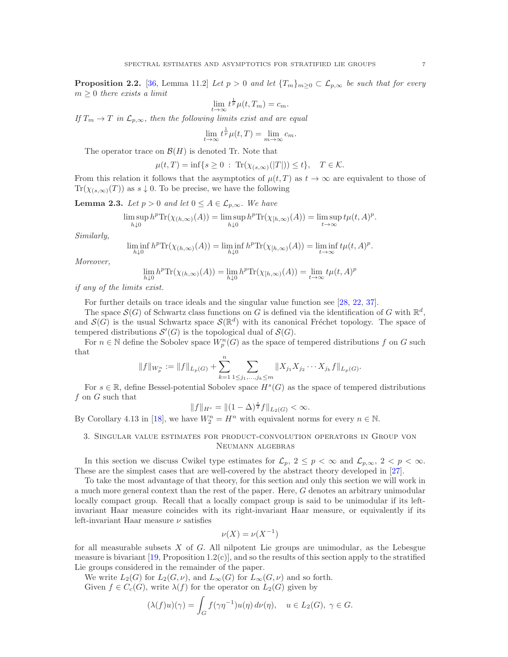<span id="page-6-0"></span>**Proposition 2.2.** [\[36,](#page-35-15) Lemma 11.2] Let  $p > 0$  and let  $\{T_m\}_{m>0} \subset \mathcal{L}_{p,\infty}$  be such that for every  $m \geq 0$  there exists a limit

$$
\lim_{t \to \infty} t^{\frac{1}{p}} \mu(t, T_m) = c_m.
$$

If  $T_m \to T$  in  $\mathcal{L}_{p,\infty}$ , then the following limits exist and are equal

$$
\lim_{t \to \infty} t^{\frac{1}{p}} \mu(t, T) = \lim_{m \to \infty} c_m.
$$

The operator trace on  $\mathcal{B}(H)$  is denoted Tr. Note that

$$
\mu(t,T) = \inf\{s \ge 0 : \text{Tr}(\chi_{(s,\infty)}(|T|)) \le t\}, \quad T \in \mathcal{K}.
$$

From this relation it follows that the asymptotics of  $\mu(t, T)$  as  $t \to \infty$  are equivalent to those of  $\text{Tr}(\chi_{(s,\infty)}(T))$  as  $s \downarrow 0$ . To be precise, we have the following

<span id="page-6-1"></span>**Lemma 2.3.** Let  $p > 0$  and let  $0 \leq A \in \mathcal{L}_{p,\infty}$ . We have

$$
\limsup_{h\downarrow 0} h^p \text{Tr}(\chi_{(h,\infty)}(A)) = \limsup_{h\downarrow 0} h^p \text{Tr}(\chi_{[h,\infty)}(A)) = \limsup_{t\to\infty} t\mu(t,A)^p.
$$

Similarly,

$$
\liminf_{h \downarrow 0} h^p \text{Tr}(\chi_{(h,\infty)}(A)) = \liminf_{h \downarrow 0} h^p \text{Tr}(\chi_{[h,\infty)}(A)) = \liminf_{t \to \infty} t\mu(t,A)^p.
$$

Moreover,

$$
\lim_{h \downarrow 0} h^p \text{Tr}(\chi_{(h,\infty)}(A)) = \lim_{h \downarrow 0} h^p \text{Tr}(\chi_{[h,\infty)}(A)) = \lim_{t \to \infty} t \mu(t,A)^p
$$

if any of the limits exist.

For further details on trace ideals and the singular value function see [\[28,](#page-35-16) [22,](#page-35-14) [37\]](#page-35-2).

The space  $\mathcal{S}(G)$  of Schwartz class functions on G is defined via the identification of G with  $\mathbb{R}^d$ , and  $\mathcal{S}(G)$  is the usual Schwartz space  $\mathcal{S}(\mathbb{R}^d)$  with its canonical Fréchet topology. The space of tempered distributions  $\mathcal{S}'(G)$  is the topological dual of  $\mathcal{S}(G)$ .

For  $n \in \mathbb{N}$  define the Sobolev space  $W_p^n(G)$  as the space of tempered distributions f on G such that

$$
||f||_{W_p^n} := ||f||_{L_p(G)} + \sum_{k=1}^n \sum_{1 \leq j_1, \dots, j_k \leq m} ||X_{j_1} X_{j_2} \cdots X_{j_k} f||_{L_p(G)}.
$$

For  $s \in \mathbb{R}$ , define Bessel-potential Sobolev space  $H^s(G)$  as the space of tempered distributions  $f$  on  $G$  such that

$$
||f||_{H^s} = ||(1 - \Delta)^{\frac{s}{2}} f||_{L_2(G)} < \infty.
$$

By Corollary 4.13 in [\[18\]](#page-35-0), we have  $W_2^n = H^n$  with equivalent norms for every  $n \in \mathbb{N}$ .

# 3. Singular value estimates for product-convolution operators in Group von Neumann algebras

In this section we discuss Cwikel type estimates for  $\mathcal{L}_p$ ,  $2 \leq p < \infty$  and  $\mathcal{L}_{p,\infty}$ ,  $2 < p < \infty$ . These are the simplest cases that are well-covered by the abstract theory developed in [\[27\]](#page-35-3).

To take the most advantage of that theory, for this section and only this section we will work in a much more general context than the rest of the paper. Here, G denotes an arbitrary unimodular locally compact group. Recall that a locally compact group is said to be unimodular if its leftinvariant Haar measure coincides with its right-invariant Haar measure, or equivalently if its left-invariant Haar measure  $\nu$  satisfies

$$
\nu(X) = \nu(X^{-1})
$$

for all measurable subsets  $X$  of  $G$ . All nilpotent Lie groups are unimodular, as the Lebesgue measure is bivariant [\[19,](#page-35-13) Proposition  $1.2(c)$ ], and so the results of this section apply to the stratified Lie groups considered in the remainder of the paper.

We write  $L_2(G)$  for  $L_2(G, \nu)$ , and  $L_{\infty}(G)$  for  $L_{\infty}(G, \nu)$  and so forth. Given  $f \in C_c(G)$ , write  $\lambda(f)$  for the operator on  $L_2(G)$  given by

$$
(\lambda(f)u)(\gamma) = \int_G f(\gamma \eta^{-1})u(\eta) d\nu(\eta), \quad u \in L_2(G), \ \gamma \in G.
$$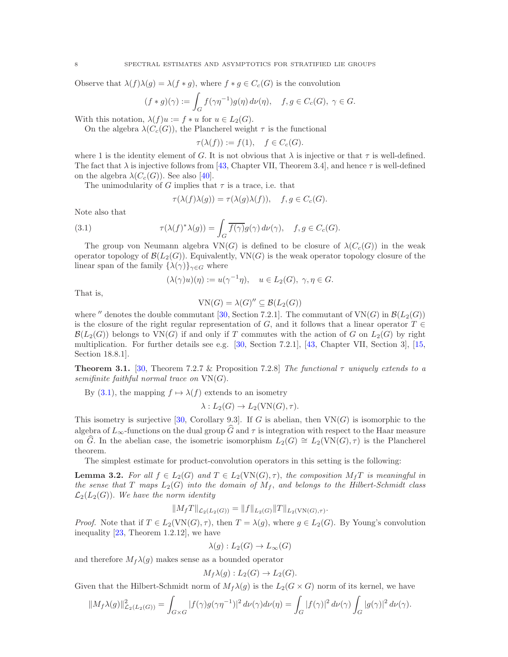Observe that  $\lambda(f)\lambda(g) = \lambda(f * g)$ , where  $f * g \in C_c(G)$  is the convolution

$$
(f*g)(\gamma):=\int_G f(\gamma\eta^{-1})g(\eta)\,d\nu(\eta),\quad f,g\in C_c(G),\ \gamma\in G.
$$

With this notation,  $\lambda(f)u := f * u$  for  $u \in L_2(G)$ .

On the algebra  $\lambda(C_c(G))$ , the Plancherel weight  $\tau$  is the functional

$$
\tau(\lambda(f)) := f(1), \quad f \in C_c(G).
$$

where 1 is the identity element of G. It is not obvious that  $\lambda$  is injective or that  $\tau$  is well-defined. The fact that  $\lambda$  is injective follows from [\[43,](#page-35-17) Chapter VII, Theorem 3.4], and hence  $\tau$  is well-defined on the algebra  $\lambda(C_c(G))$ . See also [\[40\]](#page-35-18).

The unimodularity of G implies that  $\tau$  is a trace, i.e. that

<span id="page-7-0"></span>
$$
\tau(\lambda(f)\lambda(g)) = \tau(\lambda(g)\lambda(f)), \quad f, g \in C_c(G).
$$

Note also that

(3.1) 
$$
\tau(\lambda(f)^*\lambda(g)) = \int_G \overline{f(\gamma)}g(\gamma) d\nu(\gamma), \quad f, g \in C_c(G).
$$

The group von Neumann algebra  $VN(G)$  is defined to be closure of  $\lambda(C_c(G))$  in the weak operator topology of  $\mathcal{B}(L_2(G))$ . Equivalently, VN(G) is the weak operator topology closure of the linear span of the family  $\{\lambda(\gamma)\}_{\gamma \in G}$  where

$$
(\lambda(\gamma)u)(\eta) := u(\gamma^{-1}\eta), \quad u \in L_2(G), \ \gamma, \eta \in G.
$$

That is,

$$
VN(G) = \lambda(G)'' \subseteq \mathcal{B}(L_2(G))
$$

where  $''$  denotes the double commutant [\[30,](#page-35-19) Section 7.2.1]. The commutant of VN(G) in  $\mathcal{B}(L_2(G))$ is the closure of the right regular representation of G, and it follows that a linear operator  $T \in$  $\mathcal{B}(L_2(G))$  belongs to  $VN(G)$  if and only if T commutes with the action of G on  $L_2(G)$  by right multiplication. For further details see e.g. [\[30,](#page-35-19) Section 7.2.1], [\[43,](#page-35-17) Chapter VII, Section 3], [\[15,](#page-35-20) Section 18.8.1].

**Theorem 3.1.** [\[30,](#page-35-19) Theorem 7.2.7 & Proposition 7.2.8] The functional  $\tau$  uniquely extends to a semifinite faithful normal trace on  $VN(G)$ .

By [\(3.1\)](#page-7-0), the mapping  $f \mapsto \lambda(f)$  extends to an isometry

$$
\lambda: L_2(G) \to L_2(VN(G), \tau).
$$

This isometry is surjective [\[30,](#page-35-19) Corollary 9.3]. If G is abelian, then  $VN(G)$  is isomorphic to the algebra of  $L_{\infty}$ -functions on the dual group  $\widehat{G}$  and  $\tau$  is integration with respect to the Haar measure on G. In the abelian case, the isometric isomorphism  $L_2(G) \cong L_2(VN(G), \tau)$  is the Plancherel theorem.

The simplest estimate for product-convolution operators in this setting is the following:

<span id="page-7-1"></span>**Lemma 3.2.** For all  $f \in L_2(G)$  and  $T \in L_2(VN(G), \tau)$ , the composition  $M_f T$  is meaningful in the sense that T maps  $L_2(G)$  into the domain of  $M_f$ , and belongs to the Hilbert-Schmidt class  $\mathcal{L}_2(L_2(G))$ . We have the norm identity

$$
||M_f T||_{\mathcal{L}_2(L_2(G))} = ||f||_{L_2(G)} ||T||_{L_2(VN(G),\tau)}.
$$

*Proof.* Note that if  $T \in L_2(VN(G), \tau)$ , then  $T = \lambda(g)$ , where  $g \in L_2(G)$ . By Young's convolution inequality [\[23,](#page-35-21) Theorem 1.2.12], we have

$$
\lambda(g): L_2(G) \to L_\infty(G)
$$

and therefore  $M_f\lambda(g)$  makes sense as a bounded operator

$$
M_f \lambda(g) : L_2(G) \to L_2(G).
$$

Given that the Hilbert-Schmidt norm of  $M_f \lambda(g)$  is the  $L_2(G \times G)$  norm of its kernel, we have

$$
||M_f \lambda(g)||^2_{\mathcal{L}_2(L_2(G))} = \int_{G \times G} |f(\gamma)g(\gamma \eta^{-1})|^2 d\nu(\gamma) d\nu(\eta) = \int_G |f(\gamma)|^2 d\nu(\gamma) \int_G |g(\gamma)|^2 d\nu(\gamma).
$$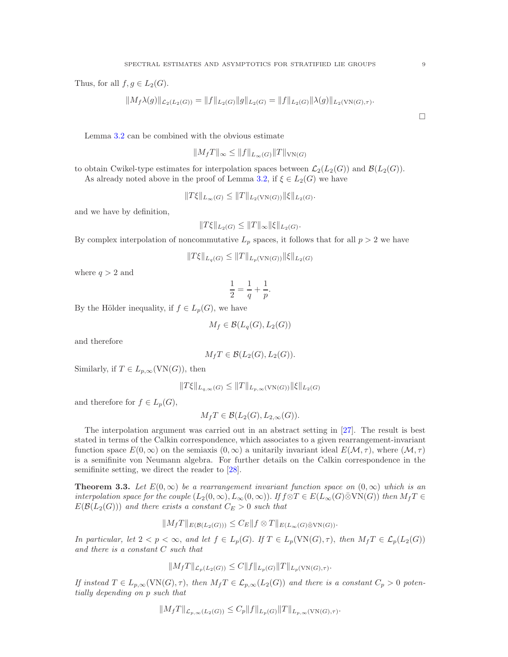Thus, for all  $f, g \in L_2(G)$ .

$$
||M_f \lambda(g)||_{\mathcal{L}_2(L_2(G))} = ||f||_{L_2(G)} ||g||_{L_2(G)} = ||f||_{L_2(G)} ||\lambda(g)||_{L_2(VN(G),\tau)}.
$$

Lemma [3.2](#page-7-1) can be combined with the obvious estimate

$$
||M_f T||_{\infty} \leq ||f||_{L_{\infty}(G)} ||T||_{\text{VN}(G)}
$$

to obtain Cwikel-type estimates for interpolation spaces between  $\mathcal{L}_2(L_2(G))$  and  $\mathcal{B}(L_2(G))$ . As already noted above in the proof of Lemma [3.2,](#page-7-1) if  $\xi \in L_2(G)$  we have

 $||T\xi||_{L_{\infty}(G)} \leq ||T||_{L_2(VN(G))}||\xi||_{L_2(G)}.$ 

and we have by definition,

$$
||T\xi||_{L_2(G)} \leq ||T||_{\infty} ||\xi||_{L_2(G)}.
$$

By complex interpolation of noncommutative  $L_p$  spaces, it follows that for all  $p > 2$  we have

$$
||T\xi||_{L_q(G)} \leq ||T||_{L_p(\text{VN}(G))} ||\xi||_{L_2(G)}
$$

where  $q > 2$  and

$$
\frac{1}{2} = \frac{1}{q} + \frac{1}{p}.
$$

By the Hölder inequality, if  $f \in L_p(G)$ , we have

$$
M_f \in \mathcal{B}(L_q(G), L_2(G))
$$

and therefore

$$
M_f T \in \mathcal{B}(L_2(G), L_2(G)).
$$

Similarly, if  $T \in L_{p,\infty}(\text{VN}(G))$ , then

$$
||T\xi||_{L_{q,\infty}(G)} \leq ||T||_{L_{p,\infty}(VN(G))} ||\xi||_{L_2(G)}
$$

and therefore for  $f \in L_p(G)$ ,

$$
M_f T \in \mathcal{B}(L_2(G), L_{2,\infty}(G)).
$$

The interpolation argument was carried out in an abstract setting in [\[27\]](#page-35-3). The result is best stated in terms of the Calkin correspondence, which associates to a given rearrangement-invariant function space  $E(0,\infty)$  on the semiaxis  $(0,\infty)$  a unitarily invariant ideal  $E(\mathcal{M},\tau)$ , where  $(\mathcal{M},\tau)$ is a semifinite von Neumann algebra. For further details on the Calkin correspondence in the semifinite setting, we direct the reader to [\[28\]](#page-35-16).

<span id="page-8-0"></span>**Theorem 3.3.** Let  $E(0,\infty)$  be a rearrangement invariant function space on  $(0,\infty)$  which is an interpolation space for the couple  $(L_2(0,\infty), L_\infty(0,\infty))$ . If  $f \otimes T \in E(L_\infty(G) \bar{\otimes} \text{VN}(G))$  then  $M_f T \in$  $E(\mathcal{B}(L_2(G)))$  and there exists a constant  $C_E > 0$  such that

$$
||M_fT||_{E(\mathcal{B}(L_2(G)))} \leq C_E ||f \otimes T||_{E(L_\infty(G)\bar{\otimes} \text{VN}(G))}.
$$

In particular, let  $2 < p < \infty$ , and let  $f \in L_p(G)$ . If  $T \in L_p(VN(G), \tau)$ , then  $M_f T \in \mathcal{L}_p(L_2(G))$ and there is a constant C such that

$$
||M_f T||_{\mathcal{L}_p(L_2(G))} \leq C||f||_{L_p(G)} ||T||_{L_p(\text{VN}(G),\tau)}.
$$

If instead  $T \in L_{p,\infty}(\text{VN}(G),\tau)$ , then  $M_fT \in \mathcal{L}_{p,\infty}(L_2(G))$  and there is a constant  $C_p > 0$  potentially depending on p such that

$$
||M_f T||_{\mathcal{L}_{p,\infty}(L_2(G))} \le C_p ||f||_{L_p(G)} ||T||_{L_{p,\infty}(VN(G),\tau)}.
$$

 $\Box$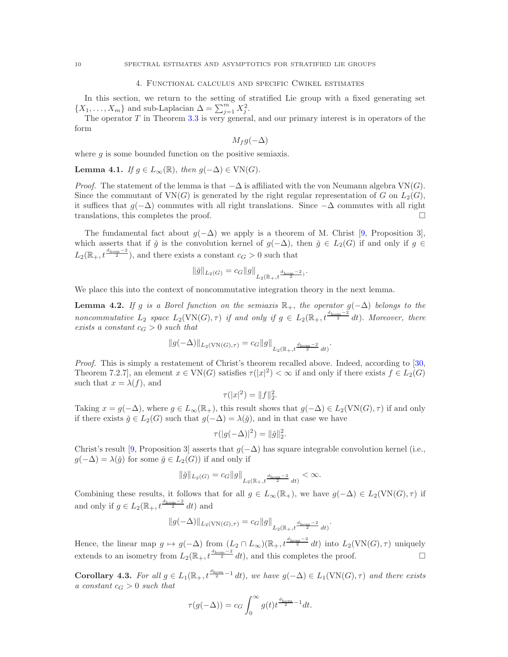## 4. Functional calculus and specific Cwikel estimates

In this section, we return to the setting of stratified Lie group with a fixed generating set  $\{X_1, \ldots, X_m\}$  and sub-Laplacian  $\Delta = \sum_{j=1}^m X_j^2$ .

The operator  $T$  in Theorem [3.3](#page-8-0) is very general, and our primary interest is in operators of the form

$$
M_f g(-\Delta)
$$

where  $g$  is some bounded function on the positive semiaxis.

**Lemma 4.1.** If  $g \in L_{\infty}(\mathbb{R})$ , then  $g(-\Delta) \in \text{VN}(G)$ .

*Proof.* The statement of the lemma is that  $-\Delta$  is affiliated with the von Neumann algebra VN(G). Since the commutant of  $VN(G)$  is generated by the right regular representation of G on  $L_2(G)$ , it suffices that  $g(-\Delta)$  commutes with all right translations. Since  $-\Delta$  commutes with all right translations, this completes the proof.

The fundamental fact about  $g(-\Delta)$  we apply is a theorem of M. Christ [\[9,](#page-34-11) Proposition 3], which asserts that if  $\check{g}$  is the convolution kernel of  $g(-\Delta)$ , then  $\check{g} \in L_2(G)$  if and only if  $g \in$  $L_2(\mathbb{R}_+, t^{\frac{d_{\text{hom}}-2}{2}})$ , and there exists a constant  $c_G > 0$  such that

$$
\|\check{g}\|_{L_2(G)} = c_G \|g\|_{L_2(\mathbb{R}_+, t^{\frac{d_{\text{hom}}-2}{2})}}.
$$

We place this into the context of noncommutative integration theory in the next lemma.

<span id="page-9-0"></span>**Lemma 4.2.** If g is a Borel function on the semiaxis  $\mathbb{R}_+$ , the operator  $g(-\Delta)$  belongs to the noncommutative  $L_2$  space  $L_2(VN(G), \tau)$  if and only if  $g \in L_2(\mathbb{R}_+, t^{\frac{d_{\text{hom}}-2}{2}} dt)$ . Moreover, there exists a constant  $c_G > 0$  such that

$$
\|g(-\Delta)\|_{L_2(\mathrm{VN}(G),\tau)}=c_G\|g\|_{L_2(\mathbb{R}_+,t^{\frac{d_{\mathrm{hom}}-2}{2}}\,dt)}.
$$

Proof. This is simply a restatement of Christ's theorem recalled above. Indeed, according to [\[30,](#page-35-19) Theorem 7.2.7, an element  $x \in VN(G)$  satisfies  $\tau(|x|^2) < \infty$  if and only if there exists  $f \in L_2(G)$ such that  $x = \lambda(f)$ , and

$$
\tau(|x|^2) = ||f||_2^2.
$$

Taking  $x = g(-\Delta)$ , where  $g \in L_\infty(\mathbb{R}_+)$ , this result shows that  $g(-\Delta) \in L_2(VN(G), \tau)$  if and only if there exists  $\check{g} \in L_2(G)$  such that  $g(-\Delta) = \lambda(\check{g})$ , and in that case we have

$$
\tau(|g(-\Delta)|^2) = \|\check{g}\|_2^2.
$$

Christ's result [\[9,](#page-34-11) Proposition 3] asserts that  $g(-\Delta)$  has square integrable convolution kernel (i.e.,  $g(-\Delta) = \lambda(\check{g})$  for some  $\check{g} \in L_2(G)$  if and only if

$$
\|\check{g}\|_{L_2(G)}=c_G\|g\|_{L_2(\mathbb{R}_+,t^{\frac{d_{\mathrm{hom}}-2}{2}}\,dt)}<\infty.
$$

Combining these results, it follows that for all  $g \in L_{\infty}(\mathbb{R}_+),$  we have  $g(-\Delta) \in L_2(VN(G), \tau)$  if and only if  $g \in L_2(\mathbb{R}_+, t^{\frac{d_{\text{hom}}-2}{2}} dt)$  and

$$
||g(-\Delta)||_{L_2(VN(G),\tau)} = c_G ||g||_{L_2(\mathbb{R}_+,t^{\frac{d_{\text{hom}}-2}{2}} dt)}.
$$

Hence, the linear map  $g \mapsto g(-\Delta)$  from  $(L_2 \cap L_{\infty})(\mathbb{R}_+, t^{\frac{d_{\text{hom}}-2}{2}} dt)$  into  $L_2(VN(G), \tau)$  uniquely extends to an isometry from  $L_2(\mathbb{R}_+, t^{\frac{d_{\text{hom}}-2}{2}} dt)$ , and this completes the proof.

<span id="page-9-1"></span>**Corollary 4.3.** For all  $g \in L_1(\mathbb{R}_+, t^{\frac{d_{\text{hom}}}{2}-1} dt)$ , we have  $g(-\Delta) \in L_1(VN(G), \tau)$  and there exists a constant  $c_G > 0$  such that

$$
\tau(g(-\Delta)) = c_G \int_0^\infty g(t) t^{\frac{d_{\text{hom}}}{2} - 1} dt.
$$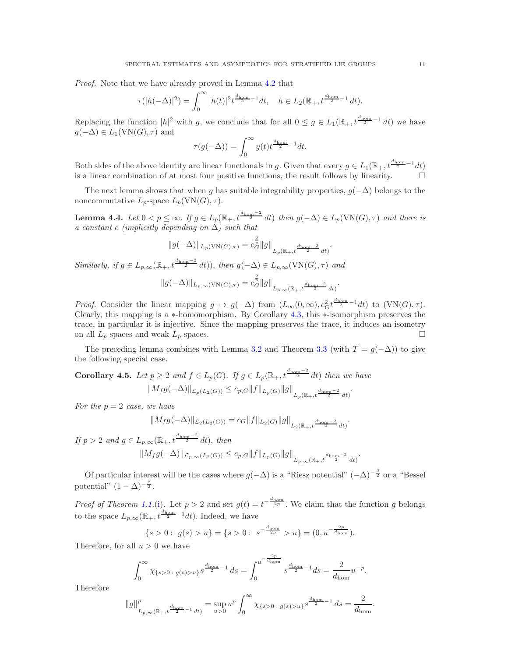Proof. Note that we have already proved in Lemma [4.2](#page-9-0) that

$$
\tau(|h(-\Delta)|^2) = \int_0^\infty |h(t)|^2 t^{\frac{d_{\text{hom}}}{2} - 1} dt, \quad h \in L_2(\mathbb{R}_+, t^{\frac{d_{\text{hom}}}{2} - 1} dt).
$$

Replacing the function  $|h|^2$  with g, we conclude that for all  $0 \leq g \in L_1(\mathbb{R}_+, t^{\frac{d_{\text{hom}}}{2}-1} dt)$  we have  $g(-\Delta) \in L_1(VN(G), \tau)$  and

$$
\tau(g(-\Delta)) = \int_0^\infty g(t)t^{\frac{d_{\text{hom}}}{2}-1}dt.
$$

Both sides of the above identity are linear functionals in g. Given that every  $g \in L_1(\mathbb{R}_+, t^{\frac{d_{\text{hom}}}{2}-1} dt)$ is a linear combination of at most four positive functions, the result follows by linearity.  $\Box$ 

The next lemma shows that when g has suitable integrability properties,  $g(-\Delta)$  belongs to the noncommutative  $L_p$ -space  $L_p(VN(G), \tau)$ .

<span id="page-10-1"></span>**Lemma 4.4.** Let  $0 < p \le \infty$ . If  $g \in L_p(\mathbb{R}_+, t^{\frac{d_{\text{hom}}-2}{2}} dt)$  then  $g(-\Delta) \in L_p(\text{VN}(G), \tau)$  and there is a constant c (implicitly depending on  $\Delta$ ) such that

$$
||g(-\Delta)||_{L_p(\text{VN}(G),\tau)} = c_G^{\frac{2}{p}} ||g||_{L_p(\mathbb{R}_+,t^{\frac{d_{\text{hom}}-2}{2}} dt)}.
$$

Similarly, if  $g \in L_{p,\infty}(\mathbb{R}_+, t^{\frac{d_{\text{hom}}-2}{2}} dt)$ , then  $g(-\Delta) \in L_{p,\infty}(\text{VN}(G), \tau)$  and

$$
||g(-\Delta)||_{L_{p,\infty}(\text{VN}(G),\tau)} = c_G^{\frac{2}{p}} ||g||_{L_{p,\infty}(\mathbb{R}_+,t^{\frac{d_{\text{hom}}-2}{2}} dt)}.
$$

*Proof.* Consider the linear mapping  $g \mapsto g(-\Delta)$  from  $(L_\infty(0,\infty), c_G^2 t^{\frac{d_{\text{hom}}}{2}-1} dt)$  to  $(\text{VN}(G), \tau)$ . Clearly, this mapping is a ∗-homomorphism. By Corollary [4.3,](#page-9-1) this ∗-isomorphism preserves the trace, in particular it is injective. Since the mapping preserves the trace, it induces an isometry on all  $L_p$  spaces and weak  $L_p$  spaces.

The preceding lemma combines with Lemma [3.2](#page-7-1) and Theorem [3.3](#page-8-0) (with  $T = g(-\Delta)$ ) to give the following special case.

<span id="page-10-0"></span>**Corollary 4.5.** Let  $p \geq 2$  and  $f \in L_p(G)$ . If  $g \in L_p(\mathbb{R}_+, t^{\frac{d_{\text{hom}}-2}{2}} dt)$  then we have  $||M_f g(-\Delta)||_{\mathcal{L}_p(L_2(G))} \leq c_{p,G} ||f||_{L_p(G)} ||g||_{L_p(\mathbb{R}_+, t^{\frac{d_{\text{hom}}-2}{2}} dt)}.$ 

For the  $p = 2$  case, we have

$$
||M_f g(-\Delta)||_{\mathcal{L}_2(L_2(G))} = c_G ||f||_{L_2(G)} ||g||_{L_2(\mathbb{R}_+, t^{\frac{d_{\text{hom}}-2}{2}} dt)}.
$$

If  $p > 2$  and  $g \in L_{p,\infty}(\mathbb{R}_+, t^{\frac{d_{\text{hom}}-2}{2}} dt)$ , then  $||M_f g(-\Delta)||_{\mathcal{L}_{p,\infty}(L_2(G))} \leq c_{p,G} ||f||_{L_p(G)} ||g||_{L_{p,\infty}(\mathbb{R}_+,t^{\frac{d_{\text{hom}}-2}{2}} dt)}.$ 

Of particular interest will be the cases where  $g(-\Delta)$  is a "Riesz potential"  $(-\Delta)^{-\frac{\beta}{2}}$  or a "Bessel potential"  $(1 - \Delta)^{-\frac{\beta}{2}}$ .

*Proof of Theorem [1.1.](#page-1-0)*[\(i\)](#page-1-1). Let  $p > 2$  and set  $g(t) = t^{-\frac{d_{\text{hom}}}{2p}}$ . We claim that the function g belongs to the space  $L_{p,\infty}(\mathbb{R}_+, t^{\frac{d_{\text{hom}}}{2}-1}dt)$ . Indeed, we have

$$
\{s>0: g(s) > u\} = \{s>0: s^{-\frac{d_{\text{hom}}}{2p}} > u\} = (0, u^{-\frac{2p}{d_{\text{hom}}}}).
$$

Therefore, for all  $u > 0$  we have

$$
\int_0^\infty \chi_{\{s>0\ : \ g(s)>u\}} s^{\frac{d_{\text{hom}}}{2}-1} ds = \int_0^{u^{-\frac{2p}{d_{\text{hom}}}}}\frac{s^{\frac{d_{\text{hom}}}{2}-1}}{s^{\frac{d_{\text{hom}}}{2}-1}} ds = \frac{2}{d_{\text{hom}}}u^{-p}
$$

.

Therefore

$$
||g||_{L_{p,\infty}(\mathbb{R}_+,t^{\frac{d_{\text{hom}}}{2}-1}dt)}^p = \sup_{u>0} u^p \int_0^\infty \chi_{\{s>0\;:\;g(s)>u\}} s^{\frac{d_{\text{hom}}}{2}-1} ds = \frac{2}{d_{\text{hom}}}.
$$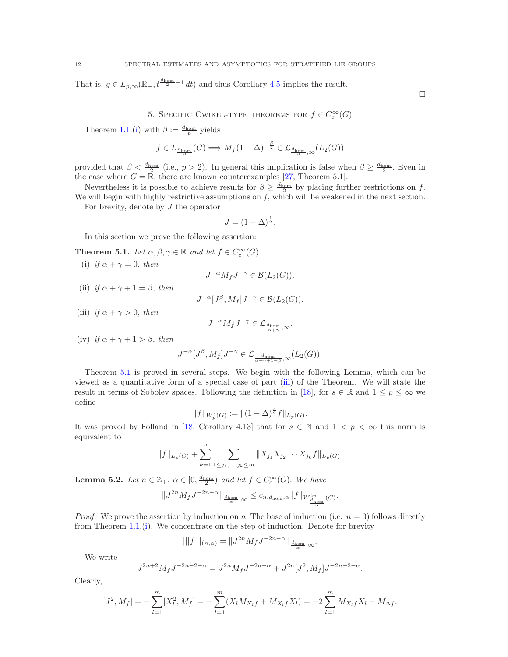That is,  $g \in L_{p,\infty}(\mathbb{R}_+, t^{\frac{d_{\text{hom}}}{2}-1} dt)$  and thus Corollary [4.5](#page-10-0) implies the result.

5. SPECIFIC CWIKEL-TYPE THEOREMS FOR  $f \in C_c^{\infty}(G)$ 

Theorem [1.1.](#page-1-0)[\(i\)](#page-1-1) with  $\beta := \frac{d_{\text{hom}}}{p}$  yields

$$
f \in L_{\frac{d_{\text{hom}}}{\beta}}(G) \Longrightarrow M_f (1 - \Delta)^{-\frac{\beta}{2}} \in \mathcal{L}_{\frac{d_{\text{hom}}}{\beta}, \infty}(L_2(G))
$$

provided that  $\beta < \frac{d_{\text{hom}}}{2}$  (i.e.,  $p > 2$ ). In general this implication is false when  $\beta \ge \frac{d_{\text{hom}}}{2}$ . Even in the case where  $G = \overline{\mathbb{R}}$ , there are known counterexamples [\[27,](#page-35-3) Theorem 5.1].

Nevertheless it is possible to achieve results for  $\beta \geq \frac{d_{\text{hom}}}{2}$  by placing further restrictions on f. We will begin with highly restrictive assumptions on  $f$ , which will be weakened in the next section.

For brevity, denote by  $J$  the operator

$$
J = (1 - \Delta)^{\frac{1}{2}}.
$$

In this section we prove the following assertion:

<span id="page-11-2"></span><span id="page-11-0"></span>**Theorem 5.1.** Let  $\alpha, \beta, \gamma \in \mathbb{R}$  and let  $f \in C_c^{\infty}(G)$ .

(i) if  $\alpha + \gamma = 0$ , then

 $J^{-\alpha} M_f J^{-\gamma} \in \mathcal{B}(L_2(G)).$ 

<span id="page-11-4"></span>(ii) if  $\alpha + \gamma + 1 = \beta$ , then

$$
J^{-\alpha}[J^{\beta}, M_f]J^{-\gamma} \in \mathcal{B}(L_2(G)).
$$

<span id="page-11-1"></span>(iii) if  $\alpha + \gamma > 0$ , then

$$
J^{-\alpha}M_fJ^{-\gamma}\in\mathcal{L}_{\frac{d_{\mathrm{hom}}}{\alpha+\gamma},\infty}.
$$

<span id="page-11-5"></span>(iv) if  $\alpha + \gamma + 1 > \beta$ , then

$$
J^{-\alpha}[J^\beta,M_f]J^{-\gamma}\in\mathcal{L}_{\frac{d_{\text{hom}}}{\alpha+\gamma+1-\beta},\infty}(L_2(G)).
$$

Theorem [5.1](#page-11-0) is proved in several steps. We begin with the following Lemma, which can be viewed as a quantitative form of a special case of part [\(iii\)](#page-11-1) of the Theorem. We will state the result in terms of Sobolev spaces. Following the definition in [\[18\]](#page-35-0), for  $s \in \mathbb{R}$  and  $1 \leq p \leq \infty$  we define

$$
||f||_{W_p^s(G)} := ||(1-\Delta)^{\frac{s}{2}}f||_{L_p(G)}.
$$

It was proved by Folland in [\[18,](#page-35-0) Corollary 4.13] that for  $s \in \mathbb{N}$  and  $1 < p < \infty$  this norm is equivalent to

$$
||f||_{L_p(G)} + \sum_{k=1}^s \sum_{1 \leq j_1, \dots, j_k \leq m} ||X_{j_1} X_{j_2} \cdots X_{j_k} f||_{L_p(G)}.
$$

<span id="page-11-3"></span>**Lemma 5.2.** Let  $n \in \mathbb{Z}_+$ ,  $\alpha \in [0, \frac{d_{\text{hom}}}{2})$  and let  $f \in C_c^{\infty}(G)$ . We have

$$
\|J^{2n}M_fJ^{-2n-\alpha}\|_{\frac{d_{\mathrm{hom}}}{\alpha},\infty}\leq c_{n,d_{\mathrm{hom}},\alpha}\|f\|_{W^{2n}_{\frac{d_{\mathrm{hom}}}{\alpha}}(G)}.
$$

*Proof.* We prove the assertion by induction on n. The base of induction (i.e.  $n = 0$ ) follows directly from Theorem [1.1.](#page-1-0)[\(i\)](#page-1-1). We concentrate on the step of induction. Denote for brevity

$$
|||f|||_{(n,\alpha)} = ||J^{2n} M_f J^{-2n-\alpha}||_{\frac{d_{\text{hom}}}{\alpha},\infty}.
$$

We write

$$
J^{2n+2}M_f J^{-2n-2-\alpha} = J^{2n}M_f J^{-2n-\alpha} + J^{2n} [J^2, M_f] J^{-2n-2-\alpha}.
$$

Clearly,

$$
[J^2, M_f] = -\sum_{l=1}^m [X_l^2, M_f] = -\sum_{l=1}^m (X_l M_{X_l f} + M_{X_l f} X_l) = -2\sum_{l=1}^m M_{X_l f} X_l - M_{\Delta f}.
$$

 $\Box$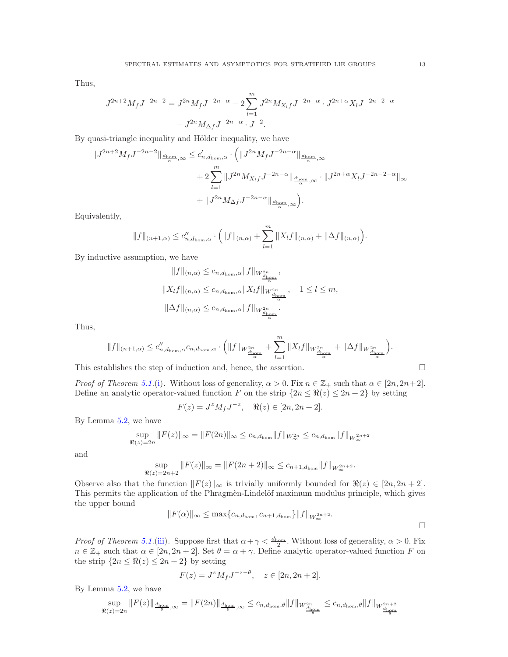Thus,

$$
J^{2n+2}M_fJ^{-2n-2} = J^{2n}M_fJ^{-2n-\alpha} - 2\sum_{l=1}^m J^{2n}M_{X_lf}J^{-2n-\alpha} \cdot J^{2n+\alpha}X_lJ^{-2n-2-\alpha}
$$

$$
-J^{2n}M_{\Delta f}J^{-2n-\alpha} \cdot J^{-2}.
$$

By quasi-triangle inequality and Hölder inequality, we have

$$
\begin{split} \Vert J^{2n+2}M_{f}J^{-2n-2}\Vert_{\frac{d_{\mathrm{hom}}}{\alpha},\infty} &\leq c'_{n,d_{\mathrm{hom}},\alpha}\cdot\bigg(\Vert J^{2n}M_{f}J^{-2n-\alpha}\Vert_{\frac{d_{\mathrm{hom}}}{\alpha},\infty}\\ &+2\sum_{l=1}^{m}\Vert J^{2n}M_{X_{l}f}J^{-2n-\alpha}\Vert_{\frac{d_{\mathrm{hom}}}{\alpha},\infty}\cdot\Vert J^{2n+\alpha}X_{l}J^{-2n-2-\alpha}\Vert_{\infty}\\ &+\Vert J^{2n}M_{\Delta f}J^{-2n-\alpha}\Vert_{\frac{d_{\mathrm{hom}}}{\alpha},\infty}\bigg). \end{split}
$$

Equivalently,

$$
||f||_{(n+1,\alpha)} \leq c''_{n,d_{\text{hom}},\alpha} \cdot (||f||_{(n,\alpha)} + \sum_{l=1}^{m} ||X_l f||_{(n,\alpha)} + ||\Delta f||_{(n,\alpha)}).
$$

By inductive assumption, we have

$$
||f||_{(n,\alpha)} \leq c_{n,d_{\text{hom}},\alpha} ||f||_{W_{d_{\text{hom}}^n}^2},
$$
  

$$
||X_l f||_{(n,\alpha)} \leq c_{n,d_{\text{hom}},\alpha} ||X_l f||_{W_{d_{\text{hom}}^n}^2}, \quad 1 \leq l \leq m,
$$
  

$$
||\Delta f||_{(n,\alpha)} \leq c_{n,d_{\text{hom}},\alpha} ||f||_{W_{d_{\text{hom}}^n}^2}.
$$

Thus,

$$
\|f\|_{(n+1,\alpha)}\leq c_{n,d_{\text{hom}},\alpha}''c_{n,d_{\text{hom}},\alpha}\cdot\Big(\|f\|_{W^{2n}_{\frac{d_{\text{hom}}}{\alpha}}}+\sum_{l=1}^{m}\|X_lf\|_{W^{2n}_{\frac{d_{\text{hom}}}{\alpha}}}+\|\Delta f\|_{W^{2n}_{\frac{d_{\text{hom}}}{\alpha}}}\Big).
$$

This establishes the step of induction and, hence, the assertion.  $\Box$ 

*Proof of Theorem 5.1.*(i). Without loss of generality, 
$$
\alpha > 0
$$
. Fix  $n \in \mathbb{Z}_+$  such that  $\alpha \in [2n, 2n+2]$ .  
Define an analytic operator-valued function F on the strip  $\{2n \leq \Re(z) \leq 2n+2\}$  by setting

$$
F(z) = J^z M_f J^{-z}, \quad \Re(z) \in [2n, 2n+2].
$$

By Lemma [5.2,](#page-11-3) we have

$$
\sup_{\Re(z)=2n} ||F(z)||_{\infty} = ||F(2n)||_{\infty} \le c_{n,d_{\text{hom}}} ||f||_{W_{\infty}^{2n}} \le c_{n,d_{\text{hom}}} ||f||_{W_{\infty}^{2n+2}}
$$

and

$$
\sup_{\Re(z)=2n+2} ||F(z)||_{\infty} = ||F(2n+2)||_{\infty} \le c_{n+1,d_{\text{hom}}} ||f||_{W_{\infty}^{2n+2}}
$$

Observe also that the function  $||F(z)||_{\infty}$  is trivially uniformly bounded for  $\Re(z) \in [2n, 2n + 2]$ . This permits the application of the Phragmèn-Lindelöf maximum modulus principle, which gives the upper bound

$$
||F(\alpha)||_{\infty} \leq \max\{c_{n,d_{\text{hom}}}, c_{n+1,d_{\text{hom}}}\}||f||_{W_{\infty}^{2n+2}}.
$$

.

*Proof of Theorem 5.1* [\(iii\)](#page-11-1). Suppose first that  $\alpha + \gamma < \frac{d_{\text{hom}}}{2}$ . Without loss of generality,  $\alpha > 0$ . Fix  $n \in \mathbb{Z}_+$  such that  $\alpha \in [2n, 2n+2]$ . Set  $\theta = \alpha + \gamma$ . Define analytic operator-valued function F on the strip  $\{2n \leq \Re(z) \leq 2n+2\}$  by setting

$$
F(z) = J^z M_f J^{-z-\theta}, \quad z \in [2n, 2n+2].
$$

By Lemma [5.2,](#page-11-3) we have

$$
\sup_{\Re(z)=2n} \|F(z)\|_{\frac{d_{\text{hom}}}{\theta},\infty} = \|F(2n)\|_{\frac{d_{\text{hom}}}{\theta},\infty} \leq c_{n,d_{\text{hom}},\theta} \|f\|_{W_{\frac{d_{\text{hom}}}{\theta}}^{2n}} \leq c_{n,d_{\text{hom}},\theta} \|f\|_{W_{\frac{d_{\text{hom}}}{\theta}}^{2n+2}}
$$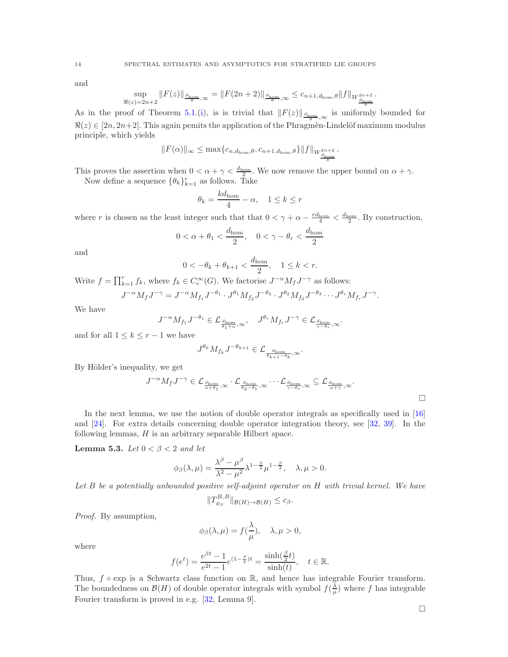and

$$
\sup_{\Re(z)=2n+2} \|F(z)\|_{\frac{d_{\mathrm{hom}}}{\theta},\infty} = \|F(2n+2)\|_{\frac{d_{\mathrm{hom}}}{\theta},\infty} \leq c_{n+1,d_{\mathrm{hom}},\theta} \|f\|_{W^{2n+2}_{\frac{d_{\mathrm{hom}}}{\theta}}}.
$$

As in the proof of Theorem [5.1.](#page-11-0)[\(i\)](#page-11-2), is is trivial that  $||F(z)||_{\frac{d_{\text{hom}}}{\theta},\infty}$  is uniformly bounded for  $\Re(z) \in [2n, 2n+2]$ . This again pemits the application of the Phragmèn-Lindelöf maximum modulus principle, which yields

$$
||F(\alpha)||_{\infty} \leq \max\{c_{n,d_{\text{hom}},\theta},c_{n+1,d_{\text{hom}},\theta}\}||f||_{W^{\frac{2n+2}{d_{\text{hom}}}}_{\frac{d_{\text{hom}}}{d_{\text{hom}}}}.
$$

This proves the assertion when  $0 < \alpha + \gamma < \frac{d_{\text{hom}}}{2}$ . We now remove the upper bound on  $\alpha + \gamma$ . Now define a sequence  $\{\theta_k\}_{k=1}^r$  as follows. Take

$$
\theta_k = \frac{k d_{\text{hom}}}{4} - \alpha, \quad 1 \le k \le r
$$

where r is chosen as the least integer such that that  $0 < \gamma + \alpha - \frac{r_{\text{dom}}}{4} < \frac{d_{\text{hom}}}{2}$ . By construction,

$$
0 < \alpha + \theta_1 < \frac{d_{\text{hom}}}{2}, \quad 0 < \gamma - \theta_r < \frac{d_{\text{hom}}}{2}
$$

and

$$
0 < -\theta_k + \theta_{k+1} < \frac{d_{\text{hom}}}{2}, \quad 1 \le k < r.
$$

Write  $f = \prod_{k=1}^r f_k$ , where  $f_k \in C_c^{\infty}(G)$ . We factorise  $J^{-\alpha} M_f J^{-\gamma}$  as follows:

$$
J^{-\alpha} M_f J^{-\gamma} = J^{-\alpha} M_{f_1} J^{-\theta_1} \cdot J^{\theta_1} M_{f_2} J^{-\theta_2} \cdot J^{\theta_2} M_{f_2} J^{-\theta_3} \cdots J^{\theta_r} M_{f_r} J^{-\gamma}.
$$

We have

$$
J^{-\alpha}M_{f_1}J^{-\theta_1}\in\mathcal{L}_{\frac{d_{\mathrm{hom}}}{\theta_1+\alpha},\infty},\quad J^{\theta_r}M_{f_r}J^{-\gamma}\in\mathcal{L}_{\frac{d_{\mathrm{hom}}}{\gamma-\theta_r},\infty}.
$$

and for all  $1 \leq k \leq r-1$  we have

$$
J^{\theta_k}M_{f_k}J^{-\theta_{k+1}}\in\mathcal{L}_{\frac{d_{\mathrm{hom}}}{\theta_{k+1}-\theta_k},\infty}.
$$

By Hölder's inequality, we get

$$
J^{-\alpha} M_f J^{-\gamma} \in \mathcal{L}_{\frac{d_{\text{hom}}}{\alpha + \theta_1}, \infty} \cdot \mathcal{L}_{\frac{d_{\text{hom}}}{\theta_2 - \theta_1}, \infty} \cdots \mathcal{L}_{\frac{d_{\text{hom}}}{\gamma - \theta_r}, \infty} \subseteq \mathcal{L}_{\frac{d_{\text{hom}}}{\alpha + \gamma}, \infty}.
$$

In the next lemma, we use the notion of double operator integrals as specifically used in [\[16\]](#page-35-22) and [\[24\]](#page-35-23). For extra details concerning double operator integration theory, see [\[32,](#page-35-24) [39\]](#page-35-25). In the following lemmas,  $H$  is an arbitrary separable Hilbert space.

<span id="page-13-0"></span>**Lemma 5.3.** Let  $0 < \beta < 2$  and let

$$
\phi_{\beta}(\lambda,\mu) = \frac{\lambda^{\beta} - \mu^{\beta}}{\lambda^2 - \mu^2} \lambda^{1 - \frac{\beta}{2}} \mu^{1 - \frac{\beta}{2}}, \quad \lambda, \mu > 0.
$$

Let B be a potentially unbounded positive self-adjoint operator on H with trivial kernel. We have

$$
||T_{\phi_{\beta}}^{B,B}||_{\mathcal{B}(H)\to\mathcal{B}(H)}\leq c_{\beta}.
$$

Proof. By assumption,

$$
\phi_{\beta}(\lambda,\mu) = f(\frac{\lambda}{\mu}), \quad \lambda, \mu > 0,
$$

where

$$
f(e^t) = \frac{e^{\beta t} - 1}{e^{2t} - 1} e^{(1 - \frac{\beta}{2})t} = \frac{\sinh(\frac{\beta}{2}t)}{\sinh(t)}, \quad t \in \mathbb{R}.
$$

Thus,  $f \circ \exp$  is a Schwartz class function on R, and hence has integrable Fourier transform. The boundedness on  $\mathcal{B}(H)$  of double operator integrals with symbol  $f(\frac{\lambda}{\mu})$  where f has integrable Fourier transform is proved in e.g. [\[32,](#page-35-24) Lemma 9].

 $\Box$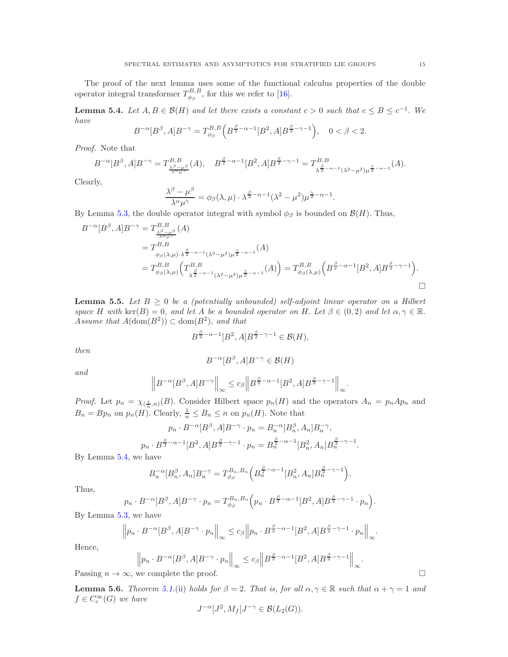The proof of the next lemma uses some of the functional calculus properties of the double operator integral transformer  $T^{B,B}_{\phi_\beta}$ , for this we refer to [\[16\]](#page-35-22).

<span id="page-14-0"></span>**Lemma 5.4.** Let  $A, B \in \mathcal{B}(H)$  and let there exists a constant  $c > 0$  such that  $c \leq B \leq c^{-1}$ . We have

$$
B^{-\alpha}[B^{\beta},A]B^{-\gamma} = T_{\phi_{\beta}}^{B,B}\left(B^{\frac{\beta}{2}-\alpha-1}[B^2,A]B^{\frac{\beta}{2}-\gamma-1}\right), \quad 0 < \beta < 2.
$$

Proof. Note that

$$
B^{-\alpha}[B^{\beta},A]B^{-\gamma} = T^{B,B}_{\frac{\lambda^{\beta}-\mu^{\beta}}{\lambda^{\alpha}\mu^{\gamma}}}(A), \quad B^{\frac{\beta}{2}-\alpha-1}[B^{2},A]B^{\frac{\beta}{2}-\gamma-1} = T^{B,B}_{\frac{\beta}{\lambda^{\frac{\beta}{2}-\alpha-1}}(\lambda^{2}-\mu^{2})\mu^{\frac{\gamma}{2}-\alpha-1}}(A).
$$

Clearly,

$$
\frac{\lambda^{\beta} - \mu^{\beta}}{\lambda^{\alpha} \mu^{\gamma}} = \phi_{\beta}(\lambda, \mu) \cdot \lambda^{\frac{\beta}{2} - \alpha - 1} (\lambda^2 - \mu^2) \mu^{\frac{\gamma}{2} - \alpha - 1}
$$

.

.

By Lemma [5.3,](#page-13-0) the double operator integral with symbol  $\phi_\beta$  is bounded on  $\mathcal{B}(H)$ . Thus,

$$
B^{-\alpha}[B^{\beta}, A]B^{-\gamma} = T^{B, B}_{\substack{\lambda^{\beta} - \mu^{\beta} \\ \lambda^{\alpha} + \lambda^{\beta} \\ \phi_{\beta}(\lambda, \mu) \cdot \lambda^{\frac{\beta}{2} - \alpha - 1}(\lambda^2 - \mu^2)\mu^{\frac{\gamma}{2} - \alpha - 1}}(A)
$$
  
=  $T^{B, B}_{\phi_{\beta}(\lambda, \mu)} \left( T^{B, B}_{\lambda^{\frac{\beta}{2} - \alpha - 1}(\lambda^2 - \mu^2)\mu^{\frac{\gamma}{2} - \alpha - 1}}(A) \right) = T^{B, B}_{\phi_{\beta}(\lambda, \mu)} \left( B^{\frac{\beta}{2} - \alpha - 1}[B^2, A]B^{\frac{\beta}{2} - \gamma - 1} \right).$ 

<span id="page-14-1"></span>**Lemma 5.5.** Let  $B \geq 0$  be a (potentially unbounded) self-adjoint linear operator on a Hilbert space H with ker(B) = 0, and let A be a bounded operator on H. Let  $\beta \in (0,2)$  and let  $\alpha, \gamma \in \mathbb{R}$ . Assume that  $A(\text{dom}(B^2)) \subset \text{dom}(B^2)$ , and that

$$
B^{\frac{\beta}{2}-\alpha-1}[B^2,A]B^{\frac{\beta}{2}-\gamma-1}\in \mathcal{B}(H),
$$

then

$$
B^{-\alpha}[B^{\beta},A]B^{-\gamma}\in\mathcal{B}(H)
$$

and

$$
\left\| B^{-\alpha}[B^{\beta},A]B^{-\gamma}\right\|_{\infty}\leq c_{\beta}\left\| B^{\frac{\beta}{2}-\alpha-1}[B^2,A]B^{\frac{\beta}{2}-\gamma-1}\right\|_{\infty}
$$

*Proof.* Let  $p_n = \chi_{(\frac{1}{n},n)}(B)$ . Consider Hilbert space  $p_n(H)$  and the operators  $A_n = p_n A p_n$  and  $B_n = Bp_n$  on  $p_n(H)$ . Clearly,  $\frac{1}{n} \leq B_n \leq n$  on  $p_n(H)$ . Note that

$$
p_n \cdot B^{-\alpha} [B^{\beta}, A] B^{-\gamma} \cdot p_n = B_n^{-\alpha} [B_n^{\beta}, A_n] B_n^{-\gamma},
$$
  

$$
p_n \cdot B^{\frac{\beta}{2} - \alpha - 1} [B^2, A] B^{\frac{\beta}{2} - \gamma - 1} \cdot p_n = B_n^{\frac{\beta}{2} - \alpha - 1} [B_n^2, A_n] B_n^{\frac{\beta}{2} - \gamma - 1}.
$$

By Lemma [5.4,](#page-14-0) we have

$$
B_n^{-\alpha}[B_n^{\beta}, A_n]B_n^{-\gamma} = T_{\phi_{\beta}}^{B_n, B_n} \left( B_n^{\frac{\beta}{2}-\alpha-1}[B_n^2, A_n]B_n^{\frac{\beta}{2}-\gamma-1} \right).
$$

Thus,

$$
p_n \cdot B^{-\alpha}[B^{\beta}, A]B^{-\gamma} \cdot p_n = T_{\phi_{\beta}}^{B_n, B_n} \Big( p_n \cdot B^{\frac{\beta}{2} - \alpha - 1}[B^2, A]B^{\frac{\beta}{2} - \gamma - 1} \cdot p_n \Big).
$$

By Lemma [5.3,](#page-13-0) we have

$$
\left\| p_n \cdot B^{-\alpha}[B^{\beta}, A] B^{-\gamma} \cdot p_n \right\|_{\infty} \le c_{\beta} \left\| p_n \cdot B^{\frac{\beta}{2} - \alpha - 1}[B^2, A] B^{\frac{\beta}{2} - \gamma - 1} \cdot p_n \right\|_{\infty}.
$$

Hence,

$$
\left\| p_n \cdot B^{-\alpha} [B^{\beta}, A] B^{-\gamma} \cdot p_n \right\|_{\infty} \le c_{\beta} \left\| B^{\frac{\beta}{2} - \alpha - 1} [B^2, A] B^{\frac{\beta}{2} - \gamma - 1} \right\|_{\infty}.
$$

Passing  $n \to \infty$ , we complete the proof.

<span id="page-14-2"></span>**Lemma 5.6.** Theorem [5.1.](#page-11-0)[\(ii\)](#page-11-4) holds for  $\beta = 2$ . That is, for all  $\alpha, \gamma \in \mathbb{R}$  such that  $\alpha + \gamma = 1$  and  $f \in C_c^{\infty}(G)$  we have

$$
J^{-\alpha}[J^2, M_f]J^{-\gamma} \in \mathcal{B}(L_2(G)).
$$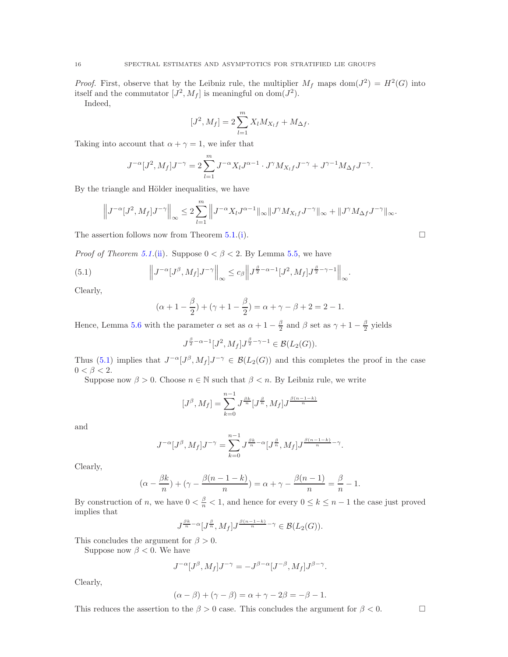*Proof.* First, observe that by the Leibniz rule, the multiplier  $M_f$  maps dom $(J^2) = H^2(G)$  into itself and the commutator  $[J^2, M_f]$  is meaningful on dom $(J^2)$ .

Indeed,

$$
[J^2, M_f] = 2 \sum_{l=1}^{m} X_l M_{X_l f} + M_{\Delta f}.
$$

Taking into account that  $\alpha + \gamma = 1$ , we infer that

$$
J^{-\alpha}[J^2, M_f]J^{-\gamma} = 2\sum_{l=1}^m J^{-\alpha}X_lJ^{\alpha-1} \cdot J^{\gamma}M_{X_lf}J^{-\gamma} + J^{\gamma-1}M_{\Delta f}J^{-\gamma}.
$$

By the triangle and Hölder inequalities, we have

$$
\left\|J^{-\alpha}[J^2, M_f]J^{-\gamma}\right\|_{\infty} \leq 2\sum_{l=1}^m \left\|J^{-\alpha}X_lJ^{\alpha-1}\|_{\infty}\|J^{\gamma}M_{X_lf}J^{-\gamma}\|_{\infty}+\|J^{\gamma}M_{\Delta f}J^{-\gamma}\|_{\infty}.
$$

The assertion follows now from Theorem [5.1.](#page-11-0)[\(i\)](#page-11-2).  $\square$ 

*Proof of Theorem [5.1.](#page-11-0)*[\(ii\)](#page-11-4). Suppose  $0 < \beta < 2$ . By Lemma [5.5,](#page-14-1) we have

(5.1) 
$$
\left\|J^{-\alpha}[J^{\beta}, M_f]J^{-\gamma}\right\|_{\infty} \leq c_{\beta}\left\|J^{\frac{\beta}{2}-\alpha-1}[J^2, M_f]J^{\frac{\beta}{2}-\gamma-1}\right\|_{\infty}.
$$

Clearly,

<span id="page-15-0"></span>
$$
(\alpha + 1 - \frac{\beta}{2}) + (\gamma + 1 - \frac{\beta}{2}) = \alpha + \gamma - \beta + 2 = 2 - 1.
$$

Hence, Lemma [5.6](#page-14-2) with the parameter  $\alpha$  set as  $\alpha + 1 - \frac{\beta}{2}$  and  $\beta$  set as  $\gamma + 1 - \frac{\beta}{2}$  yields

$$
J^{\frac{\beta}{2}-\alpha-1}[J^2,M_f]J^{\frac{\beta}{2}-\gamma-1}\in \mathcal B(L_2(G)).
$$

Thus [\(5.1\)](#page-15-0) implies that  $J^{-\alpha} [J^{\beta}, M_f] J^{-\gamma} \in \mathcal{B}(L_2(G))$  and this completes the proof in the case  $0 < \beta < 2$ .

Suppose now  $\beta > 0$ . Choose  $n \in \mathbb{N}$  such that  $\beta < n$ . By Leibniz rule, we write

$$
[J^{\beta}, M_f] = \sum_{k=0}^{n-1} J^{\frac{\beta k}{n}} [J^{\frac{\beta}{n}}, M_f] J^{\frac{\beta(n-1-k)}{n}}
$$

and

$$
J^{-\alpha}[J^{\beta}, M_f]J^{-\gamma} = \sum_{k=0}^{n-1} J^{\frac{\beta k}{n}-\alpha}[J^{\frac{\beta}{n}}, M_f]J^{\frac{\beta(n-1-k)}{n}-\gamma}.
$$

Clearly,

$$
(\alpha - \frac{\beta k}{n}) + (\gamma - \frac{\beta(n-1-k)}{n}) = \alpha + \gamma - \frac{\beta(n-1)}{n} = \frac{\beta}{n} - 1.
$$

By construction of n, we have  $0 < \frac{\beta}{n} < 1$ , and hence for every  $0 \le k \le n - 1$  the case just proved implies that

$$
J^{\frac{\beta k}{n}-\alpha}[J^{\frac{\beta}{n}},M_f]J^{\frac{\beta(n-1-k)}{n}-\gamma}\in \mathcal B(L_2(G)).
$$

This concludes the argument for  $\beta > 0$ .

Suppose now  $\beta$  < 0. We have

$$
J^{-\alpha}[J^{\beta}, M_f]J^{-\gamma} = -J^{\beta-\alpha}[J^{-\beta}, M_f]J^{\beta-\gamma}.
$$

Clearly,

$$
(\alpha - \beta) + (\gamma - \beta) = \alpha + \gamma - 2\beta = -\beta - 1.
$$

This reduces the assertion to the  $\beta > 0$  case. This concludes the argument for  $\beta < 0$ .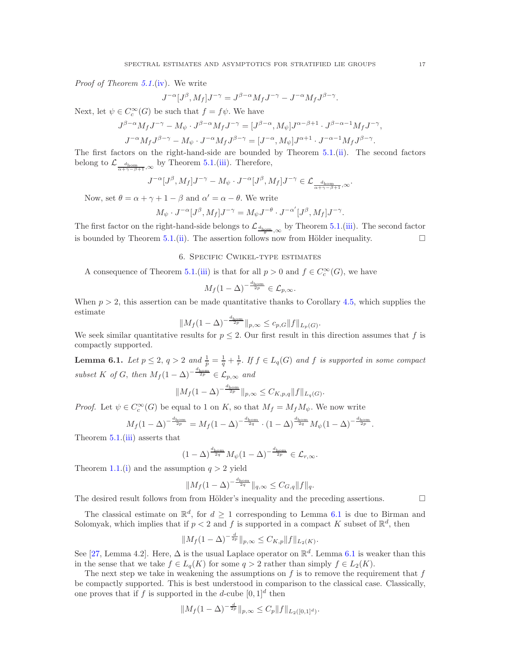*Proof of Theorem [5.1.](#page-11-0)[\(iv\)](#page-11-5)*. We write

$$
J^{-\alpha}[J^{\beta}, M_f]J^{-\gamma} = J^{\beta-\alpha}M_fJ^{-\gamma} - J^{-\alpha}M_fJ^{\beta-\gamma}.
$$

Next, let  $\psi \in C_c^{\infty}(G)$  be such that  $f = f\psi$ . We have

$$
J^{\beta-\alpha}M_fJ^{-\gamma} - M_{\psi} \cdot J^{\beta-\alpha}M_fJ^{-\gamma} = [J^{\beta-\alpha}, M_{\psi}]J^{\alpha-\beta+1} \cdot J^{\beta-\alpha-1}M_fJ^{-\gamma},
$$
  

$$
J^{-\alpha}M_fJ^{\beta-\gamma} - M_{\psi} \cdot J^{-\alpha}M_fJ^{\beta-\gamma} = [J^{-\alpha}, M_{\psi}]J^{\alpha+1} \cdot J^{-\alpha-1}M_fJ^{\beta-\gamma}.
$$

The first factors on the right-hand-side are bounded by Theorem [5.1.](#page-11-0)[\(ii\)](#page-11-4). The second factors belong to  $\mathcal{L}_{\frac{d_{\text{hom}}}{\alpha + \gamma - \beta + 1}, \infty}$  by Theorem [5.1.](#page-11-0)[\(iii\)](#page-11-1). Therefore,

$$
J^{-\alpha}[J^{\beta},M_f]J^{-\gamma}-M_{\psi}\cdot J^{-\alpha}[J^{\beta},M_f]J^{-\gamma}\in\mathcal{L}_{\frac{d_{\text{hom}}}{\alpha+\gamma-\beta+1},\infty}.
$$

Now, set  $\theta = \alpha + \gamma + 1 - \beta$  and  $\alpha' = \alpha - \theta$ . We write

$$
M_{\psi} \cdot J^{-\alpha} [J^{\beta}, M_f] J^{-\gamma} = M_{\psi} J^{-\theta} \cdot J^{-\alpha'} [J^{\beta}, M_f] J^{-\gamma}.
$$

The first factor on the right-hand-side belongs to  $\mathcal{L}_{\frac{d_{\text{hom}}}{\theta},\infty}$  by Theorem [5.1.](#page-11-0)[\(iii\)](#page-11-1). The second factor is bounded by Theorem [5.1.](#page-11-0)[\(ii\)](#page-11-4). The assertion follows now from Hölder inequality.  $\Box$ 

### 6. Specific Cwikel-type estimates

A consequence of Theorem [5.1.](#page-11-0)[\(iii\)](#page-11-1) is that for all  $p > 0$  and  $f \in C_c^{\infty}(G)$ , we have

$$
M_f(1-\Delta)^{-\frac{d_{\text{hom}}}{2p}} \in \mathcal{L}_{p,\infty}.
$$

When  $p > 2$ , this assertion can be made quantitative thanks to Corollary [4.5,](#page-10-0) which supplies the estimate

$$
||M_f(1-\Delta)^{-\frac{d_{\text{hom}}}{2p}}||_{p,\infty} \leq c_{p,G}||f||_{L_p(G)}.
$$

We seek similar quantitative results for  $p \leq 2$ . Our first result in this direction assumes that f is compactly supported.

<span id="page-16-0"></span>**Lemma 6.1.** Let  $p \le 2$ ,  $q > 2$  and  $\frac{1}{p} = \frac{1}{q} + \frac{1}{r}$ . If  $f \in L_q(G)$  and f is supported in some compact subset K of G, then  $M_f(1-\Delta)^{-\frac{d_{\text{hom}}}{2p}} \in \mathcal{L}_{p,\infty}$  and

$$
||M_f(1-\Delta)^{-\frac{d_{\text{hom}}}{2p}}||_{p,\infty} \leq C_{K,p,q}||f||_{L_q(G)}.
$$

*Proof.* Let  $\psi \in C_c^{\infty}(G)$  be equal to 1 on K, so that  $M_f = M_f M_{\psi}$ . We now write

$$
M_f (1 - \Delta)^{-\frac{d_{\text{hom}}}{2p}} = M_f (1 - \Delta)^{-\frac{d_{\text{hom}}}{2q}} \cdot (1 - \Delta)^{\frac{d_{\text{hom}}}{2q}} M_{\psi} (1 - \Delta)^{-\frac{d_{\text{hom}}}{2p}}.
$$

Theorem [5.1.](#page-11-0)[\(iii\)](#page-11-1) asserts that

$$
(1-\Delta)^{\frac{d_{\mathrm{hom}}}{2q}} M_{\psi} (1-\Delta)^{-\frac{d_{\mathrm{hom}}}{2p}} \in \mathcal{L}_{r,\infty}.
$$

Theorem [1.1.](#page-1-0)[\(i\)](#page-1-1) and the assumption  $q > 2$  yield

$$
||M_f(1-\Delta)^{-\frac{d_{\text{hom}}}{2q}}||_{q,\infty} \leq C_{G,q}||f||_q.
$$

The desired result follows from from Hölder's inequality and the preceding assertions.  $\Box$ 

The classical estimate on  $\mathbb{R}^d$ , for  $d \geq 1$  corresponding to Lemma [6.1](#page-16-0) is due to Birman and Solomyak, which implies that if  $p < 2$  and f is supported in a compact K subset of  $\mathbb{R}^d$ , then

$$
||M_f(1-\Delta)^{-\frac{d}{2p}}||_{p,\infty} \leq C_{K,p}||f||_{L_2(K)}.
$$

See [\[27,](#page-35-3) Lemma 4.2]. Here,  $\Delta$  is the usual Laplace operator on  $\mathbb{R}^d$ . Lemma [6.1](#page-16-0) is weaker than this in the sense that we take  $f \in L_q(K)$  for some  $q > 2$  rather than simply  $f \in L_2(K)$ .

The next step we take in weakening the assumptions on  $f$  is to remove the requirement that  $f$ be compactly supported. This is best understood in comparison to the classical case. Classically, one proves that if f is supported in the d-cube  $[0,1]^d$  then

$$
||M_f(1-\Delta)^{-\frac{d}{2p}}||_{p,\infty} \leq C_p ||f||_{L_2([0,1]^d)}.
$$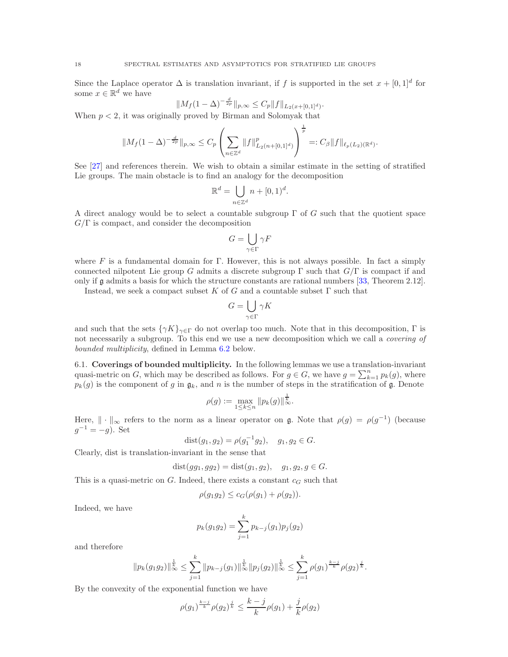Since the Laplace operator  $\Delta$  is translation invariant, if f is supported in the set  $x + [0,1]^d$  for some  $x \in \mathbb{R}^d$  we have

$$
||M_f(1-\Delta)^{-\frac{d}{2p}}||_{p,\infty} \leq C_p ||f||_{L_2(x+[0,1]^d)}.
$$

When  $p < 2$ , it was originally proved by Birman and Solomyak that

$$
||M_f(1-\Delta)^{-\frac{d}{2p}}||_{p,\infty} \leq C_p \left(\sum_{n\in\mathbb{Z}^d} ||f||_{L_2(n+[0,1]^d)}^p\right)^{\frac{1}{p}} =: C_{\beta} ||f||_{\ell_p(L_2)(\mathbb{R}^d)}.
$$

See [\[27\]](#page-35-3) and references therein. We wish to obtain a similar estimate in the setting of stratified Lie groups. The main obstacle is to find an analogy for the decomposition

$$
\mathbb{R}^d = \bigcup_{n \in \mathbb{Z}^d} n + [0, 1)^d.
$$

A direct analogy would be to select a countable subgroup  $\Gamma$  of G such that the quotient space  $G/\Gamma$  is compact, and consider the decomposition

$$
G=\bigcup_{\gamma\in\Gamma}\gamma F
$$

where F is a fundamental domain for Γ. However, this is not always possible. In fact a simply connected nilpotent Lie group G admits a discrete subgroup  $\Gamma$  such that  $G/\Gamma$  is compact if and only if g admits a basis for which the structure constants are rational numbers [\[33,](#page-35-26) Theorem 2.12].

Instead, we seek a compact subset K of G and a countable subset  $\Gamma$  such that

$$
G=\bigcup_{\gamma\in\Gamma}\gamma K
$$

and such that the sets  $\{\gamma K\}_{\gamma \in \Gamma}$  do not overlap too much. Note that in this decomposition,  $\Gamma$  is not necessarily a subgroup. To this end we use a new decomposition which we call a *covering of* bounded multiplicity, defined in Lemma [6.2](#page-18-0) below.

6.1. Coverings of bounded multiplicity. In the following lemmas we use a translation-invariant quasi-metric on G, which may be described as follows. For  $g \in G$ , we have  $g = \sum_{k=1}^{n} p_k(g)$ , where  $p_k(g)$  is the component of g in  $\mathfrak{g}_k$ , and n is the number of steps in the stratification of g. Denote

$$
\rho(g) := \max_{1 \le k \le n} \| p_k(g) \|_{\infty}^{\frac{1}{k}}.
$$

Here,  $\|\cdot\|_{\infty}$  refers to the norm as a linear operator on g. Note that  $\rho(g) = \rho(g^{-1})$  (because  $g^{-1} = -g$ ). Set

$$
dist(g_1, g_2) = \rho(g_1^{-1}g_2), \quad g_1, g_2 \in G.
$$

Clearly, dist is translation-invariant in the sense that

$$
dist(gg_1, gg_2) = dist(g_1, g_2), g_1, g_2, g \in G.
$$

This is a quasi-metric on  $G$ . Indeed, there exists a constant  $c_G$  such that

$$
\rho(g_1g_2) \le c_G(\rho(g_1) + \rho(g_2)).
$$

Indeed, we have

$$
p_k(g_1g_2) = \sum_{j=1}^k p_{k-j}(g_1)p_j(g_2)
$$

and therefore

$$
||p_k(g_1g_2)||_{\infty}^{\frac{1}{k}} \leq \sum_{j=1}^k ||p_{k-j}(g_1)||_{\infty}^{\frac{1}{k}} ||p_j(g_2)||_{\infty}^{\frac{1}{k}} \leq \sum_{j=1}^k \rho(g_1)^{\frac{k-j}{k}} \rho(g_2)^{\frac{j}{k}}.
$$

By the convexity of the exponential function we have

$$
\rho(g_1)^{\frac{k-j}{k}} \rho(g_2)^{\frac{j}{k}} \le \frac{k-j}{k} \rho(g_1) + \frac{j}{k} \rho(g_2)
$$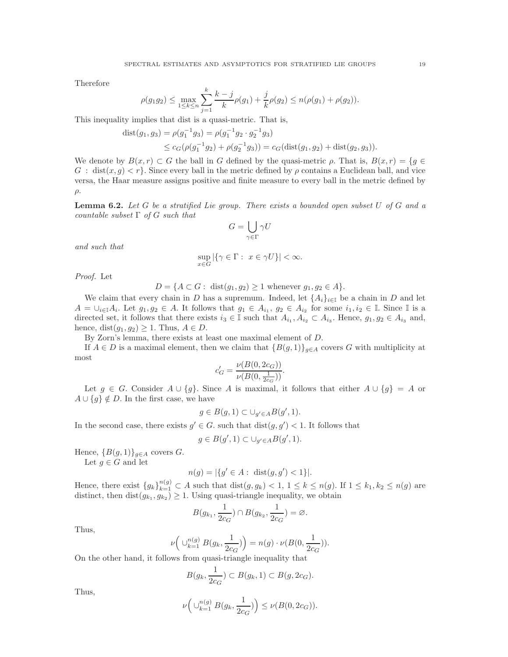Therefore

$$
\rho(g_1g_2) \le \max_{1 \le k \le n} \sum_{j=1}^k \frac{k-j}{k} \rho(g_1) + \frac{j}{k} \rho(g_2) \le n(\rho(g_1) + \rho(g_2)).
$$

This inequality implies that dist is a quasi-metric. That is,

$$
dist(g_1, g_3) = \rho(g_1^{-1}g_3) = \rho(g_1^{-1}g_2 \cdot g_2^{-1}g_3)
$$
  
\n
$$
\leq c_G(\rho(g_1^{-1}g_2) + \rho(g_2^{-1}g_3)) = c_G(dist(g_1, g_2) + dist(g_2, g_3)).
$$

We denote by  $B(x, r) \subset G$  the ball in G defined by the quasi-metric  $\rho$ . That is,  $B(x, r) = \{g \in G\}$  $G : dist(x, g) < r$ . Since every ball in the metric defined by  $\rho$  contains a Euclidean ball, and vice versa, the Haar measure assigns positive and finite measure to every ball in the metric defined by ρ.

<span id="page-18-0"></span>**Lemma 6.2.** Let G be a stratified Lie group. There exists a bounded open subset  $U$  of  $G$  and a countable subset  $\Gamma$  of G such that

$$
G=\bigcup_{\gamma\in\Gamma}\gamma U
$$

and such that

$$
\sup_{x\in G} |\{\gamma\in \Gamma:\ x\in \gamma U\}|<\infty.
$$

Proof. Let

 $D = \{A \subset G : \text{ dist}(g_1, g_2) \geq 1 \text{ whenever } g_1, g_2 \in A\}.$ 

We claim that every chain in D has a supremum. Indeed, let  $\{A_i\}_{i\in\mathbb{I}}$  be a chain in D and let  $A = \bigcup_{i \in \mathbb{I}} A_i$ . Let  $g_1, g_2 \in A$ . It follows that  $g_1 \in A_{i_1}, g_2 \in A_{i_2}$  for some  $i_1, i_2 \in \mathbb{I}$ . Since  $\mathbb{I}$  is a directed set, it follows that there exists  $i_3 \in \mathbb{I}$  such that  $A_{i_1}, A_{i_2} \subset A_{i_3}$ . Hence,  $g_1, g_2 \in A_{i_3}$  and, hence,  $dist(g_1, g_2) \geq 1$ . Thus,  $A \in D$ .

By Zorn's lemma, there exists at least one maximal element of D.

If  $A \in D$  is a maximal element, then we claim that  $\{B(g, 1)\}\,_{g \in A}$  covers G with multiplicity at most

$$
c_G' = \frac{\nu(B(0, 2c_G))}{\nu(B(0, \frac{1}{2c_G}))}.
$$

Let  $g \in G$ . Consider  $A \cup \{g\}$ . Since A is maximal, it follows that either  $A \cup \{g\} = A$  or  $A \cup \{g\} \notin D$ . In the first case, we have

$$
g \in B(g, 1) \subset \cup_{g' \in A} B(g', 1).
$$

In the second case, there exists  $g' \in G$ . such that  $dist(g, g') < 1$ . It follows that

$$
g \in B(g', 1) \subset \bigcup_{g' \in A} B(g', 1).
$$

Hence,  ${B(g, 1)}_{g\in A}$  covers G.

Let  $q \in G$  and let

$$
n(g) = |\{g' \in A : \text{ dist}(g, g') < 1\}|.
$$

Hence, there exist  ${g_k}_{k=1}^{n(g)} \subset A$  such that  $dist(g, g_k) < 1, 1 \leq k \leq n(g)$ . If  $1 \leq k_1, k_2 \leq n(g)$  are distinct, then  $dist(g_{k_1}, g_{k_2}) \geq 1$ . Using quasi-triangle inequality, we obtain

$$
B(g_{k_1}, \frac{1}{2c_G}) \cap B(g_{k_2}, \frac{1}{2c_G}) = \varnothing.
$$

Thus,

$$
\nu\Big(\cup_{k=1}^{n(g)}B(g_k,\frac{1}{2c_G})\Big)=n(g)\cdot\nu(B(0,\frac{1}{2c_G})).
$$

On the other hand, it follows from quasi-triangle inequality that

$$
B(g_k, \frac{1}{2c_G}) \subset B(g_k, 1) \subset B(g, 2c_G).
$$

Thus,

$$
\nu\left(\cup_{k=1}^{n(g)} B(g_k, \frac{1}{2c_G})\right) \leq \nu(B(0, 2c_G)).
$$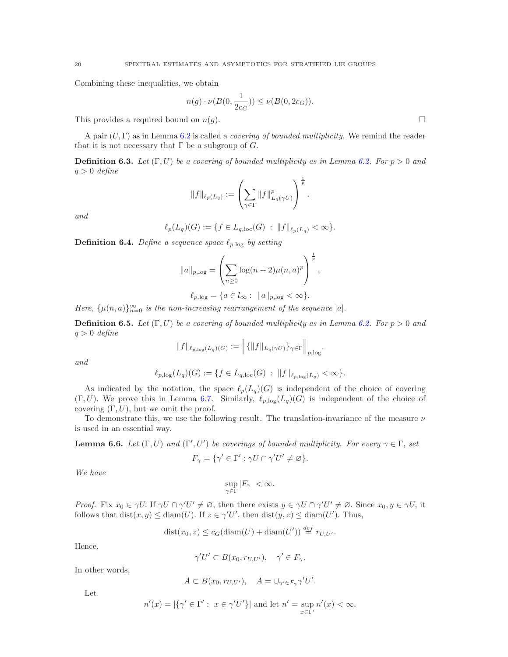Combining these inequalities, we obtain

$$
n(g) \cdot \nu(B(0, \frac{1}{2c_G})) \le \nu(B(0, 2c_G)).
$$

This provides a required bound on  $n(g)$ .

A pair  $(U, \Gamma)$  as in Lemma [6.2](#page-18-0) is called a *covering of bounded multiplicity*. We remind the reader that it is not necessary that  $\Gamma$  be a subgroup of  $G$ .

**Definition 6.3.** Let  $(\Gamma, U)$  be a covering of bounded multiplicity as in Lemma [6.2.](#page-18-0) For  $p > 0$  and  $q > 0$  define

$$
\|f\|_{\ell_p(L_q)}:=\left(\sum_{\gamma\in\Gamma}\|f\|_{L_q(\gamma U)}^p\right)^{\frac{1}{p}}.
$$

and

$$
\ell_p(L_q)(G) := \{ f \in L_{q,loc}(G) : ||f||_{\ell_p(L_q)} < \infty \}.
$$

**Definition 6.4.** Define a sequence space  $\ell_{p,\log}$  by setting

$$
||a||_{p,\log} = \left(\sum_{n\geq 0} \log(n+2)\mu(n,a)^p\right)^{\frac{1}{p}},
$$
  

$$
\ell_{p,\log} = \{a \in l_{\infty} : ||a||_{p,\log} < \infty\}.
$$

Here,  $\{\mu(n, a)\}_{n=0}^{\infty}$  is the non-increasing rearrangement of the sequence |a|.

**Definition 6.5.** Let  $(\Gamma, U)$  be a covering of bounded multiplicity as in Lemma [6.2.](#page-18-0) For  $p > 0$  and  $q > 0$  define

$$
\|f\|_{\ell_{p,\log}(L_q)(G)}:=\Big\|\{\|f\|_{L_q(\gamma U)}\}_{\gamma\in\Gamma}\Big\|_{p,\log}.
$$

and

$$
\ell_{p,\log}(L_q)(G) := \{ f \in L_{q,\log}(G) : ||f||_{\ell_{p,\log}(L_q)} < \infty \}.
$$

As indicated by the notation, the space  $\ell_p(L_q)(G)$  is independent of the choice of covering  $(\Gamma, U)$ . We prove this in Lemma [6.7.](#page-20-0) Similarly,  $\ell_{p, \log}(L_q)(G)$  is independent of the choice of covering  $(\Gamma, U)$ , but we omit the proof.

To demonstrate this, we use the following result. The translation-invariance of the measure  $\nu$ is used in an essential way.

<span id="page-19-0"></span>**Lemma 6.6.** Let  $(\Gamma, U)$  and  $(\Gamma', U')$  be coverings of bounded multiplicity. For every  $\gamma \in \Gamma$ , set

$$
F_{\gamma} = \{ \gamma' \in \Gamma' : \gamma U \cap \gamma' U' \neq \varnothing \}.
$$

We have

$$
\sup_{\gamma \in \Gamma} |F_{\gamma}| < \infty.
$$

*Proof.* Fix  $x_0 \in \gamma U$ . If  $\gamma U \cap \gamma' U' \neq \emptyset$ , then there exists  $y \in \gamma U \cap \gamma' U' \neq \emptyset$ . Since  $x_0, y \in \gamma U$ , it follows that  $dist(x, y) \leq diam(U)$ . If  $z \in \gamma'U'$ , then  $dist(y, z) \leq diam(U')$ . Thus,

$$
dist(x_0, z) \le c_G(diam(U) + diam(U')) \stackrel{def}{=} r_{U,U'}.
$$

Hence,

$$
\gamma' U' \subset B(x_0, r_{U,U'}), \quad \gamma' \in F_{\gamma}.
$$

In other words,

$$
A \subset B(x_0, r_{U,U'}), \quad A = \bigcup_{\gamma' \in F_{\gamma}} \gamma' U'.
$$

Let

$$
n'(x) = |\{\gamma' \in \Gamma': \ x \in \gamma' U'\}| \text{ and let } n' = \sup_{x \in \Gamma'} n'(x) < \infty.
$$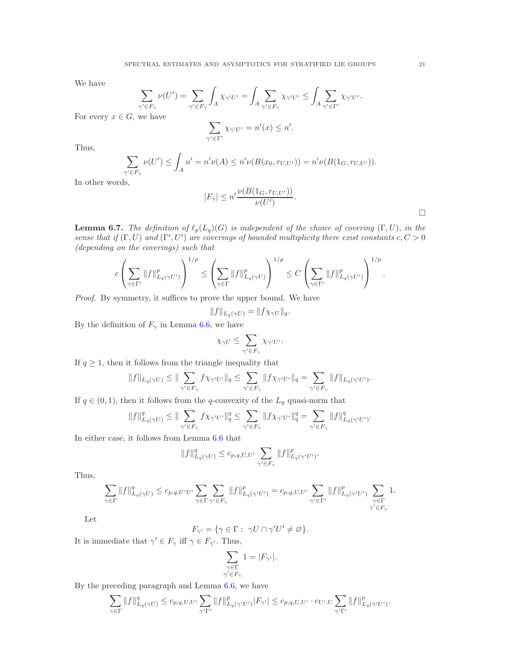We have

$$
\sum_{\gamma' \in F_{\gamma}} \nu(U') = \sum_{\gamma' \in F_{\gamma}} \int_A \chi_{\gamma' U'} = \int_A \sum_{\gamma' \in F_{\gamma}} \chi_{\gamma' U'} \le \int_A \sum_{\gamma' \in \Gamma'} \chi_{\gamma' U'}.
$$

For every  $x \in G$ , we have

$$
\sum_{\gamma' \in \Gamma'} \chi_{\gamma' U'} = n'(x) \le n'.
$$

Thus,

$$
\sum_{\gamma' \in F_{\gamma}} \nu(U') \le \int_{A} n' = n' \nu(A) \le n' \nu(B(x_0, r_{U,U'})) = n' \nu(B(1_G, r_{U,U'})).
$$

In other words,

$$
|F_{\gamma}| \le n' \frac{\nu(B(1_G, r_{U,U'}))}{\nu(U')}.
$$

<span id="page-20-0"></span>**Lemma 6.7.** The definition of  $\ell_p(L_q)(G)$  is independent of the choice of covering  $(\Gamma, U)$ , in the sense that if  $(\Gamma, U)$  and  $(\Gamma', U')$  are coverings of bounded multiplicity there exist constants  $c, C > 0$ (depending on the coverings) such that

$$
c\left(\sum_{\gamma\in\Gamma'}\|f\|_{L_q(\gamma U')}^p\right)^{1/p}\leq \left(\sum_{\gamma\in\Gamma}\|f\|_{L_q(\gamma U)}^p\right)^{1/p}\leq C\left(\sum_{\gamma\in\Gamma'}\|f\|_{L_q(\gamma U')}^p\right)^{1/p}.
$$

Proof. By symmetry, it suffices to prove the upper bound. We have

$$
||f||_{L_q(\gamma U)} = ||f \chi_{\gamma U}||_q.
$$

By the definition of  $F_{\gamma}$  in Lemma [6.6,](#page-19-0) we have

$$
\chi_{\gamma U} \leq \sum_{\gamma' \in F_{\gamma}} \chi_{\gamma' U'}.
$$

If  $q \geq 1$ , then it follows from the triangle inequality that

$$
||f||_{L_q(\gamma U)} \leq ||\sum_{\gamma' \in F_\gamma} f\chi_{\gamma' U'}||_q \leq \sum_{\gamma' \in F_\gamma} ||f\chi_{\gamma' U'}||_q = \sum_{\gamma' \in F_\gamma} ||f||_{L_q(\gamma' U')}.
$$

If  $q \in (0, 1)$ , then it follows from the q-convexity of the  $L_q$  quasi-norm that

$$
\|f\|^q_{L_q(\gamma U)}\leq \|\sum_{\gamma'\in F_{\gamma}}f\chi_{\gamma'U'}\|^q_q\leq \sum_{\gamma'\in F_{\gamma}}\|f\chi_{\gamma'U'}\|^q_q=\sum_{\gamma'\in F_{\gamma}}\|f\|^q_{L_q(\gamma'U')}.
$$

In either case, it follows from Lemma [6.6](#page-19-0) that

$$
||f||_{L_q(\gamma U)}^q \leq c_{p,q,U,U'} \sum_{\gamma' \in F_{\gamma}} ||f||_{L_q(\gamma' U')}^p.
$$

Thus,

$$
\sum_{\gamma \in \Gamma} ||f||_{L_q(\gamma U)}^q \leq c_{p,q,U'U'} \sum_{\gamma \in \Gamma} \sum_{\gamma' \in F_{\gamma}} ||f||_{L_q(\gamma' U')}^p = c_{p,q,U,U'} \sum_{\gamma' \in \Gamma'} ||f||_{L_q(\gamma' U')}^p \sum_{\substack{\gamma \in \Gamma \\ \gamma' \in F_{\gamma}}} 1.
$$

Let

$$
F_{\gamma'} = \{ \gamma \in \Gamma : \ \gamma U \cap \gamma' U' \neq \varnothing \}.
$$

It is immediate that  $\gamma' \in F_{\gamma}$  iff  $\gamma \in F_{\gamma'}$ . Thus,

$$
\sum_{\substack{\gamma \in \Gamma \\ \gamma' \in F_{\gamma}}} 1 = |F_{\gamma'}|.
$$

By the preceding paragraph and Lemma [6.6,](#page-19-0) we have

$$
\sum_{\gamma \in \Gamma} ||f||^q_{L_q(\gamma U)} \leq c_{p,q,U,U'} \sum_{\gamma' \Gamma'} ||f||^p_{L_q(\gamma' U')} |F_{\gamma'}| \leq c_{p,q,U,U'} \cdot c_{U',U} \sum_{\gamma' \Gamma'} ||f||^p_{L_q(\gamma' U')}.
$$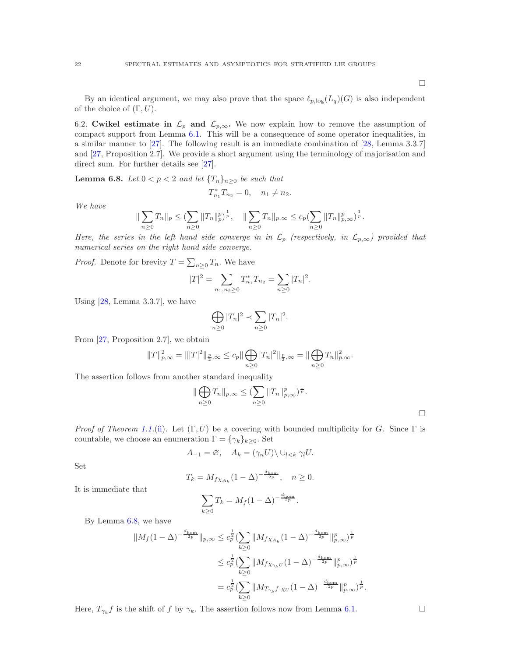$\Box$ 

By an identical argument, we may also prove that the space  $\ell_{p,\log}(L_q)(G)$  is also independent of the choice of  $(\Gamma, U)$ .

6.2. Cwikel estimate in  $\mathcal{L}_p$  and  $\mathcal{L}_{p,\infty}$ . We now explain how to remove the assumption of compact support from Lemma [6.1.](#page-16-0) This will be a consequence of some operator inequalities, in a similar manner to [\[27\]](#page-35-3). The following result is an immediate combination of [\[28,](#page-35-16) Lemma 3.3.7] and [\[27,](#page-35-3) Proposition 2.7]. We provide a short argument using the terminology of majorisation and direct sum. For further details see [\[27\]](#page-35-3).

<span id="page-21-0"></span>**Lemma 6.8.** Let  $0 < p < 2$  and let  $\{T_n\}_{n \geq 0}$  be such that

$$
T_{n_1}^* T_{n_2} = 0, \quad n_1 \neq n_2.
$$

We have

$$
\|\sum_{n\geq 0}T_n\|_p\leq (\sum_{n\geq 0}\|T_n\|_p^p)^{\frac{1}{p}},\quad \|\sum_{n\geq 0}T_n\|_{p,\infty}\leq c_p(\sum_{n\geq 0}\|T_n\|_{p,\infty}^p)^{\frac{1}{p}}.
$$

Here, the series in the left hand side converge in in  $\mathcal{L}_p$  (respectively, in  $\mathcal{L}_{p,\infty}$ ) provided that numerical series on the right hand side converge.

*Proof.* Denote for brevity  $T = \sum_{n\geq 0} T_n$ . We have

$$
|T|^2 = \sum_{n_1, n_2 \ge 0} T_{n_1}^* T_{n_2} = \sum_{n \ge 0} |T_n|^2.
$$

Using  $[28, \text{Lemma } 3.3.7]$ , we have

$$
\bigoplus_{n\geq 0} |T_n|^2 \prec \sum_{n\geq 0} |T_n|^2.
$$

From [\[27,](#page-35-3) Proposition 2.7], we obtain

$$
||T||_{p,\infty}^2 = |||T|^2||_{\frac{p}{2},\infty} \le c_p ||\bigoplus_{n\ge 0} |T_n|^2||_{\frac{p}{2},\infty} = ||\bigoplus_{n\ge 0} T_n||_{p,\infty}^2.
$$

The assertion follows from another standard inequality

$$
\|\bigoplus_{n\geq 0} T_n\|_{p,\infty} \leq \left(\sum_{n\geq 0} \|T_n\|_{p,\infty}^p\right)^{\frac{1}{p}}.
$$

*Proof of Theorem [1.1.](#page-1-0)*[\(ii\)](#page-1-2). Let  $(\Gamma, U)$  be a covering with bounded multiplicity for G. Since  $\Gamma$  is countable, we choose an enumeration  $\Gamma = {\gamma_k}_{k\geq 0}$ . Set

$$
A_{-1} = \varnothing, \quad A_k = (\gamma_n U) \setminus \cup_{l < k} \gamma_l U.
$$

Set

$$
T_k = M_{f\chi_{A_k}} (1 - \Delta)^{-\frac{d_{\text{hom}}}{2p}}, \quad n \ge 0.
$$

It is immediate that

$$
\sum_{k\geq 0} T_k = M_f (1 - \Delta)^{-\frac{d_{\text{hom}}}{2p}}.
$$

By Lemma [6.8,](#page-21-0) we have

$$
\begin{aligned}\n\|M_f(1-\Delta)^{-\frac{d_{\mathrm{hom}}}{2p}}\|_{p,\infty} &\le c_p^{\frac{1}{2}} (\sum_{k\ge 0}\|M_{f\chi_{A_k}}(1-\Delta)^{-\frac{d_{\mathrm{hom}}}{2p}}\|_{p,\infty}^p)^{\frac{1}{p}} \\
&\le c_p^{\frac{1}{2}} (\sum_{k\ge 0}\|M_{f\chi_{\gamma_k U}}(1-\Delta)^{-\frac{d_{\mathrm{hom}}}{2p}}\|_{p,\infty}^p)^{\frac{1}{p}} \\
&= c_p^{\frac{1}{2}} (\sum_{k\ge 0}\|M_{T_{\gamma_k}f\cdot \chi_U}(1-\Delta)^{-\frac{d_{\mathrm{hom}}}{2p}}\|_{p,\infty}^p)^{\frac{1}{p}}.\n\end{aligned}
$$

Here,  $T_{\gamma_k} f$  is the shift of f by  $\gamma_k$ . The assertion follows now from Lemma [6.1.](#page-16-0)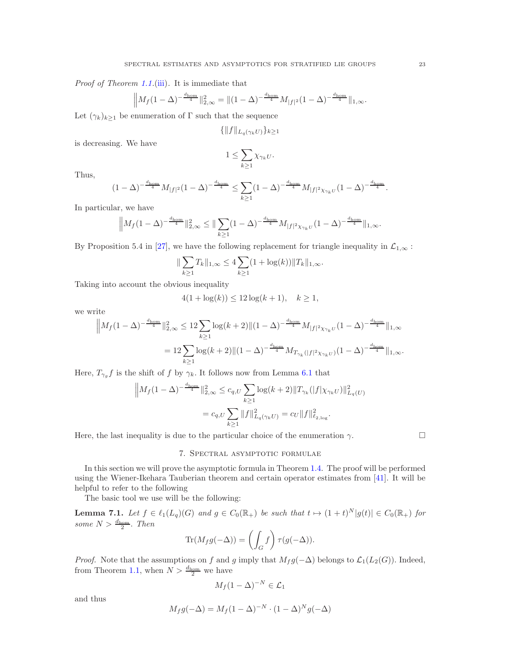Proof of Theorem [1.1.](#page-1-0)[\(iii\)](#page-1-3). It is immediate that

$$
\left\|M_f(1-\Delta)^{-\frac{d_{\text{hom}}}{4}}\right\|_{2,\infty}^2 = \left\|(1-\Delta)^{-\frac{d_{\text{hom}}}{4}}M_{|f|^2}(1-\Delta)^{-\frac{d_{\text{hom}}}{4}}\right\|_{1,\infty}.
$$

Let  $(\gamma_k)_{k\geq 1}$  be enumeration of  $\Gamma$  such that the sequence

$$
\{\|f\|_{L_q(\gamma_k U)}\}_{k\geq 1}
$$

is decreasing. We have

$$
1 \leq \sum_{k \geq 1} \chi_{\gamma_k U}.
$$

Thus,

$$
(1-\Delta)^{-\frac{d_{\mathrm{hom}}}{4}}M_{|f|^{2}}(1-\Delta)^{-\frac{d_{\mathrm{hom}}}{4}}\leq \sum_{k\geq 1}(1-\Delta)^{-\frac{d_{\mathrm{hom}}}{4}}M_{|f|^{2}\chi_{\gamma_{k}U}}(1-\Delta)^{-\frac{d_{\mathrm{hom}}}{4}}.
$$

In particular, we have

$$
\Big\|M_f(1-\Delta)^{-\frac{d_{\mathrm{hom}}}{4}}\|_{2,\infty}^2\leq \|\sum_{k\geq 1}(1-\Delta)^{-\frac{d_{\mathrm{hom}}}{4}}M_{|f|^2\chi_{\gamma_kU}}(1-\Delta)^{-\frac{d_{\mathrm{hom}}}{4}}\|_{1,\infty}.
$$

By Proposition 5.4 in [\[27\]](#page-35-3), we have the following replacement for triangle inequality in  $\mathcal{L}_{1,\infty}$ :

$$
\|\sum_{k\geq 1} T_k\|_{1,\infty} \leq 4\sum_{k\geq 1} (1+\log(k))\|T_k\|_{1,\infty}.
$$

Taking into account the obvious inequality

$$
4(1 + \log(k)) \le 12\log(k+1), \quad k \ge 1,
$$

we write

$$
\|M_f(1-\Delta)^{-\frac{d_{\text{hom}}}{4}}\|_{2,\infty}^2 \le 12 \sum_{k\ge 1} \log(k+2) \| (1-\Delta)^{-\frac{d_{\text{hom}}}{4}} M_{|f|^2 \chi_{\gamma_k U}} (1-\Delta)^{-\frac{d_{\text{hom}}}{4}} \|_{1,\infty}
$$
  
= 
$$
12 \sum_{k\ge 1} \log(k+2) \| (1-\Delta)^{-\frac{d_{\text{hom}}}{4}} M_{T_{\gamma_k}(|f|^2 \chi_{\gamma_k U})} (1-\Delta)^{-\frac{d_{\text{hom}}}{4}} \|_{1,\infty}.
$$

Here,  $T_{\gamma_g} f$  is the shift of f by  $\gamma_k$ . It follows now from Lemma [6.1](#page-16-0) that

$$
\|M_f(1-\Delta)^{-\frac{d_{\text{hom}}}{4}}\|_{2,\infty}^2 \le c_{q,U} \sum_{k\ge 1} \log(k+2) \|T_{\gamma_k}(|f|\chi_{\gamma_k U})\|_{L_q(U)}^2
$$
  
=  $c_{q,U} \sum_{k\ge 1} \|f\|_{L_q(\gamma_k U)}^2 = c_U \|f\|_{\ell_{2,\log}^2}^2$ .

Here, the last inequality is due to the particular choice of the enumeration  $\gamma$ .

### 7. Spectral asymptotic formulae

In this section we will prove the asymptotic formula in Theorem [1.4.](#page-3-1) The proof will be performed using the Wiener-Ikehara Tauberian theorem and certain operator estimates from [\[41\]](#page-35-27). It will be helpful to refer to the following

The basic tool we use will be the following:

<span id="page-22-0"></span>**Lemma 7.1.** Let  $f \in \ell_1(L_q)(G)$  and  $g \in C_0(\mathbb{R}_+)$  be such that  $t \mapsto (1+t)^N |g(t)| \in C_0(\mathbb{R}_+)$  for some  $N > \frac{d_{\text{hom}}}{2}$ . Then

$$
\operatorname{Tr}(M_f g(-\Delta)) = \left(\int_G f\right) \tau(g(-\Delta)).
$$

*Proof.* Note that the assumptions on f and g imply that  $M_f g(-\Delta)$  belongs to  $\mathcal{L}_1(L_2(G))$ . Indeed, from Theorem [1.1,](#page-1-0) when  $N > \frac{d_{\text{hom}}}{2}$  we have

$$
M_f(1-\Delta)^{-N} \in \mathcal{L}_1
$$

and thus

$$
M_f g(-\Delta) = M_f (1 - \Delta)^{-N} \cdot (1 - \Delta)^N g(-\Delta)
$$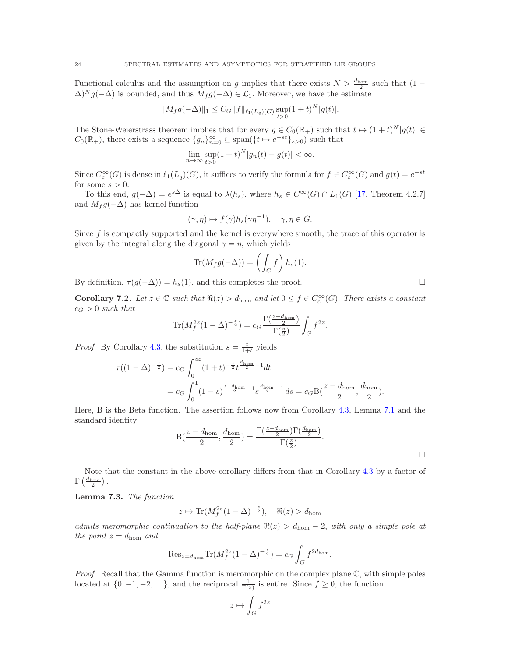Functional calculus and the assumption on g implies that there exists  $N > \frac{d_{\text{hom}}}{2}$  such that  $(1 \Delta)^N g(-\Delta)$  is bounded, and thus  $M_f g(-\Delta) \in \mathcal{L}_1$ . Moreover, we have the estimate

$$
||M_f g(-\Delta)||_1 \leq C_G ||f||_{\ell_1(L_q)(G)} \sup_{t>0} (1+t)^N |g(t)|.
$$

The Stone-Weierstrass theorem implies that for every  $g \in C_0(\mathbb{R}_+)$  such that  $t \mapsto (1+t)^N |g(t)| \in$  $C_0(\mathbb{R}_+)$ , there exists a sequence  $\{g_n\}_{n=0}^{\infty} \subseteq \text{span}(\{t \mapsto e^{-st}\}_{s>0})$  such that

$$
\lim_{n \to \infty} \sup_{t > 0} (1 + t)^N |g_n(t) - g(t)| < \infty.
$$

Since  $C_c^{\infty}(G)$  is dense in  $\ell_1(L_q)(G)$ , it suffices to verify the formula for  $f \in C_c^{\infty}(G)$  and  $g(t) = e^{-st}$ for some  $s > 0$ .

To this end,  $g(-\Delta) = e^{s\Delta}$  is equal to  $\lambda(h_s)$ , where  $h_s \in C^{\infty}(G) \cap L_1(G)$  [\[17,](#page-35-12) Theorem 4.2.7] and  $M_f g(-\Delta)$  has kernel function

$$
(\gamma, \eta) \mapsto f(\gamma)h_s(\gamma\eta^{-1}), \quad \gamma, \eta \in G.
$$

Since f is compactly supported and the kernel is everywhere smooth, the trace of this operator is given by the integral along the diagonal  $\gamma = \eta$ , which yields

$$
\text{Tr}(M_f g(-\Delta)) = \left(\int_G f\right) h_s(1).
$$

By definition,  $\tau(g(-\Delta)) = h_s(1)$ , and this completes the proof.

<span id="page-23-0"></span>**Corollary 7.2.** Let  $z \in \mathbb{C}$  such that  $\Re(z) > d_{\text{hom}}$  and let  $0 \leq f \in C_c^{\infty}(G)$ . There exists a constant  $c_G > 0$  such that

$$
\text{Tr}(M_f^{2z}(1-\Delta)^{-\frac{z}{2}}) = c_G \frac{\Gamma(\frac{z-d_{\text{hom}}}{2})}{\Gamma(\frac{z}{2})} \int_G f^{2z}.
$$

*Proof.* By Corollary [4.3,](#page-9-1) the substitution  $s = \frac{t}{1+t}$  yields

$$
\tau((1-\Delta)^{-\frac{z}{2}}) = c_G \int_0^{\infty} (1+t)^{-\frac{z}{2}} t^{\frac{d_{\text{hom}}}{2}-1} dt
$$
  
=  $c_G \int_0^1 (1-s)^{\frac{z-d_{\text{hom}}}{2}-1} s^{\frac{d_{\text{hom}}}{2}-1} ds = c_G B(\frac{z-d_{\text{hom}}}{2}, \frac{d_{\text{hom}}}{2}).$ 

Here, B is the Beta function. The assertion follows now from Corollary [4.3,](#page-9-1) Lemma [7.1](#page-22-0) and the standard identity

$$
B(\frac{z-d_{\text{hom}}}{2}, \frac{d_{\text{hom}}}{2}) = \frac{\Gamma(\frac{z-d_{\text{hom}}}{2})\Gamma(\frac{d_{\text{hom}}}{2})}{\Gamma(\frac{z}{2})}.
$$

Note that the constant in the above corollary differs from that in Corollary [4.3](#page-9-1) by a factor of  $\Gamma\left(\frac{d_{\text{hom}}}{2}\right)$ .

<span id="page-23-1"></span>Lemma 7.3. The function

 $z \mapsto \text{Tr}(M_f^{2z}(1-\Delta)^{-\frac{z}{2}}), \quad \Re(z) > d_{\text{hom}}$ 

admits meromorphic continuation to the half-plane  $\Re(z) > d_{\text{hom}} - 2$ , with only a simple pole at the point  $z = d_{\text{hom}}$  and

$$
\mathrm{Res}_{z=d_{\mathrm{hom}}} \mathrm{Tr}(M_f^{2z}(1-\Delta)^{-\frac{z}{2}}) = c_G \int_G f^{2d_{\mathrm{hom}}}.
$$

*Proof.* Recall that the Gamma function is meromorphic on the complex plane  $\mathbb{C}$ , with simple poles located at  $\{0, -1, -2, \ldots\}$ , and the reciprocal  $\frac{1}{\Gamma(z)}$  is entire. Since  $f \geq 0$ , the function

$$
z\mapsto \int_G f^{2z}
$$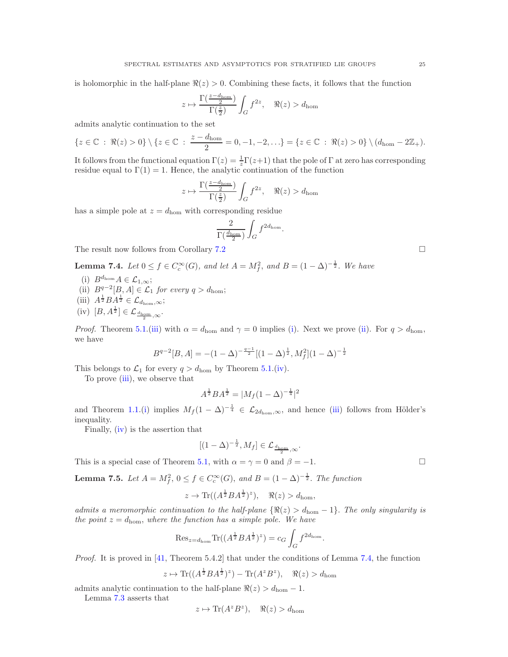is holomorphic in the half-plane  $\Re(z) > 0$ . Combining these facts, it follows that the function

$$
z\mapsto \frac{\Gamma(\frac{z-d_{\mathrm{hom}}}{2})}{\Gamma(\frac{z}{2})}\int_G f^{2z},\quad \Re(z)>d_{\mathrm{hom}}
$$

admits analytic continuation to the set

$$
\{z \in \mathbb{C} : \Re(z) > 0\} \setminus \{z \in \mathbb{C} : \frac{z - d_{\text{hom}}}{2} = 0, -1, -2, \ldots\} = \{z \in \mathbb{C} : \Re(z) > 0\} \setminus (d_{\text{hom}} - 2\mathbb{Z}_{+}).
$$

It follows from the functional equation  $\Gamma(z) = \frac{1}{z}\Gamma(z+1)$  that the pole of  $\Gamma$  at zero has corresponding residue equal to  $\Gamma(1) = 1$ . Hence, the analytic continuation of the function

$$
z\mapsto \frac{\Gamma\big(\frac{z-d_{\mathrm{hom}}}{2}\big)}{\Gamma\big(\frac{z}{2}\big)}\int_G f^{2z},\quad \Re(z)>d_{\mathrm{hom}}
$$

has a simple pole at  $z = d_{\text{hom}}$  with corresponding residue

$$
\frac{2}{\Gamma(\frac{d_{\text{hom}}}{2})}\int_G f^{2d_{\text{hom}}} \cdot
$$

The result now follows from Corollary [7.2](#page-23-0)

<span id="page-24-4"></span><span id="page-24-0"></span>**Lemma 7.4.** Let  $0 \le f \in C_c^{\infty}(G)$ , and let  $A = M_f^2$ , and  $B = (1 - \Delta)^{-\frac{1}{2}}$ . We have

- <span id="page-24-1"></span>(i)  $B^{d_{\text{hom}}}A \in \mathcal{L}_{1,\infty};$
- <span id="page-24-2"></span>(ii)  $B^{q-2}[B, A] \in \mathcal{L}_1$  for every  $q > d_{\text{hom}}$ ;
- <span id="page-24-3"></span>(iii)  $A^{\frac{1}{2}}BA^{\frac{1}{2}} \in \mathcal{L}_{d_{\text{hom}},\infty};$
- (iv)  $[B, A^{\frac{1}{2}}] \in \mathcal{L}_{\frac{d_{\text{hom}}}{2}, \infty}.$ 2

*Proof.* Theorem [5.1.](#page-11-0)[\(iii\)](#page-11-1) with  $\alpha = d_{\text{hom}}$  and  $\gamma = 0$  implies [\(i\)](#page-24-0). Next we prove [\(ii\)](#page-24-1). For  $q > d_{\text{hom}}$ , we have

$$
B^{q-2}[B,A] = -(1-\Delta)^{-\frac{q-1}{2}}[(1-\Delta)^{\frac{1}{2}},M_f^2](1-\Delta)^{-\frac{1}{2}}
$$

This belongs to  $\mathcal{L}_1$  for every  $q > d_{\text{hom}}$  by Theorem [5.1.](#page-11-0)[\(iv\)](#page-11-5).

To prove [\(iii\)](#page-24-2), we observe that

$$
A^{\frac{1}{2}}BA^{\frac{1}{2}} = |M_f(1 - \Delta)^{-\frac{1}{4}}|^2
$$

and Theorem [1.1.](#page-1-0)[\(i\)](#page-1-1) implies  $M_f (1 - \Delta)^{-\frac{1}{4}} \in \mathcal{L}_{2d_{\text{hom}},\infty}$ , and hence [\(iii\)](#page-24-2) follows from Hölder's inequality.

Finally,  $(iv)$  is the assertion that

$$
[(1-\Delta)^{-\frac{1}{2}}, M_f] \in \mathcal{L}_{\frac{d_{\text{hom}}}{2}, \infty}.
$$

This is a special case of Theorem [5.1,](#page-11-0) with  $\alpha = \gamma = 0$  and  $\beta = -1$ .

<span id="page-24-5"></span>**Lemma 7.5.** Let  $A = M_f^2$ ,  $0 \le f \in C_c^{\infty}(G)$ , and  $B = (1 - \Delta)^{-\frac{1}{2}}$ . The function

$$
z \to \text{Tr}((A^{\frac{1}{2}}BA^{\frac{1}{2}})^z), \quad \Re(z) > d_{\text{hom}},
$$

admits a meromorphic continuation to the half-plane  $\{\Re(z) > d_{\text{hom}} - 1\}$ . The only singularity is the point  $z = d_{\text{hom}}$ , where the function has a simple pole. We have

$$
\operatorname{Res}_{z=d_{\text{hom}}} \operatorname{Tr}((A^{\frac{1}{2}}BA^{\frac{1}{2}})^z) = c_G \int_G f^{2d_{\text{hom}}}.
$$

Proof. It is proved in [\[41,](#page-35-27) Theorem 5.4.2] that under the conditions of Lemma [7.4,](#page-24-4) the function

$$
z \mapsto \text{Tr}((A^{\frac{1}{2}}BA^{\frac{1}{2}})^z) - \text{Tr}(A^z B^z), \quad \Re(z) > d_{\text{hom}}
$$

admits analytic continuation to the half-plane  $\Re(z) > d_{\text{hom}} - 1$ .

Lemma [7.3](#page-23-1) asserts that

$$
z \mapsto \text{Tr}(A^z B^z), \quad \Re(z) > d_{\text{hom}}
$$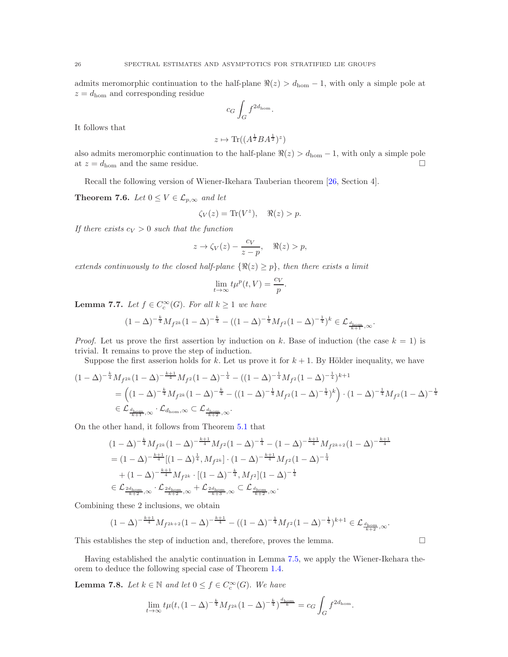admits meromorphic continuation to the half-plane  $\Re(z) > d_{\text{hom}} - 1$ , with only a simple pole at  $z = d_{\text{hom}}$  and corresponding residue

$$
c_G \int_G f^{2d_{\hom}}.
$$

It follows that

$$
z \mapsto \text{Tr}((A^{\frac{1}{2}}BA^{\frac{1}{2}})^z)
$$

also admits meromorphic continuation to the half-plane  $\Re(z) > d_{\text{hom}} - 1$ , with only a simple pole at  $z = d_{\text{hom}}$  and the same residue.

Recall the following version of Wiener-Ikehara Tauberian theorem [\[26,](#page-35-28) Section 4].

<span id="page-25-0"></span>**Theorem 7.6.** Let  $0 \leq V \in \mathcal{L}_{p,\infty}$  and let

$$
\zeta_V(z) = \text{Tr}(V^z), \quad \Re(z) > p.
$$

If there exists  $c_V > 0$  such that the function

$$
z \to \zeta_V(z) - \frac{c_V}{z - p}, \quad \Re(z) > p,
$$

extends continuously to the closed half-plane  $\{\Re(z) \geq p\}$ , then there exists a limit

$$
\lim_{t \to \infty} t\mu^p(t, V) = \frac{c_V}{p}
$$

.

<span id="page-25-1"></span>**Lemma 7.7.** Let  $f \in C_c^{\infty}(G)$ . For all  $k \geq 1$  we have

$$
(1 - \Delta)^{-\frac{k}{4}} M_{f^{2k}} (1 - \Delta)^{-\frac{k}{4}} - ((1 - \Delta)^{-\frac{1}{4}} M_{f^{2}} (1 - \Delta)^{-\frac{1}{4}})^{k} \in \mathcal{L}_{\frac{d_{\text{hom}}}{k+1}, \infty}.
$$

*Proof.* Let us prove the first assertion by induction on k. Base of induction (the case  $k = 1$ ) is trivial. It remains to prove the step of induction.

Suppose the first asserion holds for k. Let us prove it for  $k + 1$ . By Hölder inequality, we have

$$
(1 - \Delta)^{-\frac{k}{4}} M_{f^{2k}} (1 - \Delta)^{-\frac{k+1}{4}} M_{f^{2}} (1 - \Delta)^{-\frac{1}{4}} - ((1 - \Delta)^{-\frac{1}{4}} M_{f^{2}} (1 - \Delta)^{-\frac{1}{4}})^{k+1}
$$
  
=  $((1 - \Delta)^{-\frac{k}{4}} M_{f^{2k}} (1 - \Delta)^{-\frac{k}{4}} - ((1 - \Delta)^{-\frac{1}{4}} M_{f^{2}} (1 - \Delta)^{-\frac{1}{4}})^{k}) \cdot (1 - \Delta)^{-\frac{1}{4}} M_{f^{2}} (1 - \Delta)^{-\frac{1}{4}}$   
 $\in \mathcal{L}_{\frac{d_{\text{hom}}}{k+1}, \infty} \cdot \mathcal{L}_{d_{\text{hom}}} \propto \subset \mathcal{L}_{\frac{d_{\text{hom}}}{k+2}, \infty}.$ 

On the other hand, it follows from Theorem [5.1](#page-11-0) that

$$
\begin{aligned} &(1-\Delta)^{-\frac{k}{4}}M_{f^{2k}}(1-\Delta)^{-\frac{k+1}{4}}M_{f^{2}}(1-\Delta)^{-\frac{1}{4}}-(1-\Delta)^{-\frac{k+1}{4}}M_{f^{2k+2}}(1-\Delta)^{-\frac{k+1}{4}}\\ &=(1-\Delta)^{-\frac{k+1}{4}}[(1-\Delta)^{\frac{1}{4}},M_{f^{2k}}]\cdot (1-\Delta)^{-\frac{k+1}{4}}M_{f^{2}}(1-\Delta)^{-\frac{1}{4}}\\ &+(1-\Delta)^{-\frac{k+1}{4}}M_{f^{2k}}\cdot [(1-\Delta)^{-\frac{k}{4}},M_{f^{2}}](1-\Delta)^{-\frac{1}{4}}\\ &\in \mathcal{L}_{\frac{2d_{\mathrm{hom}}}{k+2},\infty}\cdot \mathcal{L}_{\frac{2d_{\mathrm{hom}}}{k+2},\infty}+\mathcal{L}_{\frac{2d_{\mathrm{hom}}}{k+3},\infty}\subset \mathcal{L}_{\frac{d_{\mathrm{hom}}}{k+2},\infty}.\end{aligned}
$$

Combining these 2 inclusions, we obtain

$$
(1 - \Delta)^{-\frac{k+1}{4}} M_{f^{2k+2}} (1 - \Delta)^{-\frac{k+1}{4}} - ((1 - \Delta)^{-\frac{1}{4}} M_{f^{2}} (1 - \Delta)^{-\frac{1}{4}})^{k+1} \in \mathcal{L}_{\frac{d_{\text{hom}}}{k+2}, \infty}.
$$

This establishes the step of induction and, therefore, proves the lemma.

Having established the analytic continuation in Lemma [7.5,](#page-24-5) we apply the Wiener-Ikehara theorem to deduce the following special case of Theorem [1.4.](#page-3-1)

<span id="page-25-2"></span>**Lemma 7.8.** Let  $k \in \mathbb{N}$  and let  $0 \leq f \in C_c^{\infty}(G)$ . We have

$$
\lim_{t \to \infty} t \mu(t, (1 - \Delta)^{-\frac{k}{4}} M_{f^{2k}} (1 - \Delta)^{-\frac{k}{4}})^{\frac{d_{\text{hom}}}{k}} = c_G \int_G f^{2d_{\text{hom}}}.
$$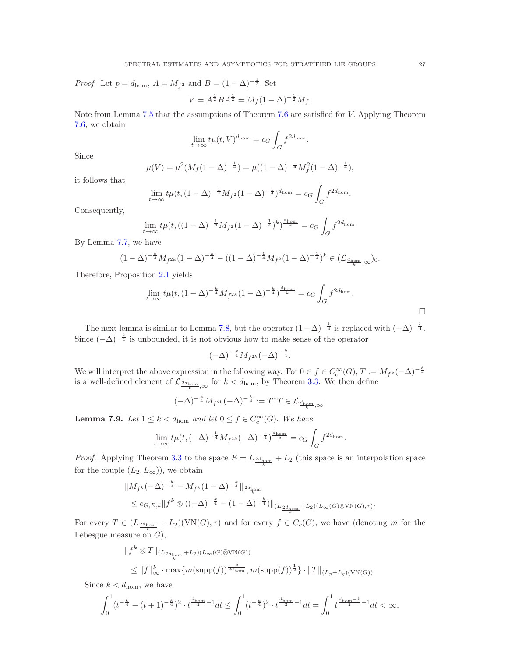*Proof.* Let  $p = d_{\text{hom}}$ ,  $A = M_{f^2}$  and  $B = (1 - \Delta)^{-\frac{1}{2}}$ . Set

$$
V = A^{\frac{1}{2}} B A^{\frac{1}{2}} = M_f (1 - \Delta)^{-\frac{1}{2}} M_f.
$$

Note from Lemma [7.5](#page-24-5) that the assumptions of Theorem [7.6](#page-25-0) are satisfied for V. Applying Theorem [7.6,](#page-25-0) we obtain

$$
\lim_{t\to\infty}t\mu(t,V)^{d_{\text{hom}}}=c_G\int_Gf^{2d_{\text{hom}}}.
$$

Since

$$
\mu(V) = \mu^2 (M_f (1 - \Delta)^{-\frac{1}{4}}) = \mu ((1 - \Delta)^{-\frac{1}{4}} M_f^2 (1 - \Delta)^{-\frac{1}{4}}),
$$

it follows that

$$
\lim_{t \to \infty} t \mu(t, (1 - \Delta)^{-\frac{1}{4}} M_{f^2} (1 - \Delta)^{-\frac{1}{4}})^{d_{\text{hom}}} = c_G \int_G f^{2d_{\text{hom}}}.
$$

Consequently,

$$
\lim_{t \to \infty} t \mu(t, ((1 - \Delta)^{-\frac{1}{4}} M_{f^2} (1 - \Delta)^{-\frac{1}{4}})^k)^{\frac{d_{\text{hom}}}{k}} = c_G \int_G f^{2d_{\text{hom}}}.
$$

By Lemma [7.7,](#page-25-1) we have

$$
(1 - \Delta)^{-\frac{k}{4}} M_{f^{2k}} (1 - \Delta)^{-\frac{k}{4}} - ((1 - \Delta)^{-\frac{1}{4}} M_{f^{2}} (1 - \Delta)^{-\frac{1}{4}})^{k} \in (\mathcal{L}_{\frac{d_{\text{hom}}}{k}, \infty})_0.
$$

Therefore, Proposition [2.1](#page-5-0) yields

$$
\lim_{t \to \infty} t \mu(t, (1 - \Delta)^{-\frac{k}{4}} M_{f^{2k}} (1 - \Delta)^{-\frac{k}{4}})^{\frac{d_{\text{hom}}}{k}} = c_G \int_G f^{2d_{\text{hom}}}.
$$

The next lemma is similar to Lemma [7.8,](#page-25-2) but the operator  $(1-\Delta)^{-\frac{k}{4}}$  is replaced with  $(-\Delta)^{-\frac{k}{4}}$ . Since  $(-\Delta)^{-\frac{k}{4}}$  is unbounded, it is not obvious how to make sense of the operator

$$
(-\Delta)^{-\frac k4}M_{f^{2k}}(-\Delta)^{-\frac k4}.
$$

We will interpret the above expression in the following way. For  $0 \in f \in C_c^{\infty}(G)$ ,  $T := M_{f^k}(-\Delta)^{-\frac{k}{4}}$ is a well-defined element of  $\mathcal{L}_{\frac{2d_{\text{hom}}}{k},\infty}$  for  $k < d_{\text{hom}}$ , by Theorem [3.3.](#page-8-0) We then define

$$
(-\Delta)^{-\frac{k}{4}} M_{f^{2k}} (-\Delta)^{-\frac{k}{4}} := T^*T \in \mathcal{L}_{\frac{d_{\text{hom}}}{k}, \infty}.
$$

<span id="page-26-0"></span>**Lemma 7.9.** Let  $1 \leq k < d_{\text{hom}}$  and let  $0 \leq f \in C_c^{\infty}(G)$ . We have

$$
\lim_{t \to \infty} t \mu(t, (-\Delta)^{-\frac{k}{4}} M_{f^{2k}} (-\Delta)^{-\frac{k}{4}})^{\frac{d_{\text{hom}}}{k}} = c_G \int_G f^{2d_{\text{hom}}}.
$$

*Proof.* Applying Theorem [3.3](#page-8-0) to the space  $E = L_{\frac{2d_{\text{hom}}}{k}} + L_2$  (this space is an interpolation space for the couple  $(L_2, L_{\infty})$ , we obtain

$$
||M_{f^k}(-\Delta)^{-\frac{k}{4}} - M_{f^k}(1-\Delta)^{-\frac{k}{4}}||_{\frac{2d_{\text{hom}}}{k}} \leq c_{G,E,k}||f^k \otimes ((-\Delta)^{-\frac{k}{4}} - (1-\Delta)^{-\frac{k}{4}})||_{(L_{\frac{2d_{\text{hom}}}{k}} + L_2)(L_\infty(G) \bar{\otimes} \text{VN}(G),\tau)}.
$$

For every  $T \in (L_{\frac{2d_{\text{hom}}}{k}} + L_2)(\text{VN}(G), \tau)$  and for every  $f \in C_c(G)$ , we have (denoting m for the Lebesgue measure on  $G$ ),

$$
\|f^k \otimes T\|_{(L_{\frac{2d_{\text{hom}}}{k}} + L_2)(L_\infty(G)\bar{\otimes}VN(G))}
$$
  

$$
\leq \|f\|_{\infty}^k \cdot \max\{m(\text{supp}(f))^{\frac{k}{2d_{\text{hom}}}}, m(\text{supp}(f))^{\frac{1}{2}}\} \cdot \|T\|_{(L_p + L_q)(VN(G))}.
$$

Since  $k < d_{\text{hom}}$ , we have

$$
\int_0^1 (t^{-\frac{k}{4}} - (t+1)^{-\frac{k}{4}})^2 \cdot t^{\frac{d_{\mathrm{hom}}}{2} - 1} dt \le \int_0^1 (t^{-\frac{k}{4}})^2 \cdot t^{\frac{d_{\mathrm{hom}}}{2} - 1} dt = \int_0^1 t^{\frac{d_{\mathrm{hom}} - k}{2} - 1} dt < \infty,
$$

 $\Box$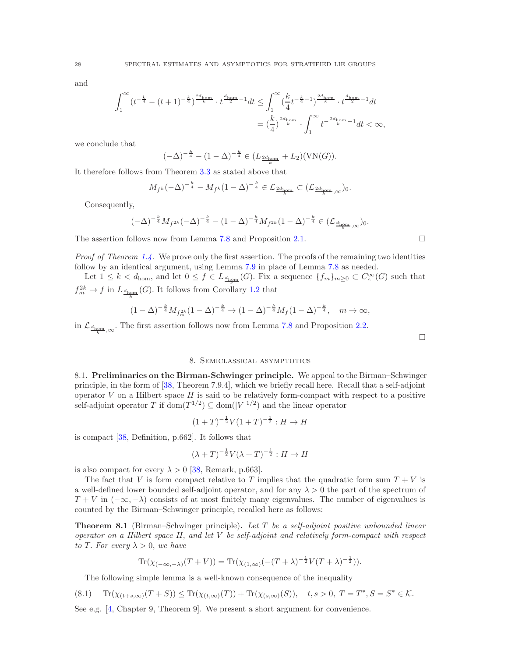and

$$
\begin{split} \int_{1}^{\infty}&(t^{-\frac{k}{4}}-(t+1)^{-\frac{k}{4}})^{\frac{2d_{\mathrm{hom}}}{k}}\cdot t^{\frac{d_{\mathrm{hom}}}{2}-1}dt\leq \int_{1}^{\infty}(\frac{k}{4}t^{-\frac{k}{4}-1})^{\frac{2d_{\mathrm{hom}}}{k}}\cdot t^{\frac{d_{\mathrm{hom}}}{2}-1}dt\\ &= (\frac{k}{4})^{\frac{2d_{\mathrm{hom}}}{k}}\cdot \int_{1}^{\infty}t^{-\frac{2d_{\mathrm{hom}}}{k}-1}dt<\infty, \end{split}
$$

we conclude that

$$
(-\Delta)^{-\frac{k}{4}} - (1 - \Delta)^{-\frac{k}{4}} \in (L_{\frac{2d_{\text{hom}}}{k}} + L_2)(VN(G)).
$$

It therefore follows from Theorem [3.3](#page-8-0) as stated above that

$$
M_{f^k}(-\Delta)^{-\frac{k}{4}} - M_{f^k}(1-\Delta)^{-\frac{k}{4}} \in \mathcal{L}_{\frac{2d_{\text{hom}}}{k}} \subset (\mathcal{L}_{\frac{2d_{\text{hom}}}{k},\infty})_0.
$$

Consequently,

$$
(-\Delta)^{-\frac{k}{4}}M_{f^{2k}}(-\Delta)^{-\frac{k}{4}} - (1-\Delta)^{-\frac{k}{4}}M_{f^{2k}}(1-\Delta)^{-\frac{k}{4}} \in (\mathcal{L}_{\frac{d_{\mathrm{hom}}}{k},\infty})_0.
$$

The assertion follows now from Lemma [7.8](#page-25-2) and Proposition [2.1.](#page-5-0)  $\Box$ 

*Proof of Theorem [1.4.](#page-3-1)* We prove only the first assertion. The proofs of the remaining two identities follow by an identical argument, using Lemma [7.9](#page-26-0) in place of Lemma [7.8](#page-25-2) as needed.

Let  $1 \leq k < d_{\text{hom}}$ , and let  $0 \leq f \in L_{\frac{d_{\text{hom}}}{d}}(G)$ . Fix a sequence  $\{f_m\}_{m \geq 0} \subset C_c^{\infty}(G)$  such that  $f_m^{2k} \to f$  in  $L_{\frac{d_{\text{hom}}}{k}}(G)$ . It follows from Corollary [1.2](#page-2-1) that

$$
(1 - \Delta)^{-\frac{k}{4}} M_{f_m^{2k}} (1 - \Delta)^{-\frac{k}{4}} \to (1 - \Delta)^{-\frac{k}{4}} M_f (1 - \Delta)^{-\frac{k}{4}}, \quad m \to \infty,
$$

in  $\mathcal{L}_{\frac{d_{\text{hom}}}{k},\infty}$ . The first assertion follows now from Lemma [7.8](#page-25-2) and Proposition [2.2.](#page-6-0)

 $\Box$ 

### 8. Semiclassical asymptotics

8.1. Preliminaries on the Birman-Schwinger principle. We appeal to the Birman-Schwinger principle, in the form of [\[38,](#page-35-29) Theorem 7.9.4], which we briefly recall here. Recall that a self-adjoint operator  $V$  on a Hilbert space  $H$  is said to be relatively form-compact with respect to a positive self-adjoint operator T if  $\text{dom}(T^{1/2}) \subseteq \text{dom}(|V|^{1/2})$  and the linear operator

$$
(1+T)^{-\frac{1}{2}}V(1+T)^{-\frac{1}{2}}:H\to H
$$

is compact [\[38,](#page-35-29) Definition, p.662]. It follows that

$$
(\lambda + T)^{-\frac{1}{2}}V(\lambda + T)^{-\frac{1}{2}} : H \to H
$$

is also compact for every  $\lambda > 0$  [\[38,](#page-35-29) Remark, p.663].

The fact that V is form compact relative to T implies that the quadratic form sum  $T + V$  is a well-defined lower bounded self-adjoint operator, and for any  $\lambda > 0$  the part of the spectrum of  $T + V$  in  $(-\infty, -\lambda)$  consists of at most finitely many eigenvalues. The number of eigenvalues is counted by the Birman–Schwinger principle, recalled here as follows:

<span id="page-27-0"></span>**Theorem 8.1** (Birman–Schwinger principle). Let  $T$  be a self-adjoint positive unbounded linear operator on a Hilbert space  $H$ , and let  $V$  be self-adjoint and relatively form-compact with respect to T. For every  $\lambda > 0$ , we have

$$
\operatorname{Tr}(\chi_{(-\infty,-\lambda)}(T+V)) = \operatorname{Tr}(\chi_{(1,\infty)}(-(T+\lambda)^{-\frac{1}{2}}V(T+\lambda)^{-\frac{1}{2}})).
$$

<span id="page-27-1"></span>The following simple lemma is a well-known consequence of the inequality

$$
(8.1) \quad \text{Tr}(\chi_{(t+s,\infty)}(T+S)) \le \text{Tr}(\chi_{(t,\infty)}(T)) + \text{Tr}(\chi_{(s,\infty)}(S)), \quad t,s > 0, \ T = T^*, S = S^* \in \mathcal{K}.
$$

See e.g. [\[4,](#page-34-12) Chapter 9, Theorem 9]. We present a short argument for convenience.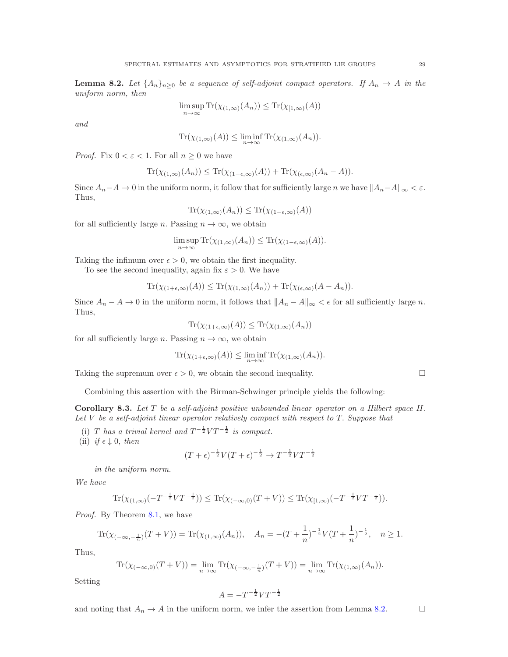<span id="page-28-0"></span>**Lemma 8.2.** Let  $\{A_n\}_{n\geq 0}$  be a sequence of self-adjoint compact operators. If  $A_n \to A$  in the uniform norm, then

$$
\limsup_{n \to \infty} \text{Tr}(\chi_{(1,\infty)}(A_n)) \le \text{Tr}(\chi_{[1,\infty)}(A))
$$

and

$$
\operatorname{Tr}(\chi_{(1,\infty)}(A)) \le \liminf_{n \to \infty} \operatorname{Tr}(\chi_{(1,\infty)}(A_n)).
$$

*Proof.* Fix  $0 < \varepsilon < 1$ . For all  $n \geq 0$  we have

$$
\operatorname{Tr}(\chi_{(1,\infty)}(A_n)) \le \operatorname{Tr}(\chi_{(1-\epsilon,\infty)}(A)) + \operatorname{Tr}(\chi_{(\epsilon,\infty)}(A_n - A)).
$$

Since  $A_n-A \to 0$  in the uniform norm, it follow that for sufficiently large n we have  $||A_n-A||_{\infty} < \varepsilon$ . Thus,

$$
\operatorname{Tr}(\chi_{(1,\infty)}(A_n)) \le \operatorname{Tr}(\chi_{(1-\epsilon,\infty)}(A))
$$

for all sufficiently large *n*. Passing  $n \to \infty$ , we obtain

$$
\limsup_{n \to \infty} \text{Tr}(\chi_{(1,\infty)}(A_n)) \leq \text{Tr}(\chi_{(1-\epsilon,\infty)}(A)).
$$

Taking the infimum over  $\epsilon > 0$ , we obtain the first inequality.

To see the second inequality, again fix  $\varepsilon > 0$ . We have

$$
\operatorname{Tr}(\chi_{(1+\epsilon,\infty)}(A)) \le \operatorname{Tr}(\chi_{(1,\infty)}(A_n)) + \operatorname{Tr}(\chi_{(\epsilon,\infty)}(A-A_n)).
$$

Since  $A_n - A \to 0$  in the uniform norm, it follows that  $||A_n - A||_{\infty} < \epsilon$  for all sufficiently large n. Thus,

$$
\operatorname{Tr}(\chi_{(1+\epsilon,\infty)}(A)) \le \operatorname{Tr}(\chi_{(1,\infty)}(A_n))
$$

for all sufficiently large n. Passing  $n \to \infty$ , we obtain

$$
\operatorname{Tr}(\chi_{(1+\epsilon,\infty)}(A)) \le \liminf_{n \to \infty} \operatorname{Tr}(\chi_{(1,\infty)}(A_n)).
$$

Taking the supremum over  $\epsilon > 0$ , we obtain the second inequality.

Combining this assertion with the Birman-Schwinger principle yields the following:

<span id="page-28-1"></span>Corollary 8.3. Let T be a self-adjoint positive unbounded linear operator on a Hilbert space H. Let V be a self-adjoint linear operator relatively compact with respect to T. Suppose that

(i) T has a trivial kernel and  $T^{-\frac{1}{2}}VT^{-\frac{1}{2}}$  is compact.

(ii) if  $\epsilon \downarrow 0$ , then

$$
(T + \epsilon)^{-\frac{1}{2}} V (T + \epsilon)^{-\frac{1}{2}} \to T^{-\frac{1}{2}} V T^{-\frac{1}{2}}
$$

in the uniform norm.

We have

$$
\text{Tr}(\chi_{(1,\infty)}(-T^{-\frac{1}{2}}VT^{-\frac{1}{2}})) \le \text{Tr}(\chi_{(-\infty,0)}(T+V)) \le \text{Tr}(\chi_{[1,\infty)}(-T^{-\frac{1}{2}}VT^{-\frac{1}{2}})).
$$

Proof. By Theorem [8.1,](#page-27-0) we have

$$
\operatorname{Tr}(\chi_{(-\infty,-\frac{1}{n})}(T+V)) = \operatorname{Tr}(\chi_{(1,\infty)}(A_n)), \quad A_n = -(T+\frac{1}{n})^{-\frac{1}{2}}V(T+\frac{1}{n})^{-\frac{1}{2}}, \quad n \ge 1.
$$

Thus,

$$
\operatorname{Tr}(\chi_{(-\infty,0)}(T+V)) = \lim_{n \to \infty} \operatorname{Tr}(\chi_{(-\infty,-\frac{1}{n})}(T+V)) = \lim_{n \to \infty} \operatorname{Tr}(\chi_{(1,\infty)}(A_n)).
$$

Setting

$$
A = -T^{-\frac{1}{2}} V T^{-\frac{1}{2}}
$$

and noting that  $A_n \to A$  in the uniform norm, we infer the assertion from Lemma [8.2.](#page-28-0)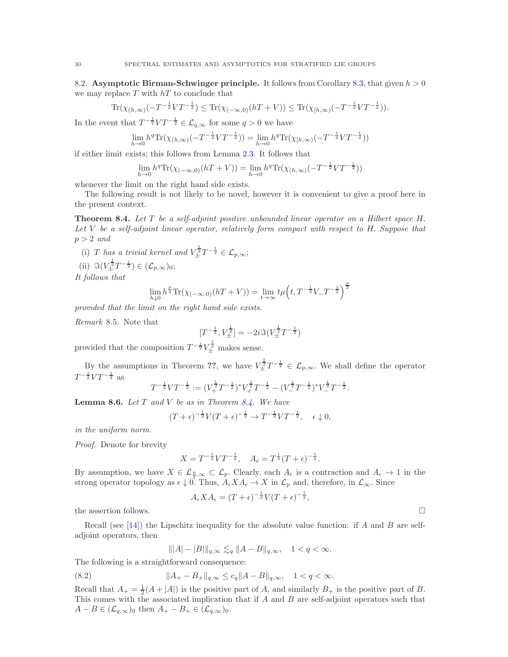8.2. Asymptotic Birman-Schwinger principle. It follows from Corollary [8.3,](#page-28-1) that given  $h > 0$ we may replace  $T$  with  $hT$  to conclude that

$$
\operatorname{Tr}(\chi_{(h,\infty)}(-T^{-\frac{1}{2}}VT^{-\frac{1}{2}}) \le \operatorname{Tr}(\chi_{(-\infty,0)}(hT+V)) \le \operatorname{Tr}(\chi_{[h,\infty)}(-T^{-\frac{1}{2}}VT^{-\frac{1}{2}})).
$$

In the event that  $T^{-\frac{1}{2}}VT^{-\frac{1}{2}} \in \mathcal{L}_{q,\infty}$  for some  $q > 0$  we have

$$
\lim_{h \to 0} h^q \text{Tr}(\chi_{(h,\infty)}(-T^{-\frac{1}{2}}VT^{-\frac{1}{2}})) = \lim_{h \to 0} h^q \text{Tr}(\chi_{[h,\infty)}(-T^{-\frac{1}{2}}VT^{-\frac{1}{2}}))
$$

if either limit exists; this follows from Lemma [2.3.](#page-6-1) It follows that

$$
\lim_{h \to 0} h^q \text{Tr}(\chi_{(-\infty,0)}(hT + V)) = \lim_{h \to 0} h^q \text{Tr}(\chi_{(h,\infty)}(-T^{-\frac{1}{2}} V T^{-\frac{1}{2}}))
$$

whenever the limit on the right hand side exists.

The following result is not likely to be novel, however it is convenient to give a proof here in the present context.

<span id="page-29-0"></span>Theorem 8.4. Let T be a self-adjoint positive unbounded linear operator on a Hilbert space H. Let V be a self-adjoint linear operator, relatively form compact with respect to H. Suppose that  $p > 2$  and

- (i) T has a trivial kernel and  $V_{\pm}^{\frac{1}{2}}T^{-\frac{1}{2}} \in \mathcal{L}_{p,\infty}$ ;
- (ii)  $\Im(V_{\pm}^{\frac{1}{2}}T^{-\frac{1}{2}}) \in (\mathcal{L}_{p,\infty})_0;$

It follows that

$$
\lim_{h \downarrow 0} h^{\frac{p}{2}} \text{Tr}(\chi_{(-\infty,0)}(hT + V)) = \lim_{t \to \infty} t\mu\left(t, T^{-\frac{1}{2}}V_{-}T^{-\frac{1}{2}}\right)^{\frac{p}{2}}
$$

provided that the limit on the right hand side exists.

Remark 8.5. Note that

$$
[T^{-\frac{1}{2}}, V_{\pm}^{\frac{1}{2}}] = -2i \Im(V_{\pm}^{\frac{1}{2}} T^{-\frac{1}{2}})
$$

provided that the composition  $T^{-\frac{1}{2}}V_{\pm}^{\frac{1}{2}}$  makes sense.

By the assumptions in Theorem ??, we have  $V_{\pm}^{\frac{1}{2}}T^{-\frac{1}{2}} \in \mathcal{L}_{p,\infty}$ . We shall define the operator  $T^{-\frac{1}{2}} V T^{-\frac{1}{2}}$  as

$$
T^{-\frac{1}{2}}VT^{-\frac{1}{2}} := (V_{+}^{\frac{1}{2}}T^{-\frac{1}{2}})^{*}V_{+}^{\frac{1}{2}}T^{-\frac{1}{2}} - (V_{-}^{\frac{1}{2}}T^{-\frac{1}{2}})^{*}V_{-}^{\frac{1}{2}}T^{-\frac{1}{2}}.
$$

<span id="page-29-2"></span>**Lemma 8.6.** Let  $T$  and  $V$  be as in Theorem [8.4.](#page-29-0) We have

$$
(T+\epsilon)^{-\frac{1}{2}}V(T+\epsilon)^{-\frac{1}{2}} \to T^{-\frac{1}{2}}VT^{-\frac{1}{2}}, \quad \epsilon \downarrow 0,
$$

in the uniform norm.

Proof. Denote for brevity

$$
X = T^{-\frac{1}{2}} V T^{-\frac{1}{2}}, \quad A_{\epsilon} = T^{\frac{1}{2}} (T + \epsilon)^{-\frac{1}{2}}.
$$

By assumption, we have  $X \in \mathcal{L}_{\frac{p}{2},\infty} \subset \mathcal{L}_p$ . Clearly, each  $A_{\epsilon}$  is a contraction and  $A_{\epsilon} \to 1$  in the strong operator topology as  $\epsilon \downarrow 0$ . Thus,  $A_{\epsilon} X A_{\epsilon} \to X$  in  $\mathcal{L}_p$  and, therefore, in  $\mathcal{L}_{\infty}$ . Since

$$
A_{\epsilon} X A_{\epsilon} = (T + \epsilon)^{-\frac{1}{2}} V(T + \epsilon)^{-\frac{1}{2}},
$$

the assertion follows.  $\Box$ 

Recall (see [\[14\]](#page-34-13)) the Lipschitz inequality for the absolute value function: if A and B are selfadjoint operators, then

<span id="page-29-1"></span>
$$
|||A| - |B|||_{q,\infty} \lesssim_q ||A - B||_{q,\infty}, \quad 1 < q < \infty.
$$

The following is a straightforward consequence:

(8.2) 
$$
||A_{+} - B_{+}||_{q,\infty} \leq c_{q}||A - B||_{q,\infty}, \quad 1 < q < \infty.
$$

Recall that  $A_+ = \frac{1}{2}(A + |A|)$  is the positive part of A, and similarly  $B_+$  is the positive part of B. This comes with the associated implication that if A and B are self-adjoint operators such that  $A - B \in (\mathcal{L}_{q,\infty})_0$  then  $A_+ - B_+ \in (\mathcal{L}_{q,\infty})_0$ .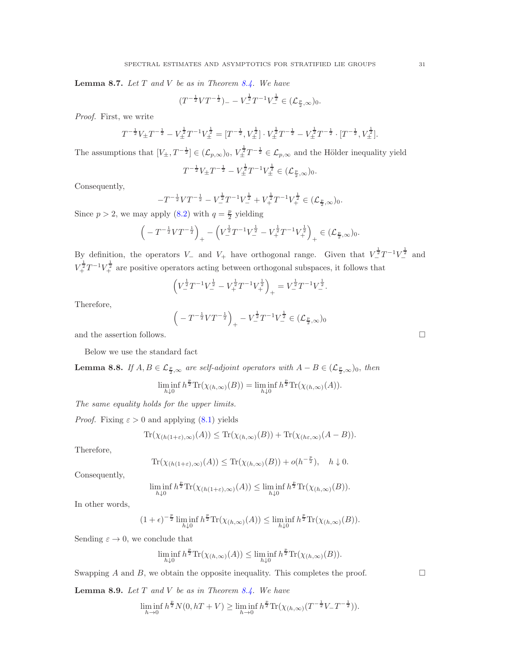<span id="page-30-0"></span>**Lemma 8.7.** Let  $T$  and  $V$  be as in Theorem [8.4.](#page-29-0) We have

$$
(T^{-\frac{1}{2}}VT^{-\frac{1}{2}})_{-} - V_{-}^{\frac{1}{2}}T^{-1}V_{-}^{\frac{1}{2}} \in (\mathcal{L}_{\frac{p}{2},\infty})_0.
$$

Proof. First, we write

$$
T^{-\frac{1}{2}}V_{\pm}T^{-\frac{1}{2}} - V_{\pm}^{\frac{1}{2}}T^{-1}V_{\pm}^{\frac{1}{2}} = [T^{-\frac{1}{2}}, V_{\pm}^{\frac{1}{2}}] \cdot V_{\pm}^{\frac{1}{2}}T^{-\frac{1}{2}} - V_{\pm}^{\frac{1}{2}}T^{-\frac{1}{2}} \cdot [T^{-\frac{1}{2}}, V_{\pm}^{\frac{1}{2}}].
$$

The assumptions that  $[V_{\pm}, T^{-\frac{1}{2}}] \in (\mathcal{L}_{p,\infty})_0$ ,  $V_{\pm}^{\frac{1}{2}} T^{-\frac{1}{2}} \in \mathcal{L}_{p,\infty}$  and the Hölder inequality yield

$$
T^{-\frac{1}{2}}V_{\pm}T^{-\frac{1}{2}} - V_{\pm}^{\frac{1}{2}}T^{-1}V_{\pm}^{\frac{1}{2}} \in (\mathcal{L}_{\frac{p}{2},\infty})_0.
$$

Consequently,

$$
-T^{-\frac{1}{2}}VT^{-\frac{1}{2}} - V_{-}^{\frac{1}{2}}T^{-1}V_{-}^{\frac{1}{2}} + V_{+}^{\frac{1}{2}}T^{-1}V_{+}^{\frac{1}{2}} \in (\mathcal{L}_{\frac{p}{2},\infty})_0.
$$

Since  $p > 2$ , we may apply [\(8.2\)](#page-29-1) with  $q = \frac{p}{2}$  yielding

$$
\left(-T^{-\frac{1}{2}}VT^{-\frac{1}{2}}\right)_+ - \left(V^{\frac{1}{2}}_+T^{-1}V^{\frac{1}{2}}_- - V^{\frac{1}{2}}_+T^{-1}V^{\frac{1}{2}}_+\right)_+ \in (\mathcal{L}_{\frac{p}{2},\infty})_0.
$$

By definition, the operators  $V_-\,$  and  $V_+$  have orthogonal range. Given that  $V_-^{\frac{1}{2}}T^{-1}V_-^{\frac{1}{2}}$  and  $V^{\frac{1}{2}}_{+}T^{-1}V^{\frac{1}{2}}_{+}$  are positive operators acting between orthogonal subspaces, it follows that

$$
\left(V_{-}^{\frac{1}{2}}T^{-1}V_{-}^{\frac{1}{2}} - V_{+}^{\frac{1}{2}}T^{-1}V_{+}^{\frac{1}{2}}\right)_{+} = V_{-}^{\frac{1}{2}}T^{-1}V_{-}^{\frac{1}{2}}.
$$

Therefore,

$$
\left(-T^{-\frac{1}{2}}VT^{-\frac{1}{2}}\right)_{+} - V^{\frac{1}{2}}T^{-1}V^{\frac{1}{2}}_{-} \in (\mathcal{L}_{\frac{p}{2},\infty})_0
$$

and the assertion follows.  $\Box$ 

Below we use the standard fact

<span id="page-30-1"></span>**Lemma 8.8.** If  $A, B \in \mathcal{L}_{\frac{p}{2}, \infty}$  are self-adjoint operators with  $A - B \in (\mathcal{L}_{\frac{p}{2}, \infty})_0$ , then

$$
\liminf_{h\downarrow 0} h^{\frac{p}{2}} \text{Tr}(\chi_{(h,\infty)}(B)) = \liminf_{h\downarrow 0} h^{\frac{p}{2}} \text{Tr}(\chi_{(h,\infty)}(A)).
$$

The same equality holds for the upper limits.

*Proof.* Fixing  $\varepsilon > 0$  and applying [\(8.1\)](#page-27-1) yields

$$
\operatorname{Tr}(\chi_{(h(1+\varepsilon),\infty)}(A)) \leq \operatorname{Tr}(\chi_{(h,\infty)}(B)) + \operatorname{Tr}(\chi_{(h\varepsilon,\infty)}(A-B)).
$$

Therefore,

$$
\operatorname{Tr}(\chi_{(h(1+\varepsilon),\infty)}(A)) \leq \operatorname{Tr}(\chi_{(h,\infty)}(B)) + o(h^{-\frac{p}{2}}), \quad h \downarrow 0.
$$

Consequently,

$$
\liminf_{h\downarrow 0} h^{\frac{p}{2}} \text{Tr}(\chi_{(h(1+\varepsilon),\infty)}(A)) \le \liminf_{h\downarrow 0} h^{\frac{p}{2}} \text{Tr}(\chi_{(h,\infty)}(B)).
$$

In other words,

$$
(1+\epsilon)^{-\frac{p}{2}}\liminf_{h\downarrow 0}h^{\frac{p}{2}}\mathrm{Tr}(\chi_{(h,\infty)}(A))\leq \liminf_{h\downarrow 0}h^{\frac{p}{2}}\mathrm{Tr}(\chi_{(h,\infty)}(B)).
$$

Sending  $\varepsilon \to 0$ , we conclude that

$$
\liminf_{h\downarrow 0} h^{\frac{p}{2}} \text{Tr}(\chi_{(h,\infty)}(A)) \le \liminf_{h\downarrow 0} h^{\frac{p}{2}} \text{Tr}(\chi_{(h,\infty)}(B)).
$$

Swapping A and B, we obtain the opposite inequality. This completes the proof.  $\Box$ 

<span id="page-30-2"></span>**Lemma 8.9.** Let  $T$  and  $V$  be as in Theorem [8.4.](#page-29-0) We have

$$
\liminf_{h \to 0} h^{\frac{p}{2}} N(0, hT + V) \ge \liminf_{h \to 0} h^{\frac{p}{2}} \text{Tr}(\chi_{(h,\infty)}(T^{-\frac{1}{2}} V_- T^{-\frac{1}{2}})).
$$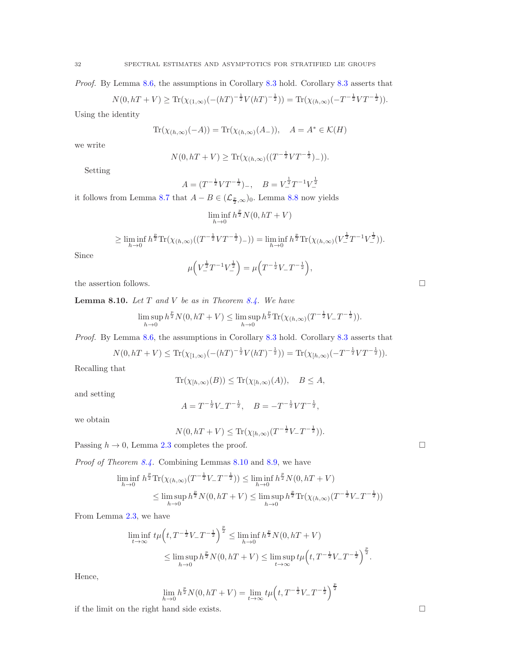Proof. By Lemma [8.6,](#page-29-2) the assumptions in Corollary [8.3](#page-28-1) hold. Corollary [8.3](#page-28-1) asserts that

$$
N(0, hT + V) \ge \text{Tr}(\chi_{(1,\infty)}(-(hT)^{-\frac{1}{2}}V(hT)^{-\frac{1}{2}})) = \text{Tr}(\chi_{(h,\infty)}(-T^{-\frac{1}{2}}VT^{-\frac{1}{2}})).
$$

Using the identity

$$
\operatorname{Tr}(\chi_{(h,\infty)}(-A)) = \operatorname{Tr}(\chi_{(h,\infty)}(A_-)), \quad A = A^* \in \mathcal{K}(H)
$$

we write

$$
N(0, hT + V) \ge \text{Tr}(\chi_{(h,\infty)}((T^{-\frac{1}{2}}VT^{-\frac{1}{2}})_-)).
$$

Setting

$$
A = (T^{-\frac{1}{2}} V T^{-\frac{1}{2}})_{-}, \quad B = V^{\frac{1}{2}} T^{-1} V^{\frac{1}{2}}_{-}
$$

it follows from Lemma [8.7](#page-30-0) that  $A - B \in (\mathcal{L}_{\frac{p}{2}, \infty})_0$ . Lemma [8.8](#page-30-1) now yields

$$
\liminf_{h \to 0} h^{\frac{p}{2}} N(0, hT + V)
$$

$$
\geq \liminf_{h \to 0} h^{\frac{p}{2}} \text{Tr}(\chi_{(h,\infty)}((T^{-\frac{1}{2}}VT^{-\frac{1}{2}})_-)) = \liminf_{h \to 0} h^{\frac{p}{2}} \text{Tr}(\chi_{(h,\infty)}(V^{\frac{1}{2}}T^{-1}V^{\frac{1}{2}}_-)).
$$

Since

$$
\mu\left(V_{-}^{\frac{1}{2}}T^{-1}V_{-}^{\frac{1}{2}}\right) = \mu\left(T^{-\frac{1}{2}}V_{-}T^{-\frac{1}{2}}\right),\,
$$

the assertion follows.  $\hfill \square$ 

<span id="page-31-0"></span>**Lemma 8.10.** Let  $T$  and  $V$  be as in Theorem [8.4.](#page-29-0) We have

$$
\limsup_{h \to 0} h^{\frac{p}{2}} N(0, hT + V) \le \limsup_{h \to 0} h^{\frac{p}{2}} \text{Tr}(\chi_{(h,\infty)}(T^{-\frac{1}{2}} V_- T^{-\frac{1}{2}})).
$$

Proof. By Lemma [8.6,](#page-29-2) the assumptions in Corollary [8.3](#page-28-1) hold. Corollary 8.3 asserts that

$$
N(0, hT + V) \le \text{Tr}(\chi_{[1,\infty)}(-(hT)^{-\frac{1}{2}}V(hT)^{-\frac{1}{2}})) = \text{Tr}(\chi_{[h,\infty)}(-T^{-\frac{1}{2}}VT^{-\frac{1}{2}})).
$$

Recalling that

$$
\operatorname{Tr}(\chi_{[h,\infty)}(B)) \le \operatorname{Tr}(\chi_{[h,\infty)}(A)), \quad B \le A,
$$

and setting

$$
A = T^{-\frac{1}{2}} V_- T^{-\frac{1}{2}}, \quad B = -T^{-\frac{1}{2}} V T^{-\frac{1}{2}},
$$

we obtain

$$
N(0, hT + V) \le \text{Tr}(\chi_{[h,\infty)}(T^{-\frac{1}{2}}V - T^{-\frac{1}{2}})).
$$

Passing  $h \to 0$ , Lemma [2.3](#page-6-1) completes the proof.

Proof of Theorem [8.4.](#page-29-0) Combining Lemmas [8.10](#page-31-0) and [8.9,](#page-30-2) we have

$$
\liminf_{h \to 0} h^{\frac{p}{2}} \text{Tr}(\chi_{(h,\infty)}(T^{-\frac{1}{2}}V - T^{-\frac{1}{2}})) \le \liminf_{h \to 0} h^{\frac{p}{2}} N(0, hT + V)
$$
\n
$$
\le \limsup_{h \to 0} h^{\frac{p}{2}} N(0, hT + V) \le \limsup_{h \to 0} h^{\frac{p}{2}} \text{Tr}(\chi_{(h,\infty)}(T^{-\frac{1}{2}}V - T^{-\frac{1}{2}}))
$$

From Lemma [2.3,](#page-6-1) we have

$$
\liminf_{t \to \infty} t \mu \left( t, T^{-\frac{1}{2}} V_- T^{-\frac{1}{2}} \right)^{\frac{p}{2}} \le \liminf_{h \to 0} h^{\frac{p}{2}} N(0, hT + V)
$$
\n
$$
\le \limsup_{h \to 0} h^{\frac{p}{2}} N(0, hT + V) \le \limsup_{t \to \infty} t \mu \left( t, T^{-\frac{1}{2}} V_- T^{-\frac{1}{2}} \right)^{\frac{p}{2}}.
$$

Hence,

$$
\lim_{h \to 0} h^{\frac{p}{2}} N(0, hT + V) = \lim_{t \to \infty} t \mu \left( t, T^{-\frac{1}{2}} V_- T^{-\frac{1}{2}} \right)^{\frac{p}{2}}
$$

if the limit on the right hand side exists.  $\Box$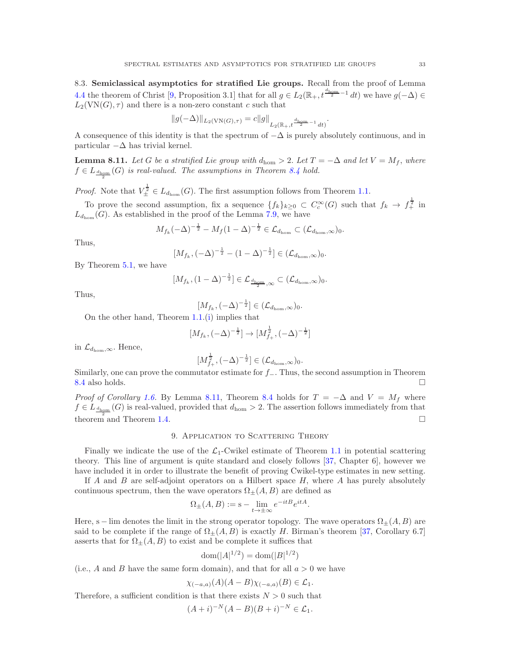8.3. Semiclassical asymptotics for stratified Lie groups. Recall from the proof of Lemma [4.4](#page-10-1) the theorem of Christ [\[9,](#page-34-11) Proposition 3.1] that for all  $g \in L_2(\mathbb{R}_+$ ,  $t^{\frac{d_{\text{hom}}}{2}-1}$  dt) we have  $g(-\Delta) \in$  $L_2(VN(G), \tau)$  and there is a non-zero constant c such that

$$
||g(-\Delta)||_{L_2(VN(G),\tau)} = c||g||_{L_2(\mathbb{R}_+,t^{\frac{d_{\text{hom}}}{2}-1}dt)}.
$$

A consequence of this identity is that the spectrum of  $-\Delta$  is purely absolutely continuous, and in particular  $-\Delta$  has trivial kernel.

<span id="page-32-1"></span>**Lemma 8.11.** Let G be a stratified Lie group with  $d_{\text{hom}} > 2$ . Let  $T = -\Delta$  and let  $V = M_f$ , where  $f \in L_{\frac{d_{\text{hom}}}{2}}(G)$  is real-valued. The assumptions in Theorem [8.4](#page-29-0) hold.

*Proof.* Note that  $V_{\pm}^{\frac{1}{2}} \in L_{d_{\text{hom}}}(G)$ . The first assumption follows from Theorem [1.1.](#page-1-0)

To prove the second assumption, fix a sequence  $\{f_k\}_{k\geq 0} \subset C_c^{\infty}(G)$  such that  $f_k \to f_{+}^{\frac{1}{2}}$  in  $L_{d_{\text{hom}}}(G)$ . As established in the proof of the Lemma [7.9,](#page-26-0) we have

$$
M_{f_k}(-\Delta)^{-\frac{1}{2}} - M_f(1-\Delta)^{-\frac{1}{2}} \in \mathcal{L}_{d_{\text{hom}}} \subset (\mathcal{L}_{d_{\text{hom}},\infty})_0.
$$

Thus,

$$
[M_{f_k}, (-\Delta)^{-\frac{1}{2}} - (1-\Delta)^{-\frac{1}{2}}] \in (\mathcal{L}_{d_{\text{hom}}, \infty})_0.
$$

By Theorem [5.1,](#page-11-0) we have

$$
[M_{f_k}, (1-\Delta)^{-\frac{1}{2}}] \in \mathcal{L}_{\frac{d_{\text{hom}}}{2}, \infty} \subset (\mathcal{L}_{d_{\text{hom}}, \infty})_0.
$$

Thus,

$$
[M_{f_k},(-\Delta)^{-\frac{1}{2}}] \in (\mathcal{L}_{d_{\text{hom}},\infty})_0.
$$

On the other hand, Theorem [1.1.](#page-1-0)[\(i\)](#page-1-1) implies that

$$
[M_{f_k}, (-\Delta)^{-\frac{1}{2}}] \to [M_{f_+}^{\frac{1}{2}}, (-\Delta)^{-\frac{1}{2}}]
$$

in  $\mathcal{L}_{d_{\text{hom}},\infty}$ . Hence,

$$
[M^{\frac{1}{2}}_{f_+},(-\Delta)^{-\frac{1}{2}}] \in (\mathcal{L}_{d_{\text{hom}},\infty})_0.
$$

Similarly, one can prove the commutator estimate for  $f_$ . Thus, the second assumption in Theorem [8.4](#page-29-0) also holds.

*Proof of Corollary [1.6.](#page-4-0)* By Lemma [8.11,](#page-32-1) Theorem [8.4](#page-29-0) holds for  $T = -\Delta$  and  $V = M_f$  where  $f \in L_{\frac{d_{\text{hom}}}{d}}(G)$  is real-valued, provided that  $d_{\text{hom}} > 2$ . The assertion follows immediately from that theorem and Theorem [1.4.](#page-3-1)  $\square$ 

# 9. APPLICATION TO SCATTERING THEORY

<span id="page-32-0"></span>Finally we indicate the use of the  $\mathcal{L}_1$ -Cwikel estimate of Theorem [1.1](#page-1-0) in potential scattering theory. This line of argument is quite standard and closely follows [\[37,](#page-35-2) Chapter 6], however we have included it in order to illustrate the benefit of proving Cwikel-type estimates in new setting.

If A and B are self-adjoint operators on a Hilbert space  $H$ , where A has purely absolutely continuous spectrum, then the wave operators  $\Omega_{\pm}(A, B)$  are defined as

$$
\Omega_{\pm}(A,B) := \mathbf{s} - \lim_{t \to \pm \infty} e^{-itB} e^{itA}.
$$

Here, s – lim denotes the limit in the strong operator topology. The wave operators  $\Omega_{+}(A, B)$  are said to be complete if the range of  $\Omega_{+}(A, B)$  is exactly H. Birman's theorem [\[37,](#page-35-2) Corollary 6.7] asserts that for  $\Omega_{\pm}(A, B)$  to exist and be complete it suffices that

$$
dom(|A|^{1/2}) = dom(|B|^{1/2})
$$

(i.e., A and B have the same form domain), and that for all  $a > 0$  we have

$$
\chi_{(-a,a)}(A)(A-B)\chi_{(-a,a)}(B)\in \mathcal{L}_1.
$$

Therefore, a sufficient condition is that there exists  $N > 0$  such that

$$
(A + i)^{-N} (A - B)(B + i)^{-N} \in \mathcal{L}_1.
$$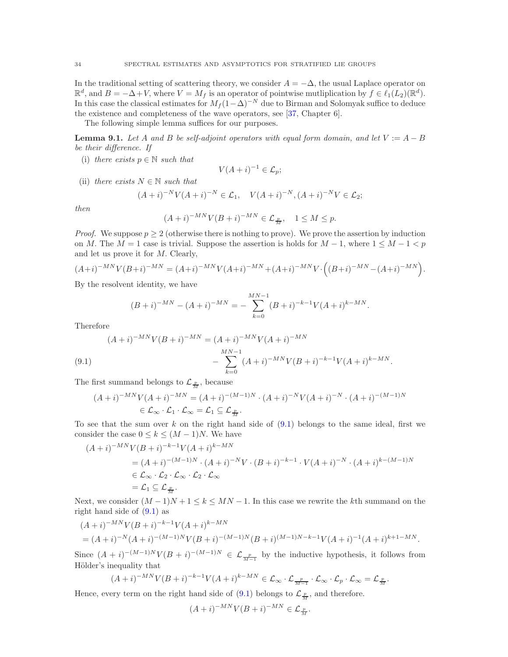In the traditional setting of scattering theory, we consider  $A = -\Delta$ , the usual Laplace operator on  $\mathbb{R}^d$ , and  $B = -\Delta + V$ , where  $V = M_f$  is an operator of pointwise mutliplication by  $f \in \ell_1(L_2)(\mathbb{R}^d)$ . In this case the classical estimates for  $M_f (1-\Delta)^{-N}$  due to Birman and Solomyak suffice to deduce the existence and completeness of the wave operators, see [\[37,](#page-35-2) Chapter 6].

The following simple lemma suffices for our purposes.

<span id="page-33-1"></span>**Lemma 9.1.** Let A and B be self-adjoint operators with equal form domain, and let  $V := A - B$ be their difference. If

(i) there exists  $p \in \mathbb{N}$  such that

$$
V(A+i)^{-1} \in \mathcal{L}_p;
$$

(ii) there exists  $N \in \mathbb{N}$  such that

$$
(A+i)^{-N}V(A+i)^{-N} \in \mathcal{L}_1, \quad V(A+i)^{-N}, (A+i)^{-N}V \in \mathcal{L}_2;
$$

then

$$
(A+i)^{-MN}V(B+i)^{-MN}\in\mathcal{L}_{\frac{p}{M}},\quad 1\leq M\leq p.
$$

*Proof.* We suppose  $p > 2$  (otherwise there is nothing to prove). We prove the assertion by induction on M. The  $M = 1$  case is trivial. Suppose the assertion is holds for  $M - 1$ , where  $1 \leq M - 1 < p$ and let us prove it for M. Clearly,

$$
(A+i)^{-MN}V(B+i)^{-MN} = (A+i)^{-MN}V(A+i)^{-MN} + (A+i)^{-MN}V \cdot ((B+i)^{-MN} - (A+i)^{-MN}).
$$

By the resolvent identity, we have

$$
(B+i)^{-MN} - (A+i)^{-MN} = -\sum_{k=0}^{MN-1} (B+i)^{-k-1} V(A+i)^{k-MN}.
$$

Therefore

<span id="page-33-0"></span>(9.1) 
$$
(A + i)^{-MN}V(B + i)^{-MN} = (A + i)^{-MN}V(A + i)^{-MN}
$$

$$
- \sum_{k=0}^{MN-1} (A + i)^{-MN}V(B + i)^{-k-1}V(A + i)^{k-MN}.
$$

The first summand belongs to  $\mathcal{L}_{\frac{p}{M}}$ , because

$$
(A+i)^{-MN}V(A+i)^{-MN} = (A+i)^{-(M-1)N} \cdot (A+i)^{-N}V(A+i)^{-N} \cdot (A+i)^{-(M-1)N}
$$
  
\n
$$
\in \mathcal{L}_{\infty} \cdot \mathcal{L}_1 \cdot \mathcal{L}_{\infty} = \mathcal{L}_1 \subseteq \mathcal{L}_{\frac{p}{M}}.
$$

To see that the sum over k on the right hand side of  $(9.1)$  belongs to the same ideal, first we consider the case  $0 \leq k \leq (M-1)N$ . We have

$$
(A + i)^{-MN}V(B + i)^{-k-1}V(A + i)^{k-MN}
$$
  
=  $(A + i)^{-(M-1)N} \cdot (A + i)^{-N}V \cdot (B + i)^{-k-1} \cdot V(A + i)^{-N} \cdot (A + i)^{k-(M-1)N}$   
 $\in \mathcal{L}_{\infty} \cdot \mathcal{L}_2 \cdot \mathcal{L}_{\infty} \cdot \mathcal{L}_2 \cdot \mathcal{L}_{\infty}$   
=  $\mathcal{L}_1 \subseteq \mathcal{L}_{\frac{p}{M}}.$ 

Next, we consider  $(M-1)N+1 \leq k \leq MN-1$ . In this case we rewrite the kth summand on the right hand side of  $(9.1)$  as

$$
(A+i)^{-MN}V(B+i)^{-k-1}V(A+i)^{k-MN}
$$
  
=  $(A+i)^{-N}(A+i)^{-(M-1)N}V(B+i)^{-(M-1)N}(B+i)^{(M-1)N-k-1}V(A+i)^{-1}(A+i)^{k+1-MN}.$ 

Since  $(A + i)^{-(M-1)N} V(B + i)^{-(M-1)N} \in \mathcal{L}_{\frac{p}{M-1}}$  by the inductive hypothesis, it follows from Hölder's inequality that

$$
(A+i)^{-MN}V(B+i)^{-k-1}V(A+i)^{k-MN} \in \mathcal{L}_{\infty} \cdot \mathcal{L}_{\frac{p}{M-1}} \cdot \mathcal{L}_{\infty} \cdot \mathcal{L}_p \cdot \mathcal{L}_{\infty} = \mathcal{L}_{\frac{p}{M}}.
$$

Hence, every term on the right hand side of  $(9.1)$  belongs to  $\mathcal{L}_{\frac{p}{M}}$ , and therefore.

$$
(A+i)^{-MN}V(B+i)^{-MN}\in\mathcal{L}_{\frac{p}{M}}.
$$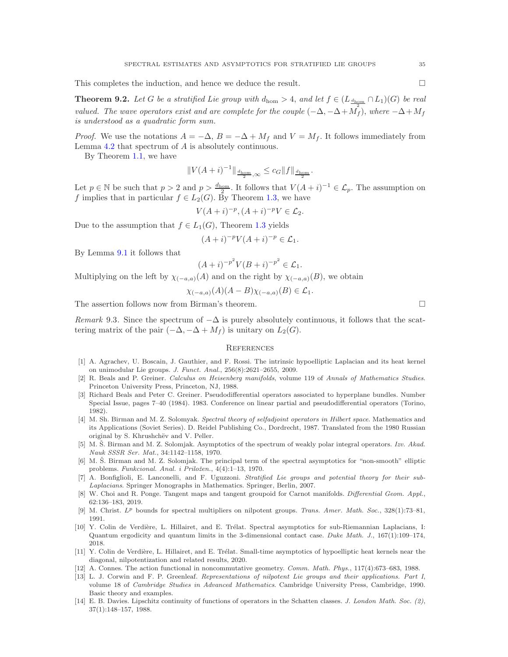This completes the induction, and hence we deduce the result.

**Theorem 9.2.** Let G be a stratified Lie group with  $d_{\text{hom}} > 4$ , and let  $f \in (L_{\frac{d_{\text{hom}}}{d_{\text{hom}}}} \cap L_1)(G)$  be real valued. The wave operators exist and are complete for the couple  $(-\Delta, -\Delta + M_f^2)$ , where  $-\Delta + M_f$ is understood as a quadratic form sum.

*Proof.* We use the notations  $A = -\Delta$ ,  $B = -\Delta + M_f$  and  $V = M_f$ . It follows immediately from Lemma [4.2](#page-9-0) that spectrum of A is absolutely continuous.

By Theorem [1.1,](#page-1-0) we have

$$
||V(A+i)^{-1}||_{\frac{d_{\text{hom}}}{2},\infty} \leq c_G ||f||_{\frac{d_{\text{hom}}}{2}}.
$$

Let  $p \in \mathbb{N}$  be such that  $p > 2$  and  $p > \frac{d_{\text{hom}}}{2}$ . It follows that  $V(A + i)^{-1} \in \mathcal{L}_p$ . The assumption on f implies that in particular  $f \in L_2(G)$ . By Theorem [1.3,](#page-2-0) we have

$$
V(A+i)^{-p}, (A+i)^{-p}V \in \mathcal{L}_2.
$$

Due to the assumption that  $f \in L_1(G)$ , Theorem [1.3](#page-2-0) yields

$$
(A+i)^{-p}V(A+i)^{-p} \in \mathcal{L}_1.
$$

By Lemma [9.1](#page-33-1) it follows that

$$
(A + i)^{-p^2} V(B + i)^{-p^2} \in \mathcal{L}_1.
$$

Multiplying on the left by  $\chi_{(-a,a)}(A)$  and on the right by  $\chi_{(-a,a)}(B)$ , we obtain

$$
\chi_{(-a,a)}(A)(A-B)\chi_{(-a,a)}(B)\in \mathcal{L}_1.
$$

The assertion follows now from Birman's theorem.

Remark 9.3. Since the spectrum of  $-\Delta$  is purely absolutely continuous, it follows that the scattering matrix of the pair  $(-\Delta, -\Delta + M_f)$  is unitary on  $L_2(G)$ .

### **REFERENCES**

- <span id="page-34-10"></span>[1] A. Agrachev, U. Boscain, J. Gauthier, and F. Rossi. The intrinsic hypoelliptic Laplacian and its heat kernel on unimodular Lie groups. J. Funct. Anal., 256(8):2621–2655, 2009.
- <span id="page-34-6"></span>[2] R. Beals and P. Greiner. Calculus on Heisenberg manifolds, volume 119 of Annals of Mathematics Studies. Princeton University Press, Princeton, NJ, 1988.
- <span id="page-34-5"></span>[3] Richard Beals and Peter C. Greiner. Pseudodifferential operators associated to hyperplane bundles. Number Special Issue, pages 7–40 (1984). 1983. Conference on linear partial and pseudodifferential operators (Torino, 1982).
- <span id="page-34-12"></span>[4] M. Sh. Birman and M. Z. Solomyak. Spectral theory of selfadjoint operators in Hilbert space. Mathematics and its Applications (Soviet Series). D. Reidel Publishing Co., Dordrecht, 1987. Translated from the 1980 Russian original by S. Khrushchëv and V. Peller.
- <span id="page-34-3"></span>[5] M. Š. Birman and M. Z. Solomjak. Asymptotics of the spectrum of weakly polar integral operators. Izv. Akad. Nauk SSSR Ser. Mat., 34:1142–1158, 1970.
- <span id="page-34-4"></span>[6] M. S. Birman and M. Z. Solomjak. The principal term of the spectral asymptotics for "non-smooth" elliptic problems. Funkcional. Anal. i Priložen., 4(4):1-13, 1970.
- <span id="page-34-1"></span>[7] A. Bonfiglioli, E. Lanconelli, and F. Uguzzoni. Stratified Lie groups and potential theory for their sub-Laplacians. Springer Monographs in Mathematics. Springer, Berlin, 2007.
- <span id="page-34-7"></span>[8] W. Choi and R. Ponge. Tangent maps and tangent groupoid for Carnot manifolds. Differential Geom. Appl., 62:136–183, 2019.
- <span id="page-34-11"></span>[9] M. Christ. L<sup>p</sup> bounds for spectral multipliers on nilpotent groups. Trans. Amer. Math. Soc., 328(1):73–81, 1991.
- <span id="page-34-8"></span>[10] Y. Colin de Verdière, L. Hillairet, and E. Trélat. Spectral asymptotics for sub-Riemannian Laplacians, I: Quantum ergodicity and quantum limits in the 3-dimensional contact case. Duke Math. J., 167(1):109–174, 2018.
- <span id="page-34-9"></span>[11] Y. Colin de Verdière, L. Hillairet, and E. Trélat. Small-time asymptotics of hypoelliptic heat kernels near the diagonal, nilpotentization and related results, 2020.
- <span id="page-34-2"></span><span id="page-34-0"></span>[12] A. Connes. The action functional in noncommutative geometry. Comm. Math. Phys., 117(4):673–683, 1988.
- [13] L. J. Corwin and F. P. Greenleaf. Representations of nilpotent Lie groups and their applications. Part I, volume 18 of Cambridge Studies in Advanced Mathematics. Cambridge University Press, Cambridge, 1990. Basic theory and examples.
- <span id="page-34-13"></span>[14] E. B. Davies. Lipschitz continuity of functions of operators in the Schatten classes. J. London Math. Soc. (2), 37(1):148–157, 1988.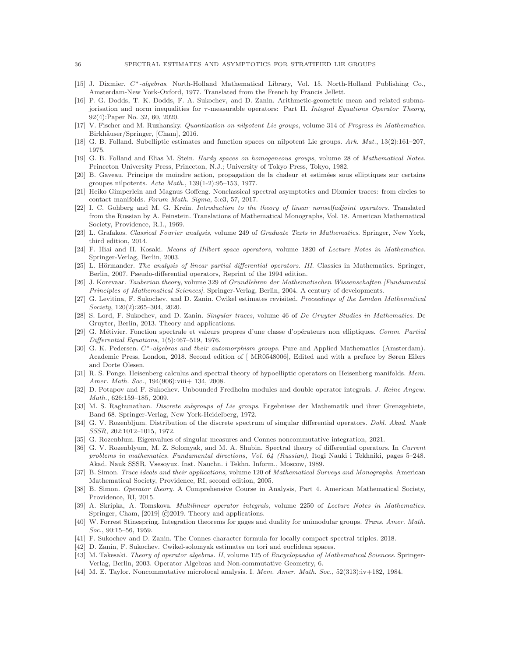- <span id="page-35-20"></span>[15] J. Dixmier. C<sup>\*</sup>-algebras. North-Holland Mathematical Library, Vol. 15. North-Holland Publishing Co., Amsterdam-New York-Oxford, 1977. Translated from the French by Francis Jellett.
- <span id="page-35-22"></span>[16] P. G. Dodds, T. K. Dodds, F. A. Sukochev, and D. Zanin. Arithmetic-geometric mean and related submajorisation and norm inequalities for τ-measurable operators: Part II. Integral Equations Operator Theory, 92(4):Paper No. 32, 60, 2020.
- <span id="page-35-12"></span><span id="page-35-0"></span>[17] V. Fischer and M. Ruzhansky. Quantization on nilpotent Lie groups, volume 314 of Progress in Mathematics. Birkhäuser/Springer, [Cham], 2016.
- <span id="page-35-13"></span>[18] G. B. Folland. Subelliptic estimates and function spaces on nilpotent Lie groups. Ark. Mat., 13(2):161–207, 1975.
- [19] G. B. Folland and Elias M. Stein. Hardy spaces on homogeneous groups, volume 28 of Mathematical Notes. Princeton University Press, Princeton, N.J.; University of Tokyo Press, Tokyo, 1982.
- <span id="page-35-10"></span>[20] B. Gaveau. Principe de moindre action, propagation de la chaleur et estim´ees sous elliptiques sur certains groupes nilpotents. Acta Math., 139(1-2):95–153, 1977.
- <span id="page-35-8"></span>[21] Heiko Gimperlein and Magnus Goffeng. Nonclassical spectral asymptotics and Dixmier traces: from circles to contact manifolds. Forum Math. Sigma, 5:e3, 57, 2017.
- <span id="page-35-14"></span>[22] I. C. Gohberg and M. G. Kreĭn. Introduction to the theory of linear nonselfadjoint operators. Translated from the Russian by A. Feinstein. Translations of Mathematical Monographs, Vol. 18. American Mathematical Society, Providence, R.I., 1969.
- <span id="page-35-21"></span>[23] L. Grafakos. Classical Fourier analysis, volume 249 of Graduate Texts in Mathematics. Springer, New York, third edition, 2014.
- <span id="page-35-23"></span>[24] F. Hiai and H. Kosaki. Means of Hilbert space operators, volume 1820 of Lecture Notes in Mathematics. Springer-Verlag, Berlin, 2003.
- <span id="page-35-1"></span>[25] L. Hörmander. The analysis of linear partial differential operators. III. Classics in Mathematics. Springer, Berlin, 2007. Pseudo-differential operators, Reprint of the 1994 edition.
- <span id="page-35-28"></span>[26] J. Korevaar. Tauberian theory, volume 329 of Grundlehren der Mathematischen Wissenschaften [Fundamental Principles of Mathematical Sciences]. Springer-Verlag, Berlin, 2004. A century of developments.
- <span id="page-35-3"></span>[27] G. Levitina, F. Sukochev, and D. Zanin. Cwikel estimates revisited. Proceedings of the London Mathematical Society, 120(2):265–304, 2020.
- <span id="page-35-16"></span>[28] S. Lord, F. Sukochev, and D. Zanin. Singular traces, volume 46 of De Gruyter Studies in Mathematics. De Gruyter, Berlin, 2013. Theory and applications.
- <span id="page-35-9"></span>[29] G. Métivier. Fonction spectrale et valeurs propres d'une classe d'opérateurs non elliptiques. Comm. Partial Differential Equations, 1(5):467–519, 1976.
- <span id="page-35-19"></span>[30] G. K. Pedersen. C<sup>∗</sup>-algebras and their automorphism groups. Pure and Applied Mathematics (Amsterdam). Academic Press, London, 2018. Second edition of [ MR0548006], Edited and with a preface by Søren Eilers and Dorte Olesen.
- <span id="page-35-7"></span>[31] R. S. Ponge. Heisenberg calculus and spectral theory of hypoelliptic operators on Heisenberg manifolds. Mem. Amer. Math. Soc., 194(906):viii+ 134, 2008.
- <span id="page-35-24"></span>[32] D. Potapov and F. Sukochev. Unbounded Fredholm modules and double operator integrals. J. Reine Angew. Math., 626:159–185, 2009.
- <span id="page-35-26"></span>[33] M. S. Raghunathan. *Discrete subgroups of Lie groups*. Ergebnisse der Mathematik und ihrer Grenzgebiete, Band 68. Springer-Verlag, New York-Heidelberg, 1972.
- <span id="page-35-11"></span>[34] G. V. Rozenbljum. Distribution of the discrete spectrum of singular differential operators. Dokl. Akad. Nauk SSSR, 202:1012–1015, 1972.
- <span id="page-35-15"></span><span id="page-35-5"></span>[35] G. Rozenblum. Eigenvalues of singular measures and Connes noncommutative integration, 2021.
- [36] G. V. Rozenblyum, M. Z. Solomyak, and M. A. Shubin. Spectral theory of differential operators. In Current problems in mathematics. Fundamental directions, Vol. 64 (Russian), Itogi Nauki i Tekhniki, pages 5–248. Akad. Nauk SSSR, Vsesoyuz. Inst. Nauchn. i Tekhn. Inform., Moscow, 1989.
- <span id="page-35-2"></span>[37] B. Simon. Trace ideals and their applications, volume 120 of Mathematical Surveys and Monographs. American Mathematical Society, Providence, RI, second edition, 2005.
- <span id="page-35-29"></span>[38] B. Simon. Operator theory. A Comprehensive Course in Analysis, Part 4. American Mathematical Society, Providence, RI, 2015.
- <span id="page-35-25"></span>[39] A. Skripka, A. Tomskova. Multilinear operator integrals, volume 2250 of Lecture Notes in Mathematics. Springer, Cham, [2019] ©2019. Theory and applications.
- <span id="page-35-18"></span>[40] W. Forrest Stinespring. Integration theorems for gages and duality for unimodular groups. Trans. Amer. Math. Soc., 90:15–56, 1959.
- <span id="page-35-27"></span><span id="page-35-4"></span>[41] F. Sukochev and D. Zanin. The Connes character formula for locally compact spectral triples. 2018.
- <span id="page-35-17"></span>[42] D. Zanin, F. Sukochev. Cwikel-solomyak estimates on tori and euclidean spaces.
- [43] M. Takesaki. Theory of operator algebras. II, volume 125 of Encyclopaedia of Mathematical Sciences. Springer-Verlag, Berlin, 2003. Operator Algebras and Non-commutative Geometry, 6.
- <span id="page-35-6"></span>[44] M. E. Taylor. Noncommutative microlocal analysis. I. Mem. Amer. Math. Soc., 52(313):iv+182, 1984.